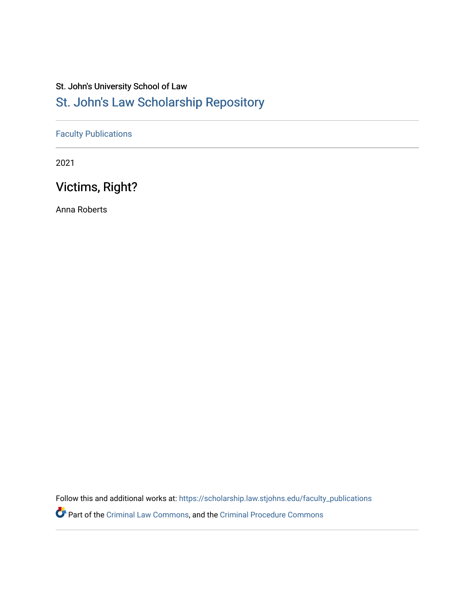# St. John's University School of Law

# [St. John's Law Scholarship Repository](https://scholarship.law.stjohns.edu/)

# [Faculty Publications](https://scholarship.law.stjohns.edu/faculty_publications)

2021

# Victims, Right?

Anna Roberts

Follow this and additional works at: [https://scholarship.law.stjohns.edu/faculty\\_publications](https://scholarship.law.stjohns.edu/faculty_publications?utm_source=scholarship.law.stjohns.edu%2Ffaculty_publications%2F443&utm_medium=PDF&utm_campaign=PDFCoverPages) 

Part of the [Criminal Law Commons,](https://network.bepress.com/hgg/discipline/912?utm_source=scholarship.law.stjohns.edu%2Ffaculty_publications%2F443&utm_medium=PDF&utm_campaign=PDFCoverPages) and the [Criminal Procedure Commons](https://network.bepress.com/hgg/discipline/1073?utm_source=scholarship.law.stjohns.edu%2Ffaculty_publications%2F443&utm_medium=PDF&utm_campaign=PDFCoverPages)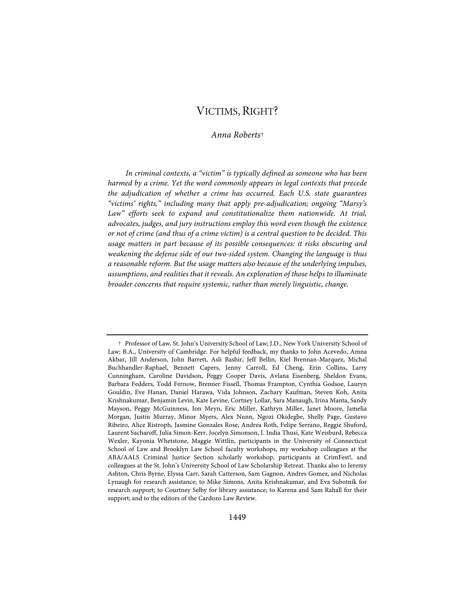# VICTIMS, RIGHT?

### *Anna Roberts*†

*In criminal contexts, a "victim" is typically defined as someone who has been harmed by a crime. Yet the word commonly appears in legal contexts that precede the adjudication of whether a crime has occurred. Each U.S. state guarantees "victims' rights," including many that apply pre-adjudication; ongoing "Marsy's*  Law" efforts seek to expand and constitutionalize them nationwide. At trial, *advocates, judges, and jury instructions employ this word even though the existence or not of crime (and thus of a crime victim) is a central question to be decided. This usage matters in part because of its possible consequences: it risks obscuring and weakening the defense side of our two-sided system. Changing the language is thus a reasonable reform. But the usage matters also because of the underlying impulses, assumptions, and realities that it reveals. An exploration of those helps to illuminate broader concerns that require systemic, rather than merely linguistic, change.*

 <sup>†</sup> Professor of Law, St. John's University School of Law; J.D., New York University School of Law; B.A., University of Cambridge. For helpful feedback, my thanks to John Acevedo, Amna Akbar, Jill Anderson, John Barrett, Asli Bashir, Jeff Bellin, Kiel Brennan-Marquez, Michal Buchhandler-Raphael, Bennett Capers, Jenny Carroll, Ed Cheng, Erin Collins, Larry Cunningham, Caroline Davidson, Peggy Cooper Davis, Avlana Eisenberg, Sheldon Evans, Barbara Fedders, Todd Fernow, Brenner Fissell, Thomas Frampton, Cynthia Godsoe, Lauryn Gouldin, Eve Hanan, Daniel Harawa, Vida Johnson, Zachary Kaufman, Steven Koh, Anita Krishnakumar, Benjamin Levin, Kate Levine, Cortney Lollar, Sara Manaugh, Irina Manta, Sandy Mayson, Peggy McGuinness, Ion Meyn, Eric Miller, Kathryn Miller, Janet Moore, Jamelia Morgan, Justin Murray, Minor Myers, Alex Nunn, Ngozi Okidegbe, Shelly Page, Gustavo Ribeiro, Alice Ristroph, Jasmine Gonzales Rose, Andrea Roth, Felipe Serrano, Reggie Shuford, Laurent Sacharoff, Julia Simon-Kerr, Jocelyn Simonson, I. India Thusi, Kate Weisburd, Rebecca Wexler, Kayonia Whetstone, Maggie Wittlin, participants in the University of Connecticut School of Law and Brooklyn Law School faculty workshops, my workshop colleagues at the ABA/AALS Criminal Justice Section scholarly workshop, participants at CrimFest!, and colleagues at the St. John's University School of Law Scholarship Retreat. Thanks also to Jeremy Ashton, Chris Byrne, Elyssa Carr, Sarah Catterson, Sam Gagnon, Andres Gomez, and Nicholas Lynaugh for research assistance; to Mike Simons, Anita Krishnakumar, and Eva Subotnik for research support; to Courtney Selby for library assistance; to Karena and Sam Rahall for their support; and to the editors of the Cardozo Law Review.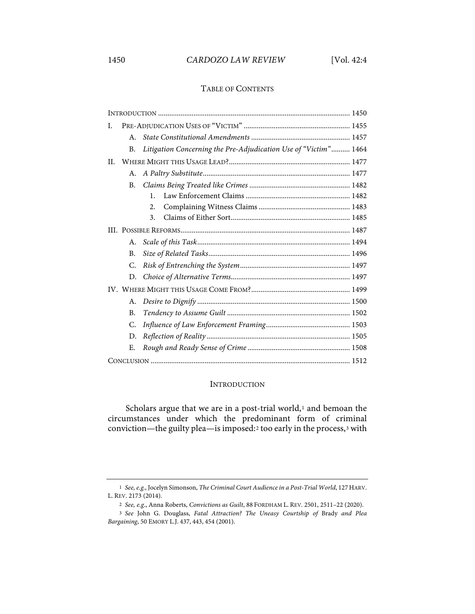# 1450 *CARDOZO LAW REVIEW* [Vol. 42:4

#### TABLE OF CONTENTS

| I.  |           |                                                                 |
|-----|-----------|-----------------------------------------------------------------|
|     | $A_{-}$   |                                                                 |
|     | B.        | Litigation Concerning the Pre-Adjudication Use of "Victim" 1464 |
| II. |           |                                                                 |
|     | A.        |                                                                 |
|     | <b>B.</b> |                                                                 |
|     |           | $\mathbf{1}$ .                                                  |
|     |           | 2.                                                              |
|     |           | 3.                                                              |
|     |           |                                                                 |
|     | A.        |                                                                 |
|     | <b>B.</b> |                                                                 |
|     | C.        |                                                                 |
|     | D.        |                                                                 |
|     |           |                                                                 |
|     | А.        |                                                                 |
|     | <b>B.</b> |                                                                 |
|     | C.        |                                                                 |
|     | D.        |                                                                 |
|     | Е.        |                                                                 |
|     |           |                                                                 |

### INTRODUCTION

Scholars argue that we are in a post-trial world, $1$  and bemoan the circumstances under which the predominant form of criminal conviction—the guilty plea—is imposed:2 too early in the process,3 with

<sup>1</sup> *See, e.g.*, Jocelyn Simonson, *The Criminal Court Audience in a Post-Trial World*, 127HARV. L. REV. 2173 (2014).

<sup>2</sup> *See, e.g.*, Anna Roberts, *Convictions as Guilt*, 88 FORDHAM L. REV. 2501, 2511–22 (2020).

<sup>3</sup> *See* John G. Douglass, *Fatal Attraction? The Uneasy Courtship of* Brady *and Plea Bargaining*, 50 EMORY L.J. 437, 443, 454 (2001).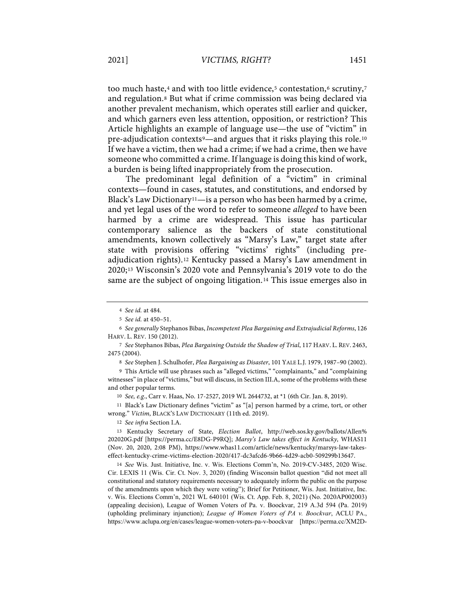too much haste,<sup>4</sup> and with too little evidence,<sup>5</sup> contestation,<sup>6</sup> scrutiny,<sup>7</sup> and regulation.8 But what if crime commission was being declared via another prevalent mechanism, which operates still earlier and quicker, and which garners even less attention, opposition, or restriction? This Article highlights an example of language use—the use of "victim" in pre-adjudication contexts9—and argues that it risks playing this role.10 If we have a victim, then we had a crime; if we had a crime, then we have someone who committed a crime. If language is doing this kind of work, a burden is being lifted inappropriately from the prosecution.

The predominant legal definition of a "victim" in criminal contexts—found in cases, statutes, and constitutions, and endorsed by Black's Law Dictionary<sup>11</sup>—is a person who has been harmed by a crime, and yet legal uses of the word to refer to someone *alleged* to have been harmed by a crime are widespread. This issue has particular contemporary salience as the backers of state constitutional amendments, known collectively as "Marsy's Law," target state after state with provisions offering "victims' rights" (including preadjudication rights).12 Kentucky passed a Marsy's Law amendment in 2020;13 Wisconsin's 2020 vote and Pennsylvania's 2019 vote to do the same are the subject of ongoing litigation.14 This issue emerges also in

8 *See* Stephen J. Schulhofer, *Plea Bargaining as Disaster*, 101 YALE L.J. 1979, 1987–90 (2002).

9 This Article will use phrases such as "alleged victims," "complainants," and "complaining witnesses" in place of "victims," but will discuss, in Section III.A, some of the problems with these and other popular terms.

10 *See, e.g.*, Carr v. Haas, No. 17-2527, 2019 WL 2644732, at \*1 (6th Cir. Jan. 8, 2019).

11 Black's Law Dictionary defines "victim" as "[a] person harmed by a crime, tort, or other wrong." *Victim*, BLACK'S LAW DICTIONARY (11th ed. 2019).

12 *See infra* Section I.A.

13 Kentucky Secretary of State, *Election Ballot*, http://web.sos.ky.gov/ballots/Allen% 202020G.pdf [https://perma.cc/E8DG-P9RQ]; *Marsy's Law takes effect in Kentucky,* WHAS11 (Nov. 20, 2020, 2:08 PM), https://www.whas11.com/article/news/kentucky/marsys-law-takeseffect-kentucky-crime-victims-election-2020/417-dc3afcd6-9b66-4d29-acb0-509299b13647.

14 *See* Wis. Just. Initiative, Inc. v. Wis. Elections Comm'n, No. 2019-CV-3485, 2020 Wisc. Cir. LEXIS 11 (Wis. Cir. Ct. Nov. 3, 2020) (finding Wisconsin ballot question "did not meet all constitutional and statutory requirements necessary to adequately inform the public on the purpose of the amendments upon which they were voting"); Brief for Petitioner, Wis. Just. Initiative, Inc. v. Wis. Elections Comm'n, 2021 WL 640101 (Wis. Ct. App. Feb. 8, 2021) (No. 2020AP002003) (appealing decision), League of Women Voters of Pa. v. Boockvar, 219 A.3d 594 (Pa. 2019) (upholding preliminary injunction); *League of Women Voters of PA v. Boockvar*, ACLU PA., https://www.aclupa.org/en/cases/league-women-voters-pa-v-boockvar [https://perma.cc/XM2D-

<sup>4</sup> *See id.* at 484.

<sup>5</sup> *See id.* at 450–51.

<sup>6</sup> *See generally* Stephanos Bibas, *Incompetent Plea Bargaining and Extrajudicial Reforms*, 126 HARV. L. REV. 150 (2012).

<sup>7</sup> *See* Stephanos Bibas, *Plea Bargaining Outside the Shadow of Trial*, 117 HARV. L. REV. 2463, 2475 (2004).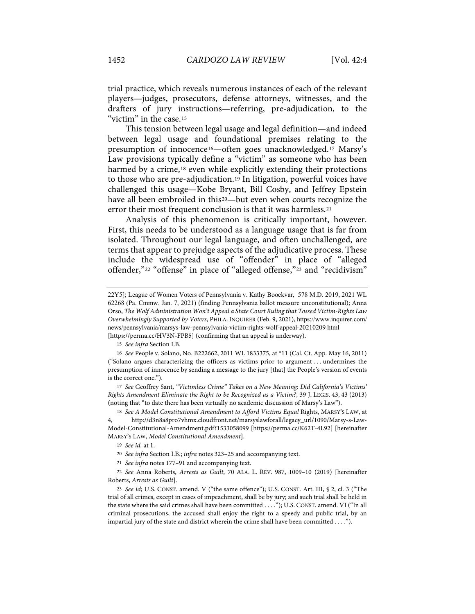trial practice, which reveals numerous instances of each of the relevant players—judges, prosecutors, defense attorneys, witnesses, and the drafters of jury instructions—referring, pre-adjudication, to the "victim" in the case.15

This tension between legal usage and legal definition—and indeed between legal usage and foundational premises relating to the presumption of innocence16—often goes unacknowledged.17 Marsy's Law provisions typically define a "victim" as someone who has been harmed by a crime,<sup>18</sup> even while explicitly extending their protections to those who are pre-adjudication.19 In litigation, powerful voices have challenged this usage—Kobe Bryant, Bill Cosby, and Jeffrey Epstein have all been embroiled in this<sup>20</sup>—but even when courts recognize the error their most frequent conclusion is that it was harmless.21

Analysis of this phenomenon is critically important, however. First, this needs to be understood as a language usage that is far from isolated. Throughout our legal language, and often unchallenged, are terms that appear to prejudge aspects of the adjudicative process. These include the widespread use of "offender" in place of "alleged offender,"22 "offense" in place of "alleged offense,"23 and "recidivism"

15 *See infra* Section I.B.

16 *See* People v. Solano, No. B222662, 2011 WL 1833375, at \*11 (Cal. Ct. App. May 16, 2011) ("Solano argues characterizing the officers as victims prior to argument . . . undermines the presumption of innocence by sending a message to the jury [that] the People's version of events is the correct one.").

17 *See* Geoffrey Sant, *"Victimless Crime" Takes on a New Meaning: Did California's Victims' Rights Amendment Eliminate the Right to be Recognized as a Victim?*, 39 J. LEGIS. 43, 43 (2013) (noting that "to date there has been virtually no academic discussion of Marsy's Law").

18 See A Model Constitutional Amendment to Afford Victims Equal Rights, MARSY'S LAW, at 4, http://d3n8a8pro7vhmx.cloudfront.net/marsyslawforall/legacy\_url/1090/Marsy-s-Law-Model-Constitutional-Amendment.pdf?1533058099 [https://perma.cc/K62T-4L92] [hereinafter MARSY'S LAW, *Model Constitutional Amendment*].

19 *See id.* at 1.

20 *See infra* Section I.B.; *infra* notes 323–25 and accompanying text.

21 *See infra* notes 177–91 and accompanying text.

22 *See* Anna Roberts, *Arrests as Guilt*, 70 ALA. L. REV. 987, 1009–10 (2019) [hereinafter Roberts, *Arrests as Guilt*].

23 *See id*; U.S. CONST. amend. V ("the same offence"); U.S. CONST. Art. III, § 2, cl. 3 ("The trial of all crimes, except in cases of impeachment, shall be by jury; and such trial shall be held in the state where the said crimes shall have been committed . . . ."); U.S. CONST. amend. VI ("In all criminal prosecutions, the accused shall enjoy the right to a speedy and public trial, by an impartial jury of the state and district wherein the crime shall have been committed . . . .").

<sup>22</sup>Y5]; League of Women Voters of Pennsylvania v. Kathy Boockvar, 578 M.D. 2019, 2021 WL 62268 (Pa. Cmmw. Jan. 7, 2021) (finding Pennsylvania ballot measure unconstitutional); Anna Orso, *The Wolf Administration Won't Appeal a State Court Ruling that Tossed Victim-Rights Law Overwhelmingly Supported by Voters*, PHILA. INQUIRER (Feb. 9, 2021), https://www.inquirer.com/ news/pennsylvania/marsys-law-pennsylvania-victim-rights-wolf-appeal-20210209 html [https://perma.cc/HV3N-FPB5] (confirming that an appeal is underway).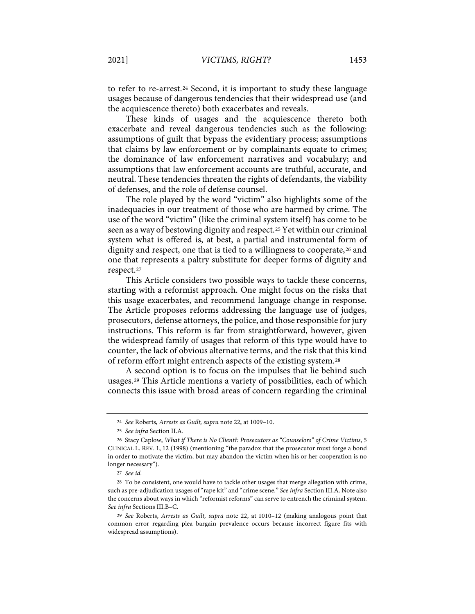to refer to re-arrest.24 Second, it is important to study these language usages because of dangerous tendencies that their widespread use (and the acquiescence thereto) both exacerbates and reveals.

These kinds of usages and the acquiescence thereto both exacerbate and reveal dangerous tendencies such as the following: assumptions of guilt that bypass the evidentiary process; assumptions that claims by law enforcement or by complainants equate to crimes; the dominance of law enforcement narratives and vocabulary; and assumptions that law enforcement accounts are truthful, accurate, and neutral. These tendencies threaten the rights of defendants, the viability of defenses, and the role of defense counsel.

The role played by the word "victim" also highlights some of the inadequacies in our treatment of those who are harmed by crime. The use of the word "victim" (like the criminal system itself) has come to be seen as a way of bestowing dignity and respect.25 Yet within our criminal system what is offered is, at best, a partial and instrumental form of dignity and respect, one that is tied to a willingness to cooperate,<sup>26</sup> and one that represents a paltry substitute for deeper forms of dignity and respect.27

This Article considers two possible ways to tackle these concerns, starting with a reformist approach. One might focus on the risks that this usage exacerbates, and recommend language change in response. The Article proposes reforms addressing the language use of judges, prosecutors, defense attorneys, the police, and those responsible for jury instructions. This reform is far from straightforward, however, given the widespread family of usages that reform of this type would have to counter, the lack of obvious alternative terms, and the risk that this kind of reform effort might entrench aspects of the existing system.28

A second option is to focus on the impulses that lie behind such usages.29 This Article mentions a variety of possibilities, each of which connects this issue with broad areas of concern regarding the criminal

<sup>24</sup> *See* Roberts, *Arrests as Guilt, supra* note 22, at 1009–10.

<sup>25</sup> *See infra* Section II.A.

<sup>26</sup> Stacy Caplow, *What if There is No Client?: Prosecutors as "Counselors" of Crime Victims*, 5 CLINICAL L. REV. 1, 12 (1998) (mentioning "the paradox that the prosecutor must forge a bond in order to motivate the victim, but may abandon the victim when his or her cooperation is no longer necessary").

<sup>27</sup> *See id.*

<sup>28</sup> To be consistent, one would have to tackle other usages that merge allegation with crime, such as pre-adjudication usages of "rape kit" and "crime scene." *See infra* Section III.A. Note also the concerns about ways in which "reformist reforms" can serve to entrench the criminal system. *See infra* Sections III.B–C.

<sup>29</sup> *See* Roberts, *Arrests as Guilt, supra* note 22, at 1010–12 (making analogous point that common error regarding plea bargain prevalence occurs because incorrect figure fits with widespread assumptions).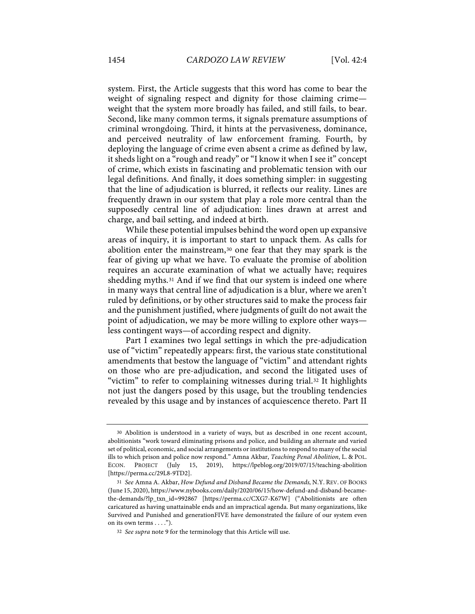system. First, the Article suggests that this word has come to bear the weight of signaling respect and dignity for those claiming crime weight that the system more broadly has failed, and still fails, to bear. Second, like many common terms, it signals premature assumptions of criminal wrongdoing. Third, it hints at the pervasiveness, dominance, and perceived neutrality of law enforcement framing. Fourth, by deploying the language of crime even absent a crime as defined by law, it sheds light on a "rough and ready" or "I know it when I see it" concept of crime, which exists in fascinating and problematic tension with our legal definitions. And finally, it does something simpler: in suggesting that the line of adjudication is blurred, it reflects our reality. Lines are frequently drawn in our system that play a role more central than the supposedly central line of adjudication: lines drawn at arrest and charge, and bail setting, and indeed at birth.

While these potential impulses behind the word open up expansive areas of inquiry, it is important to start to unpack them. As calls for abolition enter the mainstream,30 one fear that they may spark is the fear of giving up what we have. To evaluate the promise of abolition requires an accurate examination of what we actually have; requires shedding myths.31 And if we find that our system is indeed one where in many ways that central line of adjudication is a blur, where we aren't ruled by definitions, or by other structures said to make the process fair and the punishment justified, where judgments of guilt do not await the point of adjudication, we may be more willing to explore other ways less contingent ways—of according respect and dignity.

Part I examines two legal settings in which the pre-adjudication use of "victim" repeatedly appears: first, the various state constitutional amendments that bestow the language of "victim" and attendant rights on those who are pre-adjudication, and second the litigated uses of "victim" to refer to complaining witnesses during trial.32 It highlights not just the dangers posed by this usage, but the troubling tendencies revealed by this usage and by instances of acquiescence thereto. Part II

<sup>30</sup> Abolition is understood in a variety of ways, but as described in one recent account, abolitionists "work toward eliminating prisons and police, and building an alternate and varied set of political, economic, and social arrangements or institutions to respond to many of the social ills to which prison and police now respond." Amna Akbar, *Teaching Penal Abolition*, L. & POL. ECON. PROJECT (July 15, 2019), https://lpeblog.org/2019/07/15/teaching-abolition [https://perma.cc/29L8-9TD2].

<sup>31</sup> *See* Amna A. Akbar, *How Defund and Disband Became the Demands,* N.Y. REV. OF BOOKS (June 15, 2020), https://www.nybooks.com/daily/2020/06/15/how-defund-and-disband-becamethe-demands/?lp\_txn\_id=992867 [https://perma.cc/CXG7-K67W] ("Abolitionists are often caricatured as having unattainable ends and an impractical agenda. But many organizations, like Survived and Punished and generationFIVE have demonstrated the failure of our system even on its own terms . . . .").

<sup>32</sup> *See supra* note 9 for the terminology that this Article will use.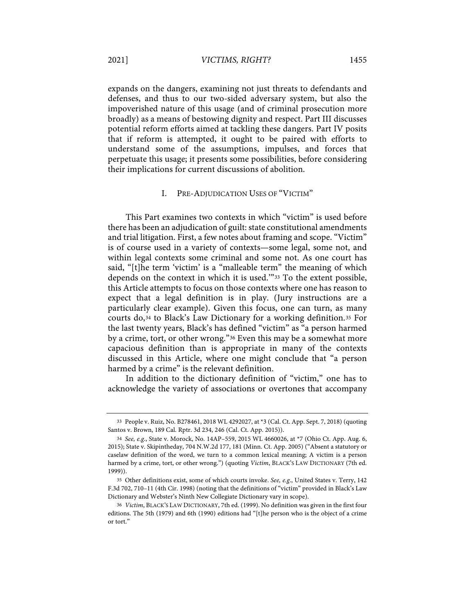expands on the dangers, examining not just threats to defendants and defenses, and thus to our two-sided adversary system, but also the impoverished nature of this usage (and of criminal prosecution more broadly) as a means of bestowing dignity and respect. Part III discusses potential reform efforts aimed at tackling these dangers. Part IV posits that if reform is attempted, it ought to be paired with efforts to understand some of the assumptions, impulses, and forces that perpetuate this usage; it presents some possibilities, before considering their implications for current discussions of abolition.

## I. PRE-ADJUDICATION USES OF "VICTIM"

This Part examines two contexts in which "victim" is used before there has been an adjudication of guilt: state constitutional amendments and trial litigation. First, a few notes about framing and scope. "Victim" is of course used in a variety of contexts—some legal, some not, and within legal contexts some criminal and some not. As one court has said, "[t]he term 'victim' is a "malleable term" the meaning of which depends on the context in which it is used.'"33 To the extent possible, this Article attempts to focus on those contexts where one has reason to expect that a legal definition is in play. (Jury instructions are a particularly clear example). Given this focus, one can turn, as many courts do,34 to Black's Law Dictionary for a working definition.35 For the last twenty years, Black's has defined "victim" as "a person harmed by a crime, tort, or other wrong."36 Even this may be a somewhat more capacious definition than is appropriate in many of the contexts discussed in this Article, where one might conclude that "a person harmed by a crime" is the relevant definition.

In addition to the dictionary definition of "victim," one has to acknowledge the variety of associations or overtones that accompany

<sup>33</sup> People v. Ruiz, No. B278461, 2018 WL 4292027, at \*3 (Cal. Ct. App. Sept. 7, 2018) (quoting Santos v. Brown, 189 Cal. Rptr. 3d 234, 246 (Cal. Ct. App. 2015)).

<sup>34</sup> *See, e.g.*, State v. Morock, No. 14AP–559, 2015 WL 4660026, at \*7 (Ohio Ct. App. Aug. 6, 2015); State v. Skipintheday, 704 N.W.2d 177, 181 (Minn. Ct. App. 2005) ("Absent a statutory or caselaw definition of the word, we turn to a common lexical meaning; A victim is a person harmed by a crime, tort, or other wrong.") (quoting *Victim*, BLACK'S LAW DICTIONARY (7th ed. 1999)).

<sup>35</sup> Other definitions exist, some of which courts invoke. *See, e.g*., United States v. Terry, 142 F.3d 702, 710–11 (4th Cir. 1998) (noting that the definitions of "victim" provided in Black's Law Dictionary and Webster's Ninth New Collegiate Dictionary vary in scope).

<sup>36</sup> *Victim*, BLACK'S LAW DICTIONARY, 7th ed. (1999). No definition was given in the first four editions. The 5th (1979) and 6th (1990) editions had "[t]he person who is the object of a crime or tort."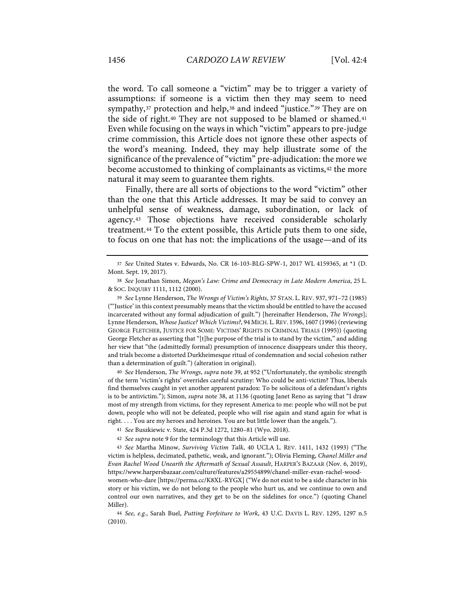the word. To call someone a "victim" may be to trigger a variety of assumptions: if someone is a victim then they may seem to need sympathy,<sup>37</sup> protection and help,<sup>38</sup> and indeed "justice."<sup>39</sup> They are on the side of right.40 They are not supposed to be blamed or shamed.41 Even while focusing on the ways in which "victim" appears to pre-judge crime commission, this Article does not ignore these other aspects of the word's meaning. Indeed, they may help illustrate some of the significance of the prevalence of "victim" pre-adjudication: the more we become accustomed to thinking of complainants as victims, <sup>42</sup> the more natural it may seem to guarantee them rights.

Finally, there are all sorts of objections to the word "victim" other than the one that this Article addresses. It may be said to convey an unhelpful sense of weakness, damage, subordination, or lack of agency.43 Those objections have received considerable scholarly treatment.44 To the extent possible, this Article puts them to one side, to focus on one that has not: the implications of the usage—and of its

39 *See* Lynne Henderson, *The Wrongs of Victim's Rights*, 37 STAN. L. REV. 937, 971–72 (1985) ("'Justice' in this context presumably means that the victim should be entitled to have the accused incarcerated without any formal adjudication of guilt.") [hereinafter Henderson, *The Wrongs*]; Lynne Henderson, *Whose Justice? Which Victims?*, 94 MICH. L.REV. 1596, 1607 (1996) (reviewing GEORGE FLETCHER, JUSTICE FOR SOME: VICTIMS' RIGHTS IN CRIMINAL TRIALS (1995)) (quoting George Fletcher as asserting that "[t]he purpose of the trial is to stand by the victim," and adding her view that "the (admittedly formal) presumption of innocence disappears under this theory, and trials become a distorted Durkheimesque ritual of condemnation and social cohesion rather than a determination of guilt.") (alteration in original).

40 *See* Henderson, *The Wrongs*, *supra* note 39, at 952 ("Unfortunately, the symbolic strength of the term 'victim's rights' overrides careful scrutiny: Who could be anti-victim? Thus, liberals find themselves caught in yet another apparent paradox: To be solicitous of a defendant's rights is to be antivictim."); Simon, *supra* note 38, at 1136 (quoting Janet Reno as saying that "I draw most of my strength from victims, for they represent America to me: people who will not be put down, people who will not be defeated, people who will rise again and stand again for what is right. . . . You are my heroes and heroines. You are but little lower than the angels.").

44 *See, e.g.*, Sarah Buel, *Putting Forfeiture to Work*, 43 U.C. DAVIS L. REV. 1295, 1297 n.5 (2010).

<sup>37</sup> *See* United States v. Edwards, No. CR 16-103-BLG-SPW-1, 2017 WL 4159365, at \*1 (D. Mont. Sept. 19, 2017).

<sup>38</sup> *See* Jonathan Simon, *Megan's Law: Crime and Democracy in Late Modern America*, 25 L. & SOC. INQUIRY 1111, 1112 (2000).

<sup>41</sup> *See* Buszkiewic v. State*,* 424 P.3d 1272, 1280–81 (Wyo. 2018).

<sup>42</sup> *See supra* note 9 for the terminology that this Article will use.

<sup>43</sup> *See* Martha Minow, *Surviving Victim Talk*, 40 UCLA L. REV. 1411, 1432 (1993) ("The victim is helpless, decimated, pathetic, weak, and ignorant."); Olivia Fleming, *Chanel Miller and Evan Rachel Wood Unearth the Aftermath of Sexual Assault*, HARPER'S BAZAAR (Nov. 6, 2019), https://www.harpersbazaar.com/culture/features/a29554899/chanel-miller-evan-rachel-woodwomen-who-dare [https://perma.cc/K8XL-RYGX] ("We do not exist to be a side character in his story or his victim, we do not belong to the people who hurt us, and we continue to own and control our own narratives, and they get to be on the sidelines for once.") (quoting Chanel Miller).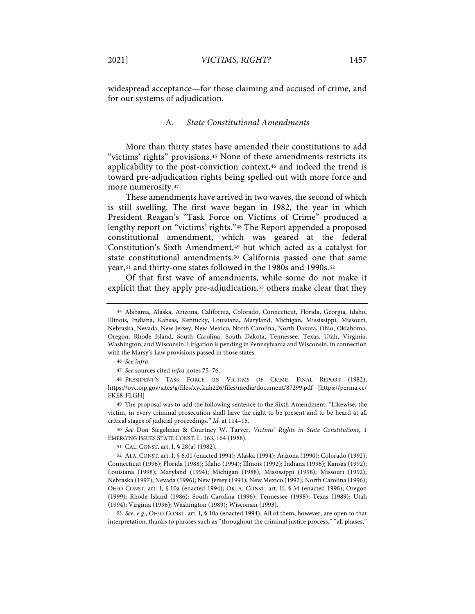widespread acceptance—for those claiming and accused of crime, and for our systems of adjudication.

### A. *State Constitutional Amendments*

More than thirty states have amended their constitutions to add "victims' rights" provisions.45 None of these amendments restricts its applicability to the post-conviction context,46 and indeed the trend is toward pre-adjudication rights being spelled out with more force and more numerosity.47

These amendments have arrived in two waves, the second of which is still swelling. The first wave began in 1982, the year in which President Reagan's "Task Force on Victims of Crime" produced a lengthy report on "victims' rights."<sup>48</sup> The Report appended a proposed constitutional amendment, which was geared at the federal Constitution's Sixth Amendment,49 but which acted as a catalyst for state constitutional amendments.50 California passed one that same year,51 and thirty-one states followed in the 1980s and 1990s.52

Of that first wave of amendments, while some do not make it explicit that they apply pre-adjudication,<sup>53</sup> others make clear that they

50 *See* Don Siegelman & Courtney W. Tarver, *Victims' Rights in State Constitutions*, 1 EMERGING ISSUES STATE CONST. L. 163, 164 (1988).

51 CAL. CONST. art. I, § 28(a) (1982).

53 *See, e.g.*, OHIO CONST. art. I, § 10a (enacted 1994). All of them, however, are open to that interpretation, thanks to phrases such as "throughout the criminal justice process," "all phases,"

<sup>45</sup> Alabama, Alaska, Arizona, California, Colorado, Connecticut, Florida, Georgia, Idaho, Illinois, Indiana, Kansas, Kentucky, Louisiana, Maryland, Michigan, Mississippi, Missouri, Nebraska, Nevada, New Jersey, New Mexico, North Carolina, North Dakota, Ohio, Oklahoma, Oregon, Rhode Island, South Carolina, South Dakota, Tennessee, Texas, Utah, Virginia, Washington, and Wisconsin. Litigation is pending in Pennsylvania and Wisconsin, in connection with the Marsy's Law provisions passed in those states.

<sup>46</sup> *See infra*.

<sup>47</sup> *See* sources cited *infra* notes 75–76.

<sup>48</sup> PRESIDENT'S TASK FORCE ON VICTIMS OF CRIME, FINAL REPORT (1982), https://ovc.ojp.gov/sites/g/files/xyckuh226/files/media/document/87299.pdf [https://perma.cc/ FKE8-FLGH]

<sup>49</sup> The proposal was to add the following sentence to the Sixth Amendment: "Likewise, the victim, in every criminal prosecution shall have the right to be present and to be heard at all critical stages of judicial proceedings." *Id.* at 114–15.

<sup>52</sup> ALA. CONST. art. I, § 6.01 (enacted 1994); Alaska (1994); Arizona (1990); Colorado (1992); Connecticut (1996); Florida (1988); Idaho (1994); Illinois (1992); Indiana (1996); Kansas (1992); Louisiana (1998); Maryland (1994); Michigan (1988), Mississippi (1998); Missouri (1992); Nebraska (1997); Nevada (1996); New Jersey (1991); New Mexico (1992); North Carolina (1996); OHIO CONST. art. I, § 10a (enacted 1994); OKLA. CONST. art. II, § 34 (enacted 1996); Oregon (1999); Rhode Island (1986); South Carolina (1996); Tennessee (1998); Texas (1989); Utah (1994); Virginia (1996); Washington (1989); Wisconsin (1993).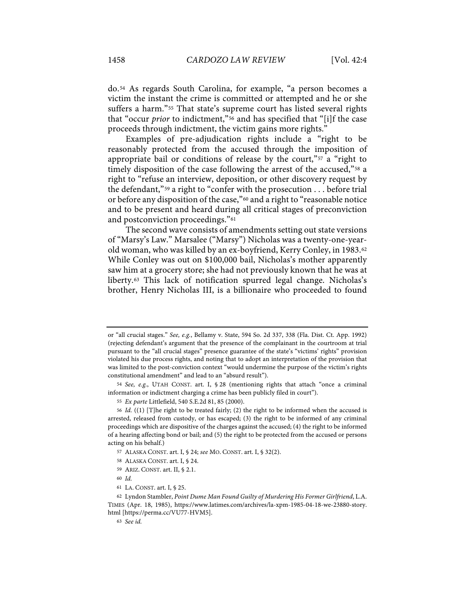do.54 As regards South Carolina, for example, "a person becomes a victim the instant the crime is committed or attempted and he or she suffers a harm."55 That state's supreme court has listed several rights that "occur *prior* to indictment,"56 and has specified that "[i]f the case proceeds through indictment, the victim gains more rights."

Examples of pre-adjudication rights include a "right to be reasonably protected from the accused through the imposition of appropriate bail or conditions of release by the court,"57 a "right to timely disposition of the case following the arrest of the accused,"58 a right to "refuse an interview, deposition, or other discovery request by the defendant,"<sup>59</sup> a right to "confer with the prosecution  $\dots$  before trial or before any disposition of the case,"60 and a right to "reasonable notice and to be present and heard during all critical stages of preconviction and postconviction proceedings."61

The second wave consists of amendments setting out state versions of "Marsy's Law." Marsalee ("Marsy") Nicholas was a twenty-one-yearold woman, who was killed by an ex-boyfriend, Kerry Conley, in 1983.62 While Conley was out on \$100,000 bail, Nicholas's mother apparently saw him at a grocery store; she had not previously known that he was at liberty.63 This lack of notification spurred legal change. Nicholas's brother, Henry Nicholas III, is a billionaire who proceeded to found

- 57 ALASKA CONST. art. I, § 24; *see* MO. CONST. art. I, § 32(2).
- 58 ALASKA CONST. art. I, § 24.
- 59 ARIZ. CONST. art. II, § 2.1.
- 60 *Id.*
- 61 LA. CONST. art. I, § 25.

or "all crucial stages." *See, e.g.*, Bellamy v. State, 594 So. 2d 337, 338 (Fla. Dist. Ct. App. 1992) (rejecting defendant's argument that the presence of the complainant in the courtroom at trial pursuant to the "all crucial stages" presence guarantee of the state's "victims' rights" provision violated his due process rights, and noting that to adopt an interpretation of the provision that was limited to the post-conviction context "would undermine the purpose of the victim's rights constitutional amendment" and lead to an "absurd result").

<sup>54</sup> *See, e.g.*, UTAH CONST. art. I, § 28 (mentioning rights that attach "once a criminal information or indictment charging a crime has been publicly filed in court").

<sup>55</sup> *Ex parte* Littlefield, 540 S.E.2d 81, 85 (2000).

<sup>56</sup> *Id.* ((1) [T]he right to be treated fairly; (2) the right to be informed when the accused is arrested, released from custody, or has escaped; (3) the right to be informed of any criminal proceedings which are dispositive of the charges against the accused; (4) the right to be informed of a hearing affecting bond or bail; and (5) the right to be protected from the accused or persons acting on his behalf.)

<sup>62</sup> Lyndon Stambler, *Point Dume Man Found Guilty of Murdering His Former Girlfriend*, L.A. TIMES (Apr. 18, 1985), https://www.latimes.com/archives/la-xpm-1985-04-18-we-23880-story. html [https://perma.cc/VU77-HVM5].

<sup>63</sup> *See id.*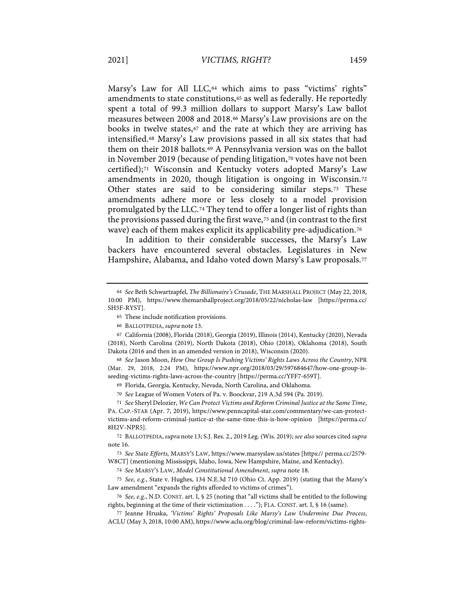Marsy's Law for All LLC,<sup>64</sup> which aims to pass "victims' rights" amendments to state constitutions,<sup>65</sup> as well as federally. He reportedly spent a total of 99.3 million dollars to support Marsy's Law ballot measures between 2008 and 2018.66 Marsy's Law provisions are on the books in twelve states,<sup>67</sup> and the rate at which they are arriving has intensified.68 Marsy's Law provisions passed in all six states that had them on their 2018 ballots.69 A Pennsylvania version was on the ballot in November 2019 (because of pending litigation,70 votes have not been certified);71 Wisconsin and Kentucky voters adopted Marsy's Law amendments in 2020, though litigation is ongoing in Wisconsin.72 Other states are said to be considering similar steps.73 These amendments adhere more or less closely to a model provision promulgated by the LLC.74 They tend to offer a longer list of rights than the provisions passed during the first wave,<sup>75</sup> and (in contrast to the first wave) each of them makes explicit its applicability pre-adjudication.76

In addition to their considerable successes, the Marsy's Law backers have encountered several obstacles. Legislatures in New Hampshire, Alabama, and Idaho voted down Marsy's Law proposals.<sup>77</sup>

66 BALLOTPEDIA, *supra* note 13.

69 Florida, Georgia, Kentucky, Nevada, North Carolina, and Oklahoma.

70 *See* League of Women Voters of Pa. v. Boockvar, 219 A.3d 594 (Pa. 2019).

71 *See* Sheryl Delozier, *We Can Protect Victims and Reform Criminal Justice at the Same Time*, PA. CAP.-STAR (Apr. 7, 2019), https://www.penncapital-star.com/commentary/we-can-protectvictims-and-reform-criminal-justice-at-the-same-time-this-is-how-opinion [https://perma.cc/ 8H2V-NPR5].

72 BALLOTPEDIA, *supra* note 13; S.J. Res. 2., 2019 Leg. (Wis. 2019); *see also* sources cited *supra* note 16.

73 *See State Efforts,* MARSY'S LAW, https://www.marsyslaw.us/states [https:// perma.cc/2579- W8CT] (mentioning Mississippi, Idaho, Iowa, New Hampshire, Maine, and Kentucky).

74 *See* MARSY'S LAW, *Model Constitutional Amendment*, *supra* note 18.

75 *See, e.g.*, State v. Hughes, 134 N.E.3d 710 (Ohio Ct. App. 2019) (stating that the Marsy's Law amendment "expands the rights afforded to victims of crimes").

76 *See, e.g.*, N.D. CONST. art. I, § 25 (noting that "all victims shall be entitled to the following rights, beginning at the time of their victimization . . . ."); FLA. CONST. art. I, § 16 (same).

77 Jeanne Hruska, *'Victims' Rights' Proposals Like Marsy's Law Undermine Due Process*, ACLU (May 3, 2018, 10:00 AM), https://www.aclu.org/blog/criminal-law-reform/victims-rights-

<sup>64</sup> *See* Beth Schwartzapfel, *The Billionaire's Crusade*, THE MARSHALL PROJECT (May 22, 2018, 10:00 PM), https://www.themarshallproject.org/2018/05/22/nicholas-law [https://perma.cc/ SH5F-RYST].

<sup>65</sup> These include notification provisions.

<sup>67</sup> California (2008), Florida (2018), Georgia (2019), Illinois (2014), Kentucky (2020), Nevada (2018), North Carolina (2019), North Dakota (2018), Ohio (2018), Oklahoma (2018), South Dakota (2016 and then in an amended version in 2018), Wisconsin (2020).

<sup>68</sup> *See* Jason Moon, *How One Group Is Pushing Victims' Rights Laws Across the Country*, NPR (Mar. 29, 2018, 2:24 PM), https://www.npr.org/2018/03/29/597684647/how-one-group-isseeding-victims-rights-laws-across-the-country [https://perma.cc/YFF7-659T].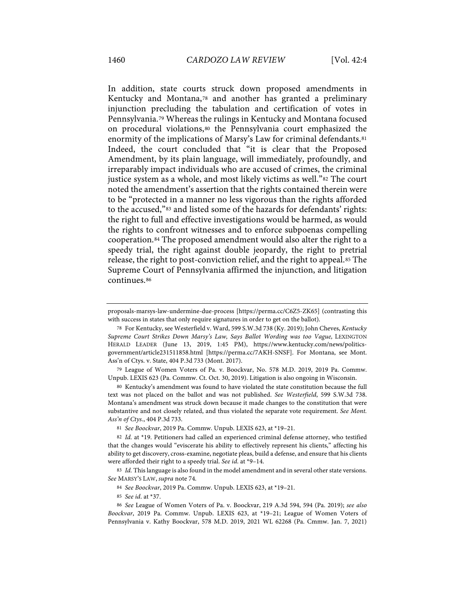In addition, state courts struck down proposed amendments in Kentucky and Montana,78 and another has granted a preliminary injunction precluding the tabulation and certification of votes in Pennsylvania.79 Whereas the rulings in Kentucky and Montana focused on procedural violations,80 the Pennsylvania court emphasized the enormity of the implications of Marsy's Law for criminal defendants.81 Indeed, the court concluded that "it is clear that the Proposed Amendment, by its plain language, will immediately, profoundly, and irreparably impact individuals who are accused of crimes, the criminal justice system as a whole, and most likely victims as well."<sup>82</sup> The court noted the amendment's assertion that the rights contained therein were to be "protected in a manner no less vigorous than the rights afforded to the accused,"83 and listed some of the hazards for defendants' rights: the right to full and effective investigations would be harmed, as would the rights to confront witnesses and to enforce subpoenas compelling cooperation.84 The proposed amendment would also alter the right to a speedy trial, the right against double jeopardy, the right to pretrial release, the right to post-conviction relief, and the right to appeal.85 The Supreme Court of Pennsylvania affirmed the injunction, and litigation continues.86

79 League of Women Voters of Pa. v. Boockvar, No. 578 M.D. 2019, 2019 Pa. Commw. Unpub. LEXIS 623 (Pa. Commw. Ct. Oct. 30, 2019). Litigation is also ongoing in Wisconsin.

80 Kentucky's amendment was found to have violated the state constitution because the full text was not placed on the ballot and was not published. *See Westerfield*, 599 S.W.3d 738. Montana's amendment was struck down because it made changes to the constitution that were substantive and not closely related, and thus violated the separate vote requirement. *See Mont. Ass'n of Ctys.*, 404 P.3d 733.

83 *Id.* This language is also found in the model amendment and in several other state versions. *See* MARSY'S LAW, *supra* note 74.

85 *See id*. at \*37.

proposals-marsys-law-undermine-due-process [https://perma.cc/C6Z5-ZK65] (contrasting this with success in states that only require signatures in order to get on the ballot).

<sup>78</sup> For Kentucky, see Westerfield v. Ward, 599 S.W.3d 738 (Ky. 2019); John Cheves, *Kentucky Supreme Court Strikes Down Marsy's Law, Says Ballot Wording was too Vague,* LEXINGTON HERALD LEADER (June 13, 2019, 1:45 PM), https://www.kentucky.com/news/politicsgovernment/article231511858.html [https://perma.cc/7AKH-SNSF]. For Montana, see Mont. Ass'n of Ctys. v. State, 404 P.3d 733 (Mont. 2017).

<sup>81</sup> *See Boockvar*, 2019 Pa. Commw. Unpub. LEXIS 623, at \*19–21.

<sup>82</sup> *Id.* at \*19. Petitioners had called an experienced criminal defense attorney, who testified that the changes would "eviscerate his ability to effectively represent his clients," affecting his ability to get discovery, cross-examine, negotiate pleas, build a defense, and ensure that his clients were afforded their right to a speedy trial. *See id*. at \*9–14.

<sup>84</sup> *See Boockvar*, 2019 Pa. Commw. Unpub. LEXIS 623, at \*19–21.

<sup>86</sup> *See* League of Women Voters of Pa. v. Boockvar, 219 A.3d 594, 594 (Pa. 2019); *see also Boockvar*, 2019 Pa. Commw. Unpub. LEXIS 623, at \*19–21; League of Women Voters of Pennsylvania v. Kathy Boockvar, 578 M.D. 2019, 2021 WL 62268 (Pa. Cmmw. Jan. 7, 2021)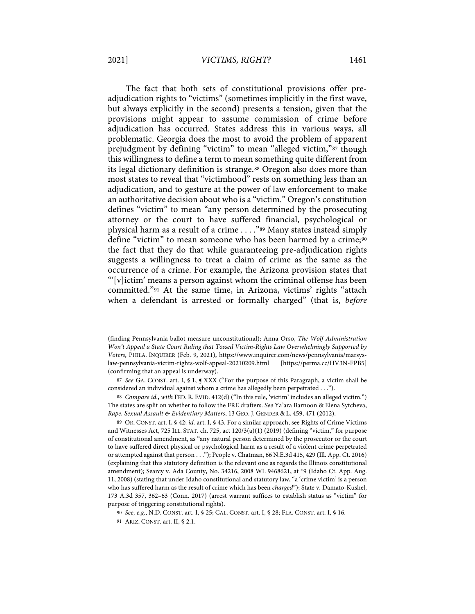#### 2021] *VICTIMS, RIGHT?* 1461

The fact that both sets of constitutional provisions offer preadjudication rights to "victims" (sometimes implicitly in the first wave, but always explicitly in the second) presents a tension, given that the provisions might appear to assume commission of crime before adjudication has occurred. States address this in various ways, all problematic. Georgia does the most to avoid the problem of apparent prejudgment by defining "victim" to mean "alleged victim,"87 though this willingness to define a term to mean something quite different from its legal dictionary definition is strange.<sup>88</sup> Oregon also does more than most states to reveal that "victimhood" rests on something less than an adjudication, and to gesture at the power of law enforcement to make an authoritative decision about who is a "victim." Oregon's constitution defines "victim" to mean "any person determined by the prosecuting attorney or the court to have suffered financial, psychological or physical harm as a result of a crime . . . ."89 Many states instead simply define "victim" to mean someone who has been harmed by a crime;<sup>90</sup> the fact that they do that while guaranteeing pre-adjudication rights suggests a willingness to treat a claim of crime as the same as the occurrence of a crime. For example, the Arizona provision states that "'[v]ictim' means a person against whom the criminal offense has been committed."91 At the same time, in Arizona, victims' rights "attach when a defendant is arrested or formally charged" (that is, *before* 

<sup>(</sup>finding Pennsylvania ballot measure unconstitutional); Anna Orso, *The Wolf Administration Won't Appeal a State Court Ruling that Tossed Victim-Rights Law Overwhelmingly Supported by Voters*, PHILA. INQUIRER (Feb. 9, 2021), https://www.inquirer.com/news/pennsylvania/marsyslaw-pennsylvania-victim-rights-wolf-appeal-20210209.html [https://perma.cc/HV3N-FPB5] (confirming that an appeal is underway).

<sup>87</sup> *See* GA. CONST. art. I, § 1, ¶ XXX ("For the purpose of this Paragraph, a victim shall be considered an individual against whom a crime has allegedly been perpetrated . . .").

<sup>88</sup> *Compare id.*, *with* FED. R. EVID. 412(d) ("In this rule, 'victim' includes an alleged victim.") The states are split on whether to follow the FRE drafters. *See* Ya'ara Barnoon & Elena Sytcheva, *Rape, Sexual Assault & Evidentiary Matters*, 13 GEO. J. GENDER & L. 459, 471 (2012).

<sup>89</sup> OR. CONST. art. I, § 42; *id.* art. I, § 43. For a similar approach, see Rights of Crime Victims and Witnesses Act, 725 ILL. STAT. ch. 725, act 120/3(a)(1) (2019) (defining "victim," for purpose of constitutional amendment, as "any natural person determined by the prosecutor or the court to have suffered direct physical or psychological harm as a result of a violent crime perpetrated or attempted against that person . . ."); People v. Chatman, 66 N.E.3d 415, 429 (Ill. App. Ct. 2016) (explaining that this statutory definition is the relevant one as regards the Illinois constitutional amendment); Searcy v. Ada County, No. 34216, 2008 WL 9468621, at \*9 (Idaho Ct. App. Aug. 11, 2008) (stating that under Idaho constitutional and statutory law, "a 'crime victim' is a person who has suffered harm as the result of crime which has been *charged*"); State v. Damato-Kushel, 173 A.3d 357, 362–63 (Conn. 2017) (arrest warrant suffices to establish status as "victim" for purpose of triggering constitutional rights).

<sup>90</sup> *See, e.g.*, N.D. CONST. art. I, § 25; CAL. CONST. art. I, § 28; FLA. CONST. art. I, § 16.

<sup>91</sup> ARIZ. CONST. art. II, § 2.1.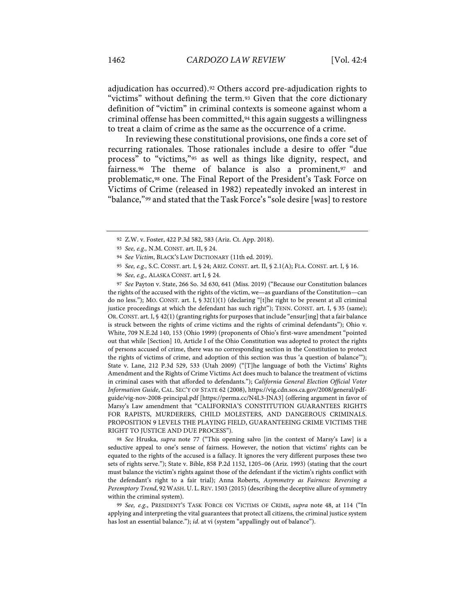adjudication has occurred).92 Others accord pre-adjudication rights to "victims" without defining the term.93 Given that the core dictionary definition of "victim" in criminal contexts is someone against whom a criminal offense has been committed,94 this again suggests a willingness to treat a claim of crime as the same as the occurrence of a crime.

In reviewing these constitutional provisions, one finds a core set of recurring rationales. Those rationales include a desire to offer "due process" to "victims,"95 as well as things like dignity, respect, and fairness.96 The theme of balance is also a prominent,97 and problematic,98 one. The Final Report of the President's Task Force on Victims of Crime (released in 1982) repeatedly invoked an interest in "balance,"99 and stated that the Task Force's "sole desire [was] to restore

97 *See* Payton v. State, 266 So. 3d 630, 641 (Miss. 2019) ("Because our Constitution balances the rights of the accused with the rights of the victim, we—as guardians of the Constitution—can do no less."); MO. CONST. art. I, § 32(1)(1) (declaring "[t]he right to be present at all criminal justice proceedings at which the defendant has such right"); TENN. CONST. art. I, § 35 (same); OR.CONST. art. I, § 42(1) (granting rights for purposes that include "ensur[ing] that a fair balance is struck between the rights of crime victims and the rights of criminal defendants"); Ohio v. White, 709 N.E.2d 140, 153 (Ohio 1999) (proponents of Ohio's first-wave amendment "pointed out that while [Section] 10, Article I of the Ohio Constitution was adopted to protect the rights of persons accused of crime, there was no corresponding section in the Constitution to protect the rights of victims of crime, and adoption of this section was thus 'a question of balance'"); State v. Lane, 212 P.3d 529, 533 (Utah 2009) ("[T]he language of both the Victims' Rights Amendment and the Rights of Crime Victims Act does much to balance the treatment of victims in criminal cases with that afforded to defendants."); *California General Election Official Voter Information Guide*, CAL. SEC'Y OF STATE 62 (2008), https://vig.cdn.sos.ca.gov/2008/general/pdfguide/vig-nov-2008-principal.pdf [https://perma.cc/N4L3-JNA3] (offering argument in favor of Marsy's Law amendment that "CALIFORNIA'S CONSTITUTION GUARANTEES RIGHTS FOR RAPISTS, MURDERERS, CHILD MOLESTERS, AND DANGEROUS CRIMINALS. PROPOSITION 9 LEVELS THE PLAYING FIELD, GUARANTEEING CRIME VICTIMS THE RIGHT TO JUSTICE AND DUE PROCESS").

98 *See* Hruska, *supra* note 77 ("This opening salvo [in the context of Marsy's Law] is a seductive appeal to one's sense of fairness. However, the notion that victims' rights can be equated to the rights of the accused is a fallacy. It ignores the very different purposes these two sets of rights serve."); State v. Bible, 858 P.2d 1152, 1205–06 (Ariz. 1993) (stating that the court must balance the victim's rights against those of the defendant if the victim's rights conflict with the defendant's right to a fair trial); Anna Roberts, *Asymmetry as Fairness: Reversing a Peremptory Trend*, 92 WASH. U. L. REV. 1503 (2015) (describing the deceptive allure of symmetry within the criminal system).

99 *See, e.g.*, PRESIDENT'S TASK FORCE ON VICTIMS OF CRIME, *supra* note 48, at 114 ("In applying and interpreting the vital guarantees that protect all citizens, the criminal justice system has lost an essential balance."); *id.* at vi (system "appallingly out of balance").

<sup>92</sup> Z.W. v. Foster, 422 P.3d 582, 583 (Ariz. Ct. App. 2018).

<sup>93</sup> *See, e.g.,* N.M. CONST. art. II, § 24.

<sup>94</sup> *See Victim*, BLACK'S LAW DICTIONARY (11th ed. 2019).

<sup>95</sup> *See, e.g.,* S.C. CONST. art. I, § 24; ARIZ. CONST. art. II, § 2.1(A); FLA. CONST. art. I, § 16.

<sup>96</sup> *See, e.g.,* ALASKA CONST. art I, § 24.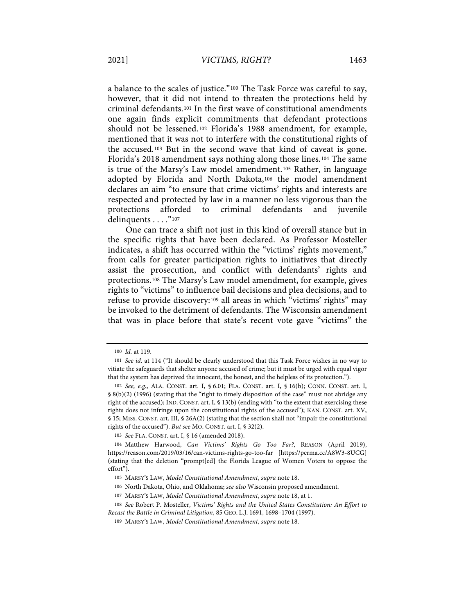a balance to the scales of justice."100 The Task Force was careful to say, however, that it did not intend to threaten the protections held by criminal defendants.101 In the first wave of constitutional amendments one again finds explicit commitments that defendant protections should not be lessened.102 Florida's 1988 amendment, for example, mentioned that it was not to interfere with the constitutional rights of the accused.103 But in the second wave that kind of caveat is gone. Florida's 2018 amendment says nothing along those lines.104 The same is true of the Marsy's Law model amendment.105 Rather, in language adopted by Florida and North Dakota,106 the model amendment declares an aim "to ensure that crime victims' rights and interests are respected and protected by law in a manner no less vigorous than the protections afforded to criminal defendants and juvenile delinquents . . . . "107

One can trace a shift not just in this kind of overall stance but in the specific rights that have been declared. As Professor Mosteller indicates, a shift has occurred within the "victims' rights movement," from calls for greater participation rights to initiatives that directly assist the prosecution, and conflict with defendants' rights and protections.108 The Marsy's Law model amendment, for example, gives rights to "victims" to influence bail decisions and plea decisions, and to refuse to provide discovery:109 all areas in which "victims' rights" may be invoked to the detriment of defendants. The Wisconsin amendment that was in place before that state's recent vote gave "victims" the

<sup>100</sup> *Id.* at 119.

<sup>101</sup> *See id.* at 114 ("It should be clearly understood that this Task Force wishes in no way to vitiate the safeguards that shelter anyone accused of crime; but it must be urged with equal vigor that the system has deprived the innocent, the honest, and the helpless of its protection.").

<sup>102</sup> *See, e.g.*, ALA. CONST. art. I, § 6.01; FLA. CONST. art. I, § 16(b); CONN. CONST. art. I, § 8(b)(2) (1996) (stating that the "right to timely disposition of the case" must not abridge any right of the accused); IND. CONST. art. I, § 13(b) (ending with "to the extent that exercising these rights does not infringe upon the constitutional rights of the accused"); KAN. CONST. art. XV, § 15; MISS. CONST. art. III, § 26A(2) (stating that the section shall not "impair the constitutional rights of the accused"). *But see* MO. CONST. art. I, § 32(2).

<sup>103</sup> *See* FLA. CONST. art. I, § 16 (amended 2018).

<sup>104</sup> Matthew Harwood, *Can Victims' Rights Go Too Far?*, REASON (April 2019), https://reason.com/2019/03/16/can-victims-rights-go-too-far [https://perma.cc/A8W3-8UCG] (stating that the deletion "prompt[ed] the Florida League of Women Voters to oppose the effort").

<sup>105</sup> MARSY'S LAW, *Model Constitutional Amendment*, *supra* note 18.

<sup>106</sup> North Dakota, Ohio, and Oklahoma; *see also* Wisconsin proposed amendment.

<sup>107</sup> MARSY'S LAW, *Model Constitutional Amendment*, *supra* note 18, at 1.

<sup>108</sup> *See* Robert P. Mosteller, *Victims' Rights and the United States Constitution: An Effort to Recast the Battle in Criminal Litigation*, 85 GEO. L.J. 1691, 1698–1704 (1997).

<sup>109</sup> MARSY'S LAW, *Model Constitutional Amendment*, *supra* note 18.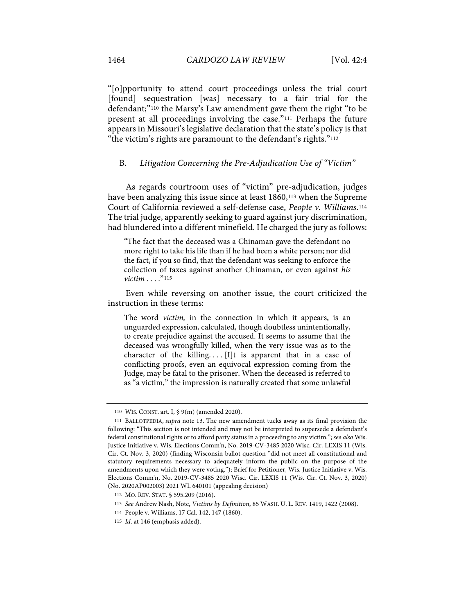"[o]pportunity to attend court proceedings unless the trial court [found] sequestration [was] necessary to a fair trial for the defendant;"110 the Marsy's Law amendment gave them the right "to be present at all proceedings involving the case."111 Perhaps the future appears in Missouri's legislative declaration that the state's policy is that "the victim's rights are paramount to the defendant's rights."112

# B. *Litigation Concerning the Pre-Adjudication Use of "Victim"*

As regards courtroom uses of "victim" pre-adjudication, judges have been analyzing this issue since at least 1860,<sup>113</sup> when the Supreme Court of California reviewed a self-defense case, *People v. Williams*.114 The trial judge, apparently seeking to guard against jury discrimination, had blundered into a different minefield. He charged the jury as follows:

"The fact that the deceased was a Chinaman gave the defendant no more right to take his life than if he had been a white person; nor did the fact, if you so find, that the defendant was seeking to enforce the collection of taxes against another Chinaman, or even against *his victim* . . . . "<sup>115</sup>

Even while reversing on another issue, the court criticized the instruction in these terms:

The word *victim,* in the connection in which it appears, is an unguarded expression, calculated, though doubtless unintentionally, to create prejudice against the accused. It seems to assume that the deceased was wrongfully killed, when the very issue was as to the character of the killing.... [I]t is apparent that in a case of conflicting proofs, even an equivocal expression coming from the Judge, may be fatal to the prisoner. When the deceased is referred to as "a victim," the impression is naturally created that some unlawful

<sup>110</sup> WIS. CONST. art. I, § 9(m) (amended 2020).

<sup>111</sup> BALLOTPEDIA, *supra* note 13. The new amendment tucks away as its final provision the following: "This section is not intended and may not be interpreted to supersede a defendant's federal constitutional rights or to afford party status in a proceeding to any victim."; *see also* Wis. Justice Initiative v. Wis. Elections Comm'n, No. 2019-CV-3485 2020 Wisc. Cir. LEXIS 11 (Wis. Cir. Ct. Nov. 3, 2020) (finding Wisconsin ballot question "did not meet all constitutional and statutory requirements necessary to adequately inform the public on the purpose of the amendments upon which they were voting."); Brief for Petitioner, Wis. Justice Initiative v. Wis. Elections Comm'n, No. 2019-CV-3485 2020 Wisc. Cir. LEXIS 11 (Wis. Cir. Ct. Nov. 3, 2020) (No. 2020AP002003) 2021 WL 640101 (appealing decision)

<sup>112</sup> MO. REV. STAT. § 595.209 (2016).

<sup>113</sup> *See* Andrew Nash, Note, *Victims by Definition*, 85 WASH. U. L. REV. 1419, 1422 (2008).

<sup>114</sup> People v. Williams, 17 Cal. 142, 147 (1860).

<sup>115</sup> *Id*. at 146 (emphasis added).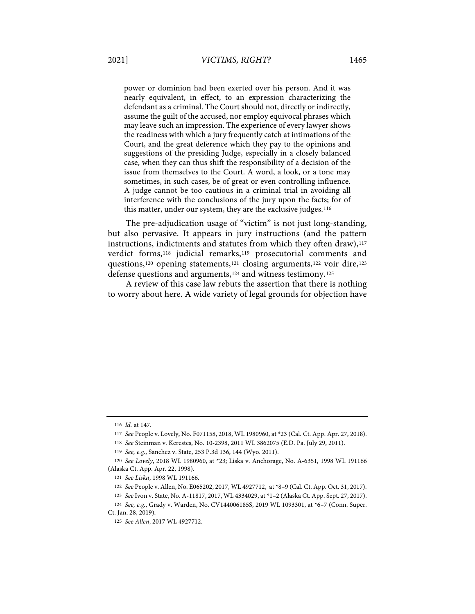power or dominion had been exerted over his person. And it was nearly equivalent, in effect, to an expression characterizing the defendant as a criminal. The Court should not, directly or indirectly, assume the guilt of the accused, nor employ equivocal phrases which may leave such an impression. The experience of every lawyer shows the readiness with which a jury frequently catch at intimations of the Court, and the great deference which they pay to the opinions and suggestions of the presiding Judge, especially in a closely balanced case, when they can thus shift the responsibility of a decision of the issue from themselves to the Court. A word, a look, or a tone may sometimes, in such cases, be of great or even controlling influence. A judge cannot be too cautious in a criminal trial in avoiding all interference with the conclusions of the jury upon the facts; for of this matter, under our system, they are the exclusive judges.116

The pre-adjudication usage of "victim" is not just long-standing, but also pervasive. It appears in jury instructions (and the pattern instructions, indictments and statutes from which they often draw), $117$ verdict forms,118 judicial remarks,119 prosecutorial comments and questions,120 opening statements,121 closing arguments,122 voir dire,123 defense questions and arguments,124 and witness testimony.125

A review of this case law rebuts the assertion that there is nothing to worry about here. A wide variety of legal grounds for objection have

<sup>116</sup> *Id.* at 147.

<sup>117</sup> *See* People v. Lovely, No. F071158, 2018, WL 1980960, at \*23 (Cal. Ct. App. Apr. 27, 2018).

<sup>118</sup> *See* Steinman v. Kerestes, No. 10-2398, 2011 WL 3862075 (E.D. Pa. July 29, 2011).

<sup>119</sup> *See, e.g.*, Sanchez v. State, 253 P.3d 136, 144 (Wyo. 2011).

<sup>120</sup> *See Lovely*, 2018 WL 1980960, at \*23; Liska v. Anchorage, No. A-6351, 1998 WL 191166 (Alaska Ct. App. Apr. 22, 1998).

<sup>121</sup> *See Liska*, 1998 WL 191166.

<sup>122</sup> *See* People v. Allen, No. E065202, 2017, WL 4927712, at \*8–9 (Cal. Ct. App. Oct. 31, 2017).

<sup>123</sup> *See* Ivon v. State, No. A-11817, 2017, WL 4334029, at \*1–2 (Alaska Ct. App. Sept. 27, 2017).

<sup>124</sup> *See, e.g.*, Grady v. Warden, No. CV144006185S, 2019 WL 1093301, at \*6–7 (Conn. Super. Ct. Jan. 28, 2019).

<sup>125</sup> *See Allen*, 2017 WL 4927712.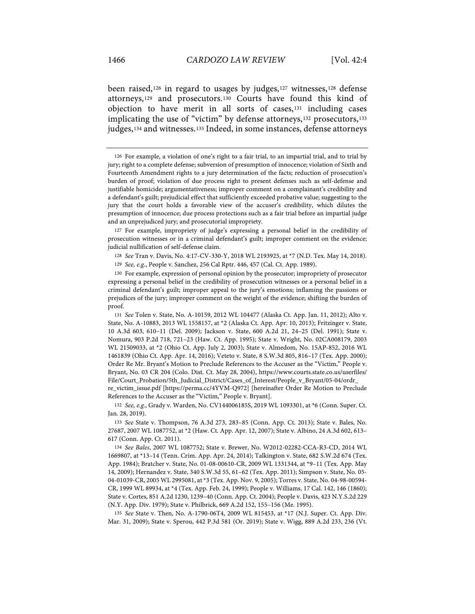been raised,126 in regard to usages by judges,127 witnesses,128 defense attorneys,129 and prosecutors.130 Courts have found this kind of objection to have merit in all sorts of cases,131 including cases implicating the use of "victim" by defense attorneys,132 prosecutors,133 judges,134 and witnesses.135 Indeed, in some instances, defense attorneys

127 For example, impropriety of judge's expressing a personal belief in the credibility of prosecution witnesses or in a criminal defendant's guilt; improper comment on the evidence; judicial nullification of self-defense claim.

128 *See* Tran v. Davis, No. 4:17-CV-330-Y, 2018 WL 2193925, at \*7 (N.D. Tex. May 14, 2018).

129 *See, e.g.*, People v. Sanchez, 256 Cal Rptr. 446, 457 (Cal. Ct. App. 1989).

130 For example, expression of personal opinion by the prosecutor; impropriety of prosecutor expressing a personal belief in the credibility of prosecution witnesses or a personal belief in a criminal defendant's guilt; improper appeal to the jury's emotions; inflaming the passions or prejudices of the jury; improper comment on the weight of the evidence; shifting the burden of proof.

131 *See* Tolen v. State, No. A-10159, 2012 WL 104477 (Alaska Ct. App. Jan. 11, 2012); Alto v. State, No. A-10883, 2013 WL 1558157, at \*2 (Alaska Ct. App. Apr. 10, 2013); Fritzinger v. State, 10 A.3d 603, 610–11 (Del. 2009); Jackson v. State, 600 A.2d 21, 24–25 (Del. 1991); State v. Nomura, 903 P.2d 718, 721–23 (Haw. Ct. App. 1995); State v. Wright, No. 02CA008179, 2003 WL 21509033, at \*2 (Ohio Ct. App. July 2, 2003); State v. Almedom, No. 15AP-852, 2016 WL 1461839 (Ohio Ct. App. Apr. 14, 2016); Veteto v. State, 8 S.W.3d 805, 816–17 (Tex. App. 2000); Order Re Mr. Bryant's Motion to Preclude References to the Accuser as the "Victim," People v. Bryant, No. 03 CR 204 (Colo. Dist. Ct. May 28, 2004), https://www.courts.state.co.us/userfiles/ File/Court\_Probation/5th\_Judicial\_District/Cases\_of\_Interest/People\_v\_Bryant/05-04/ordr\_ re\_victim\_issue.pdf [https://perma.cc/4YVM-Q972] [hereinafter Order Re Motion to Preclude

References to the Accuser as the "Victim," People v. Bryant]. 132 *See, e.g.*, Grady v. Warden, No. CV144006185S, 2019 WL 1093301, at \*6 (Conn. Super. Ct.

Jan. 28, 2019).

133 *See* State v. Thompson, 76 A.3d 273, 283–85 (Conn. App. Ct. 2013); State v. Bales, No. 27687, 2007 WL 1087752, at \*2 (Haw. Ct. App. Apr. 12, 2007); State v. Albino, 24 A.3d 602, 613– 617 (Conn. App. Ct. 2011).

134 *See Bales*, 2007 WL 1087752; State v. Brewer, No. W2012-02282-CCA-R3-CD, 2014 WL 1669807, at \*13–14 (Tenn. Crim. App. Apr. 24, 2014); Talkington v. State, 682 S.W.2d 674 (Tex. App. 1984); Bratcher v. State, No. 01-08-00610-CR, 2009 WL 1331344, at \*9–11 (Tex. App. May 14, 2009); Hernandez v. State, 340 S.W.3d 55, 61–62 (Tex. App. 2011); Simpson v. State, No. 05- 04-01039-CR, 2005 WL 2995081, at \*3 (Tex. App. Nov. 9, 2005); Torres v. State, No. 04-98-00594- CR, 1999 WL 89934, at \*4 (Tex. App. Feb. 24, 1999); People v. Williams, 17 Cal. 142, 146 (1860); State v. Cortes, 851 A.2d 1230, 1239–40 (Conn. App. Ct. 2004); People v. Davis, 423 N.Y.S.2d 229 (N.Y. App. Div. 1979); State v. Philbrick, 669 A.2d 152, 155–156 (Me. 1995).

135 *See* State v. Then, No. A-1790-06T4, 2009 WL 815453, at \*17 (N.J. Super. Ct. App. Div. Mar. 31, 2009); State v. Sperou, 442 P.3d 581 (Or. 2019); State v. Wigg, 889 A.2d 233, 236 (Vt.

<sup>126</sup> For example, a violation of one's right to a fair trial, to an impartial trial, and to trial by jury; right to a complete defense; subversion of presumption of innocence; violation of Sixth and Fourteenth Amendment rights to a jury determination of the facts; reduction of prosecution's burden of proof; violation of due process right to present defenses such as self-defense and justifiable homicide; argumentativeness; improper comment on a complainant's credibility and a defendant's guilt; prejudicial effect that sufficiently exceeded probative value; suggesting to the jury that the court holds a favorable view of the accuser's credibility, which dilutes the presumption of innocence; due process protections such as a fair trial before an impartial judge and an unprejudiced jury; and prosecutorial impropriety.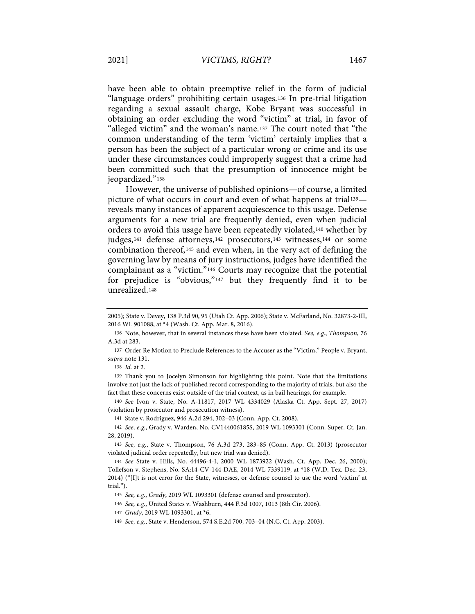have been able to obtain preemptive relief in the form of judicial "language orders" prohibiting certain usages.136 In pre-trial litigation regarding a sexual assault charge, Kobe Bryant was successful in obtaining an order excluding the word "victim" at trial, in favor of "alleged victim" and the woman's name.137 The court noted that "the common understanding of the term 'victim' certainly implies that a person has been the subject of a particular wrong or crime and its use under these circumstances could improperly suggest that a crime had been committed such that the presumption of innocence might be jeopardized."138

However, the universe of published opinions—of course, a limited picture of what occurs in court and even of what happens at trial<sup>139</sup> reveals many instances of apparent acquiescence to this usage. Defense arguments for a new trial are frequently denied, even when judicial orders to avoid this usage have been repeatedly violated,140 whether by judges,<sup>141</sup> defense attorneys,<sup>142</sup> prosecutors,<sup>143</sup> witnesses,<sup>144</sup> or some combination thereof,145 and even when, in the very act of defining the governing law by means of jury instructions, judges have identified the complainant as a "victim."146 Courts may recognize that the potential for prejudice is "obvious,"147 but they frequently find it to be unrealized.148

139 Thank you to Jocelyn Simonson for highlighting this point. Note that the limitations involve not just the lack of published record corresponding to the majority of trials, but also the fact that these concerns exist outside of the trial context, as in bail hearings, for example.

140 *See* Ivon v. State, No. A-11817, 2017 WL 4334029 (Alaska Ct. App. Sept. 27, 2017) (violation by prosecutor and prosecution witness).

<sup>2005);</sup> State v. Devey, 138 P.3d 90, 95 (Utah Ct. App. 2006); State v. McFarland, No. 32873-2-III, 2016 WL 901088, at \*4 (Wash. Ct. App. Mar. 8, 2016).

<sup>136</sup> Note, however, that in several instances these have been violated. *See, e.g.*, *Thompson*, 76 A.3d at 283.

<sup>137</sup> Order Re Motion to Preclude References to the Accuser as the "Victim," People v. Bryant, *supra* note 131.

<sup>138</sup> *Id.* at 2.

<sup>141</sup> State v. Rodriguez, 946 A.2d 294, 302–03 (Conn. App. Ct. 2008).

<sup>142</sup> *See, e.g*., Grady v. Warden, No. CV144006185S, 2019 WL 1093301 (Conn. Super. Ct. Jan. 28, 2019).

<sup>143</sup> *See, e.g.*, State v. Thompson, 76 A.3d 273, 283–85 (Conn. App. Ct. 2013) (prosecutor violated judicial order repeatedly, but new trial was denied).

<sup>144</sup> *See* State v. Hills, No. 44496-4-I, 2000 WL 1873922 (Wash. Ct. App. Dec. 26, 2000); Tollefson v. Stephens, No. SA:14-CV-144-DAE, 2014 WL 7339119, at \*18 (W.D. Tex. Dec. 23, 2014) ("[I]t is not error for the State, witnesses, or defense counsel to use the word 'victim' at trial.").

<sup>145</sup> *See, e.g.*, *Grady*, 2019 WL 1093301 (defense counsel and prosecutor).

<sup>146</sup> *See, e.g.*, United States v. Washburn, 444 F.3d 1007, 1013 (8th Cir. 2006).

<sup>147</sup> *Grady*, 2019 WL 1093301, at \*6.

<sup>148</sup> *See, e.g.*, State v. Henderson, 574 S.E.2d 700, 703–04 (N.C. Ct. App. 2003).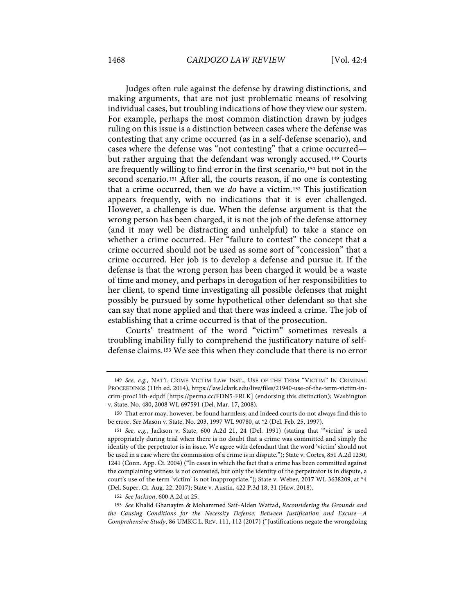Judges often rule against the defense by drawing distinctions, and making arguments, that are not just problematic means of resolving individual cases, but troubling indications of how they view our system. For example, perhaps the most common distinction drawn by judges ruling on this issue is a distinction between cases where the defense was contesting that any crime occurred (as in a self-defense scenario), and cases where the defense was "not contesting" that a crime occurred but rather arguing that the defendant was wrongly accused.149 Courts are frequently willing to find error in the first scenario,150 but not in the second scenario.151 After all, the courts reason, if no one is contesting that a crime occurred, then we *do* have a victim.152 This justification appears frequently, with no indications that it is ever challenged. However, a challenge is due. When the defense argument is that the wrong person has been charged, it is not the job of the defense attorney (and it may well be distracting and unhelpful) to take a stance on whether a crime occurred. Her "failure to contest" the concept that a crime occurred should not be used as some sort of "concession" that a crime occurred. Her job is to develop a defense and pursue it. If the defense is that the wrong person has been charged it would be a waste of time and money, and perhaps in derogation of her responsibilities to her client, to spend time investigating all possible defenses that might possibly be pursued by some hypothetical other defendant so that she can say that none applied and that there was indeed a crime. The job of establishing that a crime occurred is that of the prosecution.

Courts' treatment of the word "victim" sometimes reveals a troubling inability fully to comprehend the justificatory nature of selfdefense claims.153 We see this when they conclude that there is no error

<sup>149</sup> *See, e.g.*, NAT'L CRIME VICTIM LAW INST., USE OF THE TERM "VICTIM" IN CRIMINAL PROCEEDINGS (11th ed. 2014), https://law.lclark.edu/live/files/21940-use-of-the-term-victim-incrim-proc11th-edpdf [https://perma.cc/FDN5-FRLK] (endorsing this distinction); Washington v. State, No. 480, 2008 WL 697591 (Del. Mar. 17, 2008).

<sup>150</sup> That error may, however, be found harmless; and indeed courts do not always find this to be error. *See* Mason v. State, No. 203, 1997 WL 90780, at \*2 (Del. Feb. 25, 1997).

<sup>151</sup> *See, e.g.*, Jackson v. State, 600 A.2d 21, 24 (Del. 1991) (stating that "'victim' is used appropriately during trial when there is no doubt that a crime was committed and simply the identity of the perpetrator is in issue. We agree with defendant that the word 'victim' should not be used in a case where the commission of a crime is in dispute."); State v. Cortes, 851 A.2d 1230, 1241 (Conn. App. Ct. 2004) ("In cases in which the fact that a crime has been committed against the complaining witness is not contested, but only the identity of the perpetrator is in dispute, a court's use of the term 'victim' is not inappropriate."); State v. Weber, 2017 WL 3638209, at \*4 (Del. Super. Ct. Aug. 22, 2017); State v. Austin, 422 P.3d 18, 31 (Haw. 2018).

<sup>152</sup> *See Jackson*, 600 A.2d at 25.

<sup>153</sup> *See* Khalid Ghanayim & Mohammed Saif-Alden Wattad, *Reconsidering the Grounds and the Causing Conditions for the Necessity Defense: Between Justification and Excuse—A Comprehensive Study*, 86 UMKC L. REV. 111, 112 (2017) ("Justifications negate the wrongdoing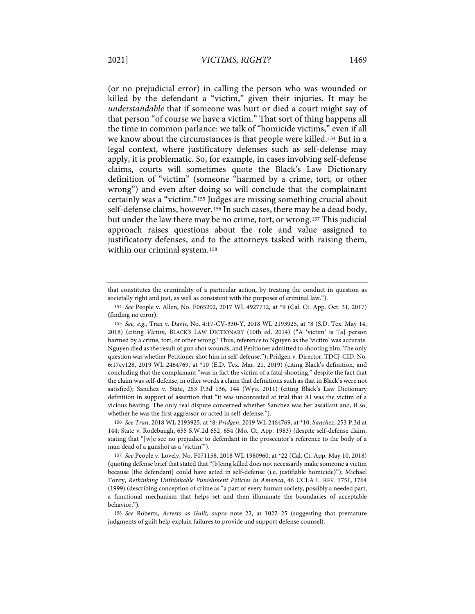(or no prejudicial error) in calling the person who was wounded or killed by the defendant a "victim," given their injuries. It may be *understandable* that if someone was hurt or died a court might say of that person "of course we have a victim." That sort of thing happens all the time in common parlance: we talk of "homicide victims," even if all we know about the circumstances is that people were killed.154 But in a legal context, where justificatory defenses such as self-defense may apply, it is problematic. So, for example, in cases involving self-defense claims, courts will sometimes quote the Black's Law Dictionary definition of "victim" (someone "harmed by a crime, tort, or other wrong") and even after doing so will conclude that the complainant certainly was a "victim."155 Judges are missing something crucial about self-defense claims, however.156 In such cases, there may be a dead body, but under the law there may be no crime, tort, or wrong.157 This judicial approach raises questions about the role and value assigned to justificatory defenses, and to the attorneys tasked with raising them, within our criminal system.158

that constitutes the criminality of a particular action, by treating the conduct in question as societally right and just, as well as consistent with the purposes of criminal law.").

<sup>154</sup> *See* People v. Allen, No. E065202, 2017 WL 4927712, at \*9 (Cal. Ct. App. Oct. 31, 2017) (finding no error).

<sup>155</sup> *See, e.g.*, Tran v. Davis, No. 4:17-CV-330-Y, 2018 WL 2193925, at \*8 (S.D. Tex. May 14, 2018) (citing *Victim,* BLACK'S LAW DICTIONARY (10th ed. 2014) ("A 'victim' is '[a] person harmed by a crime, tort, or other wrong.' Thus, reference to Nguyen as the 'victim' was accurate. Nguyen died as the result of gun shot wounds, and Petitioner admitted to shooting him. The only question was whether Petitioner shot him in self-defense."); Pridgen v. Director, TDCJ-CID, No. 6:17cv128, 2019 WL 2464769, at \*10 (E.D. Tex. Mar. 21, 2019) (citing Black's definition, and concluding that the complainant "was in fact the victim of a fatal shooting," despite the fact that the claim was self-defense, in other words a claim that definitions such as that in Black's were not satisfied); Sanchez v. State, 253 P.3d 136, 144 (Wyo. 2011) (citing Black's Law Dictionary definition in support of assertion that "it was uncontested at trial that AI was the victim of a vicious beating. The only real dispute concerned whether Sanchez was her assailant and, if so, whether he was the first aggressor or acted in self-defense.").

<sup>156</sup> *See Tran*, 2018 WL 2193925, at \*8*; Pridgen*, 2019 WL 2464769, at \*10; *Sanchez*, 253 P.3d at 144; State v. Rodebaugh, 655 S.W.2d 652, 654 (Mo. Ct. App. 1983) (despite self-defense claim, stating that "[w]e see no prejudice to defendant in the prosecutor's reference to the body of a man dead of a gunshot as a 'victim'").

<sup>157</sup> *See* People v. Lovely, No. F071158, 2018 WL 1980960, at \*22 (Cal. Ct. App. May 10, 2018) (quoting defense brief that stated that "[b]eing killed does not necessarily make someone a victim because [the defendant] could have acted in self-defense (i.e. justifiable homicide)"); Michael Tonry, *Rethinking Unthinkable Punishment Policies in America*, 46 UCLA L. REV. 1751, 1764 (1999) (describing conception of crime as "a part of every human society, possibly a needed part, a functional mechanism that helps set and then illuminate the boundaries of acceptable behavior.").

<sup>158</sup> *See* Roberts, *Arrests as Guilt, supra* note 22, at 1022–25 (suggesting that premature judgments of guilt help explain failures to provide and support defense counsel).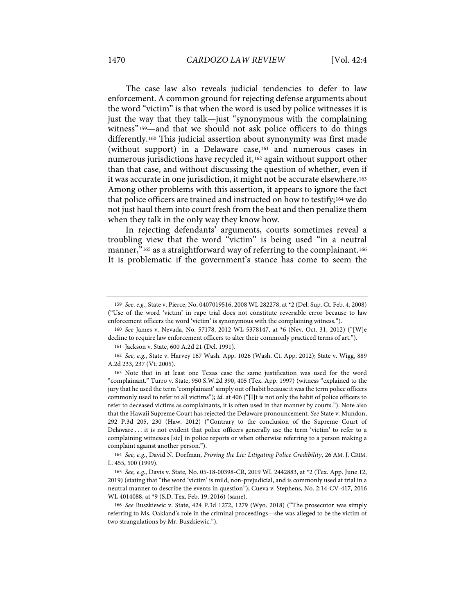The case law also reveals judicial tendencies to defer to law enforcement. A common ground for rejecting defense arguments about the word "victim" is that when the word is used by police witnesses it is just the way that they talk—just "synonymous with the complaining witness"<sup>159</sup>—and that we should not ask police officers to do things differently.160 This judicial assertion about synonymity was first made (without support) in a Delaware case,161 and numerous cases in numerous jurisdictions have recycled it,162 again without support other than that case, and without discussing the question of whether, even if it was accurate in one jurisdiction, it might not be accurate elsewhere.163 Among other problems with this assertion, it appears to ignore the fact that police officers are trained and instructed on how to testify;164 we do not just haul them into court fresh from the beat and then penalize them when they talk in the only way they know how.

In rejecting defendants' arguments, courts sometimes reveal a troubling view that the word "victim" is being used "in a neutral manner,"<sup>165</sup> as a straightforward way of referring to the complainant.<sup>166</sup> It is problematic if the government's stance has come to seem the

161 Jackson v. State, 600 A.2d 21 (Del. 1991).

<sup>159</sup> *See, e.g.*, State v. Pierce, No. 0407019516, 2008 WL 282278, at \*2 (Del. Sup. Ct. Feb. 4, 2008) ("Use of the word 'victim' in rape trial does not constitute reversible error because to law enforcement officers the word 'victim' is synonymous with the complaining witness.").

<sup>160</sup> *See* James v. Nevada, No. 57178, 2012 WL 5378147, at \*6 (Nev. Oct. 31, 2012) ("[W]e decline to require law enforcement officers to alter their commonly practiced terms of art.").

<sup>162</sup> *See, e.g.*, State v. Harvey 167 Wash. App. 1026 (Wash. Ct. App. 2012); State v. Wigg, 889 A.2d 233, 237 (Vt. 2005).

<sup>163</sup> Note that in at least one Texas case the same justification was used for the word "complainant." Turro v. State, 950 S.W.2d 390, 405 (Tex. App. 1997) (witness "explained to the jury that he used the term 'complainant' simply out of habit because it was the term police officers commonly used to refer to all victims"); *id.* at 406 ("[I]t is not only the habit of police officers to refer to deceased victims as complainants, it is often used in that manner by courts."). Note also that the Hawaii Supreme Court has rejected the Delaware pronouncement. *See* State v. Mundon, 292 P.3d 205, 230 (Haw. 2012) ("Contrary to the conclusion of the Supreme Court of Delaware . . . it is not evident that police officers generally use the term 'victim' to refer to a complaining witnesses [sic] in police reports or when otherwise referring to a person making a complaint against another person.").

<sup>164</sup> *See, e.g.*, David N. Dorfman, *Proving the Lie: Litigating Police Credibility*, 26 AM. J. CRIM. L. 455, 500 (1999).

<sup>165</sup> *See, e.g.*, Davis v. State, No. 05-18-00398-CR, 2019 WL 2442883, at \*2 (Tex. App. June 12, 2019) (stating that "the word 'victim' is mild, non-prejudicial, and is commonly used at trial in a neutral manner to describe the events in question"); Cueva v. Stephens, No. 2:14-CV-417, 2016 WL 4014088, at \*9 (S.D. Tex. Feb. 19, 2016) (same).

<sup>166</sup> *See* Buszkiewic v. State, 424 P.3d 1272, 1279 (Wyo. 2018) ("The prosecutor was simply referring to Ms. Oakland's role in the criminal proceedings—she was alleged to be the victim of two strangulations by Mr. Buszkiewic.").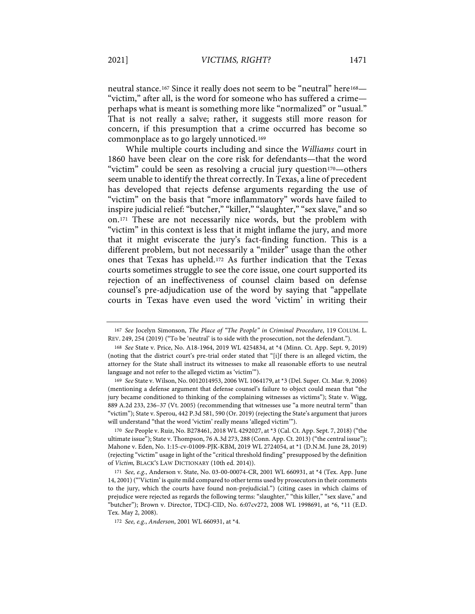neutral stance.<sup>167</sup> Since it really does not seem to be "neutral" here<sup>168</sup>-"victim," after all, is the word for someone who has suffered a crime perhaps what is meant is something more like "normalized" or "usual." That is not really a salve; rather, it suggests still more reason for concern, if this presumption that a crime occurred has become so commonplace as to go largely unnoticed.169

While multiple courts including and since the *Williams* court in 1860 have been clear on the core risk for defendants—that the word "victim" could be seen as resolving a crucial jury question170—others seem unable to identify the threat correctly. In Texas, a line of precedent has developed that rejects defense arguments regarding the use of "victim" on the basis that "more inflammatory" words have failed to inspire judicial relief: "butcher," "killer," "slaughter," "sex slave," and so on.171 These are not necessarily nice words, but the problem with "victim" in this context is less that it might inflame the jury, and more that it might eviscerate the jury's fact-finding function. This is a different problem, but not necessarily a "milder" usage than the other ones that Texas has upheld.172 As further indication that the Texas courts sometimes struggle to see the core issue, one court supported its rejection of an ineffectiveness of counsel claim based on defense counsel's pre-adjudication use of the word by saying that "appellate courts in Texas have even used the word 'victim' in writing their

169 *See* State v. Wilson, No. 0012014953, 2006 WL 1064179, at \*3 (Del. Super. Ct. Mar. 9, 2006) (mentioning a defense argument that defense counsel's failure to object could mean that "the jury became conditioned to thinking of the complaining witnesses as victims"); State v. Wigg, 889 A.2d 233, 236–37 (Vt. 2005) (recommending that witnesses use "a more neutral term" than "victim"); State v. Sperou, 442 P.3d 581, 590 (Or. 2019) (rejecting the State's argument that jurors will understand "that the word 'victim' really means 'alleged victim'").

170 *See* People v. Ruiz, No. B278461, 2018 WL 4292027, at \*3 (Cal. Ct. App. Sept. 7, 2018) ("the ultimate issue"); State v. Thompson, 76 A.3d 273, 288 (Conn. App. Ct. 2013) ("the central issue"); Mahone v. Eden, No. 1:15-cv-01009-PJK-KBM, 2019 WL 2724054, at \*1 (D.N.M. June 28, 2019) (rejecting "victim" usage in light of the "critical threshold finding" presupposed by the definition of *Victim,* BLACK'S LAW DICTIONARY (10th ed. 2014)).

<sup>167</sup> *See* Jocelyn Simonson, *The Place of "The People" in Criminal Procedure*, 119 COLUM. L. REV. 249, 254 (2019) ("To be 'neutral' is to side with the prosecution, not the defendant.").

<sup>168</sup> *See* State v. Price, No. A18-1964, 2019 WL 4254834, at \*4 (Minn. Ct. App. Sept. 9, 2019) (noting that the district court's pre-trial order stated that "[i]f there is an alleged victim, the attorney for the State shall instruct its witnesses to make all reasonable efforts to use neutral language and not refer to the alleged victim as 'victim'").

<sup>171</sup> *See, e.g.*, Anderson v. State, No. 03-00-00074-CR, 2001 WL 660931, at \*4 (Tex. App. June 14, 2001) ("'Victim' is quite mild compared to other terms used by prosecutors in their comments to the jury, which the courts have found non-prejudicial.") (citing cases in which claims of prejudice were rejected as regards the following terms: "slaughter," "this killer," "sex slave," and "butcher"); Brown v. Director, TDCJ-CID, No. 6:07cv272, 2008 WL 1998691, at \*6, \*11 (E.D. Tex. May 2, 2008).

<sup>172</sup> *See, e.g.*, *Anderson*, 2001 WL 660931, at \*4.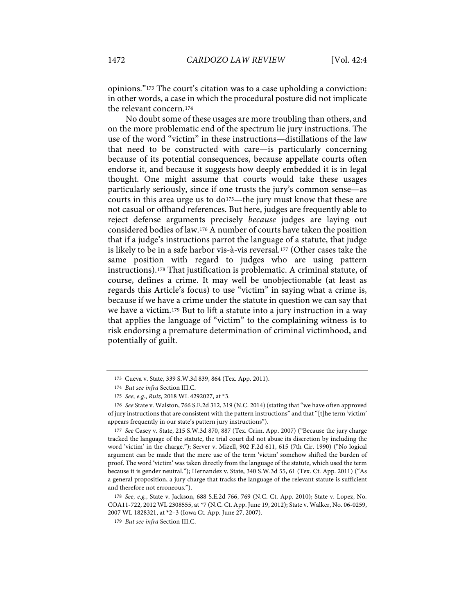opinions."173 The court's citation was to a case upholding a conviction: in other words, a case in which the procedural posture did not implicate the relevant concern.174

No doubt some of these usages are more troubling than others, and on the more problematic end of the spectrum lie jury instructions. The use of the word "victim" in these instructions—distillations of the law that need to be constructed with care—is particularly concerning because of its potential consequences, because appellate courts often endorse it, and because it suggests how deeply embedded it is in legal thought. One might assume that courts would take these usages particularly seriously, since if one trusts the jury's common sense—as courts in this area urge us to  $do^{175}$ —the jury must know that these are not casual or offhand references. But here, judges are frequently able to reject defense arguments precisely *because* judges are laying out considered bodies of law.176 A number of courts have taken the position that if a judge's instructions parrot the language of a statute, that judge is likely to be in a safe harbor vis-à-vis reversal.177 (Other cases take the same position with regard to judges who are using pattern instructions).178 That justification is problematic. A criminal statute, of course, defines a crime. It may well be unobjectionable (at least as regards this Article's focus) to use "victim" in saying what a crime is, because if we have a crime under the statute in question we can say that we have a victim.179 But to lift a statute into a jury instruction in a way that applies the language of "victim" to the complaining witness is to risk endorsing a premature determination of criminal victimhood, and potentially of guilt.

177 *See* Casey v. State, 215 S.W.3d 870, 887 (Tex. Crim. App. 2007) ("Because the jury charge tracked the language of the statute, the trial court did not abuse its discretion by including the word 'victim' in the charge."); Server v. Mizell, 902 F.2d 611, 615 (7th Cir. 1990) ("No logical argument can be made that the mere use of the term 'victim' somehow shifted the burden of proof. The word 'victim' was taken directly from the language of the statute, which used the term because it is gender neutral."); Hernandez v. State, 340 S.W.3d 55, 61 (Tex. Ct. App. 2011) ("As a general proposition, a jury charge that tracks the language of the relevant statute is sufficient and therefore not erroneous.").

<sup>173</sup> Cueva v. State, 339 S.W.3d 839, 864 (Tex. App. 2011).

<sup>174</sup> *But see infra* Section III.C.

<sup>175</sup> *See, e.g.*, *Ruiz*, 2018 WL 4292027, at \*3.

<sup>176</sup> *See* State v. Walston, 766 S.E.2d 312, 319 (N.C. 2014) (stating that "we have often approved of jury instructions that are consistent with the pattern instructions" and that "[t]he term 'victim' appears frequently in our state's pattern jury instructions").

<sup>178</sup> *See, e.g.*, State v. Jackson, 688 S.E.2d 766, 769 (N.C. Ct. App. 2010); State v. Lopez, No. COA11-722, 2012 WL 2308555, at \*7 (N.C. Ct. App. June 19, 2012); State v. Walker, No. 06-0259, 2007 WL 1828321, at \*2–3 (Iowa Ct. App. June 27, 2007).

<sup>179</sup> *But see infra* Section III.C.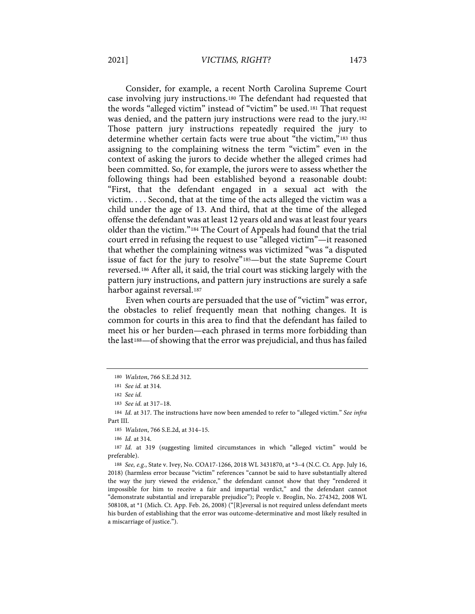Consider, for example, a recent North Carolina Supreme Court case involving jury instructions.180 The defendant had requested that the words "alleged victim" instead of "victim" be used.181 That request was denied, and the pattern jury instructions were read to the jury.182 Those pattern jury instructions repeatedly required the jury to determine whether certain facts were true about "the victim,"183 thus assigning to the complaining witness the term "victim" even in the context of asking the jurors to decide whether the alleged crimes had been committed. So, for example, the jurors were to assess whether the following things had been established beyond a reasonable doubt: "First, that the defendant engaged in a sexual act with the victim. . . . Second, that at the time of the acts alleged the victim was a child under the age of 13. And third, that at the time of the alleged offense the defendant was at least 12 years old and was at least four years older than the victim."184 The Court of Appeals had found that the trial court erred in refusing the request to use "alleged victim"—it reasoned that whether the complaining witness was victimized "was "a disputed issue of fact for the jury to resolve"185—but the state Supreme Court reversed.186 After all, it said, the trial court was sticking largely with the pattern jury instructions, and pattern jury instructions are surely a safe harbor against reversal.187

Even when courts are persuaded that the use of "victim" was error, the obstacles to relief frequently mean that nothing changes. It is common for courts in this area to find that the defendant has failed to meet his or her burden—each phrased in terms more forbidding than the last188—of showing that the error was prejudicial, and thus has failed

<sup>180</sup> *Walston*, 766 S.E.2d 312.

<sup>181</sup> *See id.* at 314.

<sup>182</sup> *See id.*

<sup>183</sup> *See id.* at 317–18.

<sup>184</sup> *Id.* at 317. The instructions have now been amended to refer to "alleged victim." *See infra* Part III.

<sup>185</sup> *Walston*, 766 S.E.2d, at 314–15.

<sup>186</sup> *Id.* at 314.

<sup>187</sup> *Id.* at 319 (suggesting limited circumstances in which "alleged victim" would be preferable).

<sup>188</sup> *See, e.g.*, State v. Ivey, No. COA17-1266, 2018 WL 3431870, at \*3–4 (N.C. Ct. App. July 16, 2018) (harmless error because "victim" references "cannot be said to have substantially altered the way the jury viewed the evidence," the defendant cannot show that they "rendered it impossible for him to receive a fair and impartial verdict," and the defendant cannot "demonstrate substantial and irreparable prejudice"); People v. Broglin, No. 274342, 2008 WL 508108, at \*1 (Mich. Ct. App. Feb. 26, 2008) ("[R]eversal is not required unless defendant meets his burden of establishing that the error was outcome-determinative and most likely resulted in a miscarriage of justice.").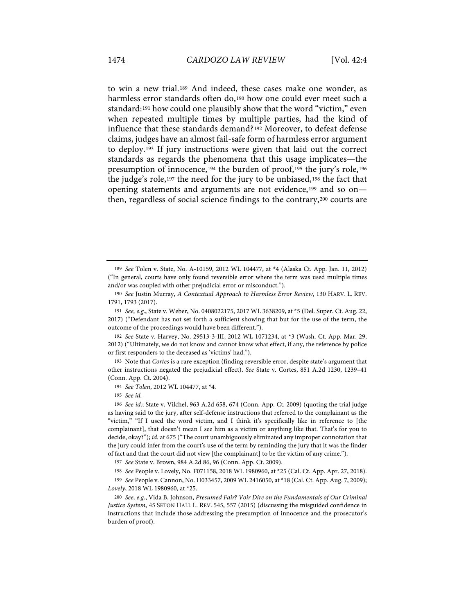to win a new trial.189 And indeed, these cases make one wonder, as harmless error standards often do,<sup>190</sup> how one could ever meet such a standard:191 how could one plausibly show that the word "victim," even when repeated multiple times by multiple parties, had the kind of influence that these standards demand?192 Moreover, to defeat defense claims, judges have an almost fail-safe form of harmless error argument to deploy.193 If jury instructions were given that laid out the correct standards as regards the phenomena that this usage implicates—the presumption of innocence,194 the burden of proof,195 the jury's role,196 the judge's role,197 the need for the jury to be unbiased,198 the fact that opening statements and arguments are not evidence,199 and so on then, regardless of social science findings to the contrary,200 courts are

192 *See* State v. Harvey, No. 29513-3-III, 2012 WL 1071234, at \*3 (Wash. Ct. App. Mar. 29, 2012) ("Ultimately, we do not know and cannot know what effect, if any, the reference by police or first responders to the deceased as 'victims' had.").

193 Note that *Cortes* is a rare exception (finding reversible error, despite state's argument that other instructions negated the prejudicial effect). *See* State v. Cortes, 851 A.2d 1230, 1239–41 (Conn. App. Ct. 2004).

194 *See Tolen*, 2012 WL 104477, at \*4.

195 *See id.*

196 *See id.*; State v. Vilchel, 963 A.2d 658, 674 (Conn. App. Ct. 2009) (quoting the trial judge as having said to the jury, after self-defense instructions that referred to the complainant as the "victim," "If I used the word victim, and I think it's specifically like in reference to [the complainant], that doesn't mean I see him as a victim or anything like that. That's for you to decide, okay?"); *id.* at 675 ("The court unambiguously eliminated any improper connotation that the jury could infer from the court's use of the term by reminding the jury that it was the finder of fact and that the court did not view [the complainant] to be the victim of any crime.").

197 *See* State v. Brown, 984 A.2d 86, 96 (Conn. App. Ct. 2009).

198 *See* People v. Lovely, No. F071158, 2018 WL 1980960, at \*25 (Cal. Ct. App. Apr. 27, 2018).

199 *See* People v. Cannon, No. H033457, 2009 WL 2416050, at \*18 (Cal. Ct. App. Aug. 7, 2009); *Lovely*, 2018 WL 1980960, at \*25.

200 *See, e.g.*, Vida B. Johnson, *Presumed Fair? Voir Dire on the Fundamentals of Our Criminal Justice System*, 45 SETON HALL L. REV. 545, 557 (2015) (discussing the misguided confidence in instructions that include those addressing the presumption of innocence and the prosecutor's burden of proof).

<sup>189</sup> *See* Tolen v. State, No. A-10159, 2012 WL 104477, at \*4 (Alaska Ct. App. Jan. 11, 2012) ("In general, courts have only found reversible error where the term was used multiple times and/or was coupled with other prejudicial error or misconduct.").

<sup>190</sup> *See* Justin Murray, *A Contextual Approach to Harmless Error Review*, 130 HARV. L. REV. 1791, 1793 (2017).

<sup>191</sup> *See, e.g.*, State v. Weber, No. 0408022175, 2017 WL 3638209, at \*5 (Del. Super. Ct. Aug. 22, 2017) ("Defendant has not set forth a sufficient showing that but for the use of the term, the outcome of the proceedings would have been different.").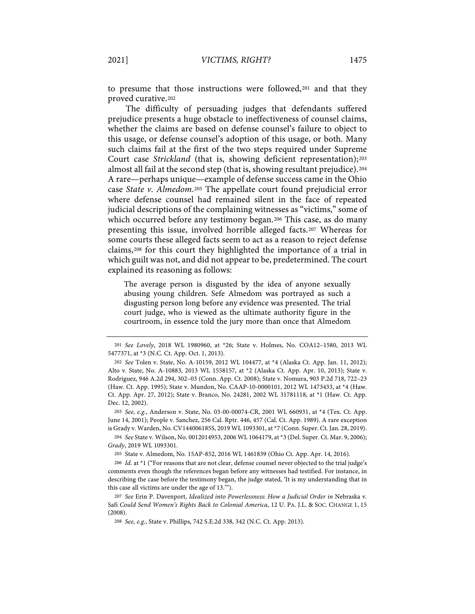to presume that those instructions were followed,201 and that they proved curative.202

The difficulty of persuading judges that defendants suffered prejudice presents a huge obstacle to ineffectiveness of counsel claims, whether the claims are based on defense counsel's failure to object to this usage, or defense counsel's adoption of this usage, or both. Many such claims fail at the first of the two steps required under Supreme Court case *Strickland* (that is, showing deficient representation);<sup>203</sup> almost all fail at the second step (that is, showing resultant prejudice).204 A rare—perhaps unique—example of defense success came in the Ohio case *State v. Almedom*.205 The appellate court found prejudicial error where defense counsel had remained silent in the face of repeated judicial descriptions of the complaining witnesses as "victims," some of which occurred before any testimony began.<sup>206</sup> This case, as do many presenting this issue, involved horrible alleged facts.207 Whereas for some courts these alleged facts seem to act as a reason to reject defense claims,208 for this court they highlighted the importance of a trial in which guilt was not, and did not appear to be, predetermined. The court explained its reasoning as follows:

The average person is disgusted by the idea of anyone sexually abusing young children. Sefe Almedom was portrayed as such a disgusting person long before any evidence was presented. The trial court judge, who is viewed as the ultimate authority figure in the courtroom, in essence told the jury more than once that Almedom

<sup>201</sup> *See Lovely*, 2018 WL 1980960, at \*26; State v. Holmes, No. COA12–1580, 2013 WL 5477371, at \*3 (N.C. Ct. App. Oct. 1, 2013).

<sup>202</sup> *See* Tolen v. State, No. A-10159, 2012 WL 104477, at \*4 (Alaska Ct. App. Jan. 11, 2012); Alto v. State, No. A-10883, 2013 WL 1558157, at \*2 (Alaska Ct. App. Apr. 10, 2013); State v. Rodriguez, 946 A.2d 294, 302–03 (Conn. App. Ct. 2008); State v. Nomura, 903 P.2d 718, 722–23 (Haw. Ct. App. 1995); State v. Mundon, No. CAAP-10-0000101, 2012 WL 1473433, at \*4 (Haw. Ct. App. Apr. 27, 2012); State v. Branco, No. 24281, 2002 WL 31781118, at \*1 (Haw. Ct. App. Dec. 12, 2002).

<sup>203</sup> *See, e.g.*, Anderson v. State, No. 03-00-00074-CR, 2001 WL 660931, at \*4 (Tex. Ct. App. June 14, 2001); People v. Sanchez, 256 Cal. Rptr. 446, 457 (Cal. Ct. App. 1989). A rare exception is Grady v. Warden, No. CV144006185S, 2019 WL 1093301, at \*7 (Conn. Super. Ct. Jan. 28, 2019).

<sup>204</sup> *See* State v. Wilson, No. 0012014953, 2006 WL 1064179, at \*3 (Del. Super. Ct. Mar. 9, 2006); *Grady*, 2019 WL 1093301.

<sup>205</sup> State v. Almedom, No. 15AP-852, 2016 WL 1461839 (Ohio Ct. App. Apr. 14, 2016).

<sup>206</sup> *Id.* at \*1 ("For reasons that are not clear, defense counsel never objected to the trial judge's comments even though the references began before any witnesses had testified. For instance, in describing the case before the testimony began, the judge stated, 'It is my understanding that in this case all victims are under the age of 13.'").

<sup>207</sup> *See* Erin P. Davenport, *Idealized into Powerlessness*: *How a Judicial Order in* Nebraska v. Safi *Could Send Women's Rights Back to Colonial America*, 12 U. PA. J.L. & SOC. CHANGE 1, 15 (2008).

<sup>208</sup> *See, e.g.*, State v. Phillips, 742 S.E.2d 338, 342 (N.C. Ct. App. 2013).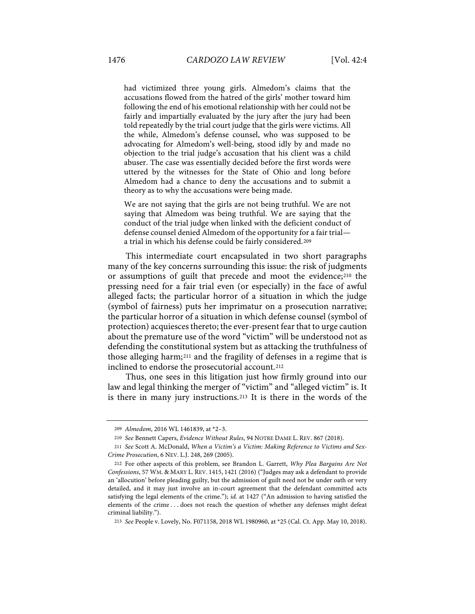had victimized three young girls. Almedom's claims that the accusations flowed from the hatred of the girls' mother toward him following the end of his emotional relationship with her could not be fairly and impartially evaluated by the jury after the jury had been told repeatedly by the trial court judge that the girls were victims. All the while, Almedom's defense counsel, who was supposed to be advocating for Almedom's well-being, stood idly by and made no objection to the trial judge's accusation that his client was a child abuser. The case was essentially decided before the first words were uttered by the witnesses for the State of Ohio and long before Almedom had a chance to deny the accusations and to submit a theory as to why the accusations were being made.

We are not saying that the girls are not being truthful. We are not saying that Almedom was being truthful. We are saying that the conduct of the trial judge when linked with the deficient conduct of defense counsel denied Almedom of the opportunity for a fair trial a trial in which his defense could be fairly considered.209

This intermediate court encapsulated in two short paragraphs many of the key concerns surrounding this issue: the risk of judgments or assumptions of guilt that precede and moot the evidence;210 the pressing need for a fair trial even (or especially) in the face of awful alleged facts; the particular horror of a situation in which the judge (symbol of fairness) puts her imprimatur on a prosecution narrative; the particular horror of a situation in which defense counsel (symbol of protection) acquiesces thereto; the ever-present fear that to urge caution about the premature use of the word "victim" will be understood not as defending the constitutional system but as attacking the truthfulness of those alleging harm;211 and the fragility of defenses in a regime that is inclined to endorse the prosecutorial account.212

Thus, one sees in this litigation just how firmly ground into our law and legal thinking the merger of "victim" and "alleged victim" is. It is there in many jury instructions.213 It is there in the words of the

<sup>209</sup> *Almedom*, 2016 WL 1461839, at \*2–3.

<sup>210</sup> *See* Bennett Capers, *Evidence Without Rules*, 94 NOTRE DAME L. REV. 867 (2018).

<sup>211</sup> *See* Scott A. McDonald, *When a Victim's a Victim: Making Reference to Victims and Sex-Crime Prosecution*, 6 NEV. L.J. 248, 269 (2005).

<sup>212</sup> For other aspects of this problem, see Brandon L. Garrett, *Why Plea Bargains Are Not Confessions*, 57 WM. & MARY L. REV. 1415, 1421 (2016) ("Judges may ask a defendant to provide an 'allocution' before pleading guilty, but the admission of guilt need not be under oath or very detailed, and it may just involve an in-court agreement that the defendant committed acts satisfying the legal elements of the crime."); *id.* at 1427 ("An admission to having satisfied the elements of the crime . . . does not reach the question of whether any defenses might defeat criminal liability.").

<sup>213</sup> *See* People v. Lovely, No. F071158, 2018 WL 1980960, at \*25 (Cal. Ct. App. May 10, 2018).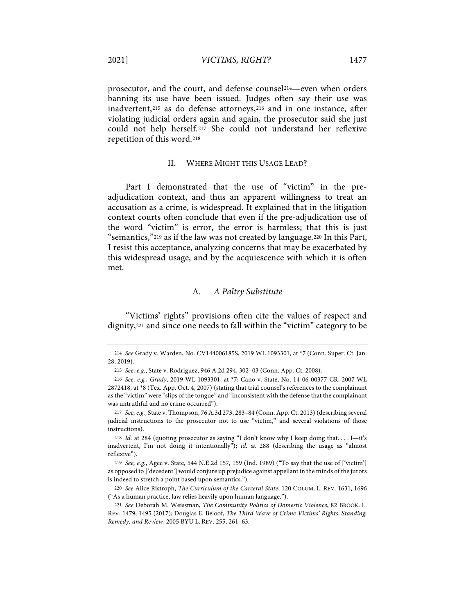prosecutor, and the court, and defense counsel214—even when orders banning its use have been issued. Judges often say their use was inadvertent,<sup>215</sup> as do defense attorneys,<sup>216</sup> and in one instance, after violating judicial orders again and again, the prosecutor said she just could not help herself.217 She could not understand her reflexive repetition of this word.218

#### II. WHERE MIGHT THIS USAGE LEAD?

Part I demonstrated that the use of "victim" in the preadjudication context, and thus an apparent willingness to treat an accusation as a crime, is widespread. It explained that in the litigation context courts often conclude that even if the pre-adjudication use of the word "victim" is error, the error is harmless; that this is just "semantics,"219 as if the law was not created by language.220 In this Part, I resist this acceptance, analyzing concerns that may be exacerbated by this widespread usage, and by the acquiescence with which it is often met.

## A. *A Paltry Substitute*

"Victims' rights" provisions often cite the values of respect and dignity,221 and since one needs to fall within the "victim" category to be

<sup>214</sup> *See* Grady v. Warden, No. CV144006185S, 2019 WL 1093301, at \*7 (Conn. Super. Ct. Jan. 28, 2019).

<sup>215</sup> *See, e.g.*, State v. Rodriguez, 946 A.2d 294, 302–03 (Conn. App. Ct. 2008).

<sup>216</sup> *See, e.g.*, *Grady*, 2019 WL 1093301, at \*7; Cano v. State, No. 14-06-00377-CR, 2007 WL 2872418, at \*8 (Tex. App. Oct. 4, 2007) (stating that trial counsel's references to the complainant as the "victim" were "slips of the tongue" and "inconsistent with the defense that the complainant was untruthful and no crime occurred").

<sup>217</sup> *See, e.g.*, State v. Thompson, 76 A.3d 273, 283–84 (Conn. App. Ct. 2013) (describing several judicial instructions to the prosecutor not to use "victim," and several violations of those instructions).

<sup>218</sup> *Id.* at 284 (quoting prosecutor as saying "I don't know why I keep doing that. . . . I—it's inadvertent, I'm not doing it intentionally"); *id.* at 288 (describing the usage as "almost reflexive").

<sup>219</sup> *See, e.g.*, Agee v. State, 544 N.E.2d 157, 159 (Ind. 1989) ("To say that the use of ['victim'] as opposed to ['decedent'] would conjure up prejudice against appellant in the minds of the jurors is indeed to stretch a point based upon semantics.").

<sup>220</sup> *See* Alice Ristroph, *The Curriculum of the Carceral State*, 120 COLUM. L. REV. 1631, 1696 ("As a human practice, law relies heavily upon human language.").

<sup>221</sup> *See* Deborah M. Weissman, *The Community Politics of Domestic Violence*, 82 BROOK. L. REV. 1479, 1495 (2017); Douglas E. Beloof, *The Third Wave of Crime Victims' Rights: Standing, Remedy, and Review*, 2005 BYU L. REV. 255, 261–63.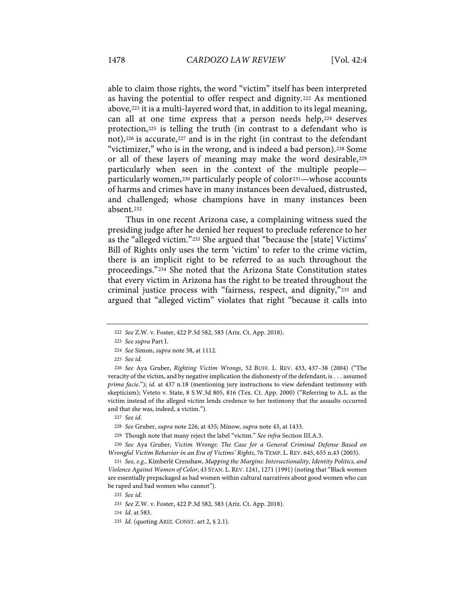able to claim those rights, the word "victim" itself has been interpreted as having the potential to offer respect and dignity.222 As mentioned above,223 it is a multi-layered word that, in addition to its legal meaning, can all at one time express that a person needs help, 224 deserves protection,225 is telling the truth (in contrast to a defendant who is not),<sup>226</sup> is accurate,<sup>227</sup> and is in the right (in contrast to the defendant "victimizer," who is in the wrong, and is indeed a bad person).<sup>228</sup> Some or all of these layers of meaning may make the word desirable,229 particularly when seen in the context of the multiple people particularly women,<sup>230</sup> particularly people of color<sup>231</sup>—whose accounts of harms and crimes have in many instances been devalued, distrusted, and challenged; whose champions have in many instances been absent.232

Thus in one recent Arizona case, a complaining witness sued the presiding judge after he denied her request to preclude reference to her as the "alleged victim."233 She argued that "because the [state] Victims' Bill of Rights only uses the term 'victim' to refer to the crime victim, there is an implicit right to be referred to as such throughout the proceedings."234 She noted that the Arizona State Constitution states that every victim in Arizona has the right to be treated throughout the criminal justice process with "fairness, respect, and dignity,"235 and argued that "alleged victim" violates that right "because it calls into

227 *See id.*

228 *See* Gruber, *supra* note 226, at 435; Minow*, supra* note 43, at 1433.

229 Though note that many reject the label "victim." *See infra* Section III.A.3.

230 *See* Aya Gruber, *Victim Wrongs: The Case for a General Criminal Defense Based on Wrongful Victim Behavior in an Era of Victims' Rights*, 76 TEMP. L. REV. 645, 655 n.43 (2003).

231 *See, e.g.*, Kimberlé Crenshaw, *Mapping the Margins: Intersectionality, Identity Politics, and Violence Against Women of Color*, 43 STAN. L. REV. 1241, 1271 (1991) (noting that "Black women are essentially prepackaged as bad women within cultural narratives about good women who can be raped and bad women who cannot").

232 *See id.*

233 *See* Z.W. v. Foster, 422 P.3d 582, 583 (Ariz. Ct. App. 2018).

234 *Id.* at 583.

<sup>222</sup> *See* Z.W. v. Foster, 422 P.3d 582, 583 (Ariz. Ct. App. 2018).

<sup>223</sup> *See supra* Part I.

<sup>224</sup> *See* Simon, *supra* note 38, at 1112.

<sup>225</sup> *See id.*

<sup>226</sup> *See* Aya Gruber, *Righting Victim Wrongs*, 52 BUFF. L. REV. 433, 437–38 (2004) ("The veracity of the victim, and by negative implication the dishonesty of the defendant, is . . . assumed *prima facie*."); *id.* at 437 n.18 (mentioning jury instructions to view defendant testimony with skepticism); Veteto v. State, 8 S.W.3d 805, 816 (Tex. Ct. App. 2000) ("Referring to A.L. as the victim instead of the alleged victim lends credence to her testimony that the assaults occurred and that she was, indeed, a victim.").

<sup>235</sup> *Id.* (quoting ARIZ. CONST. art 2, § 2.1).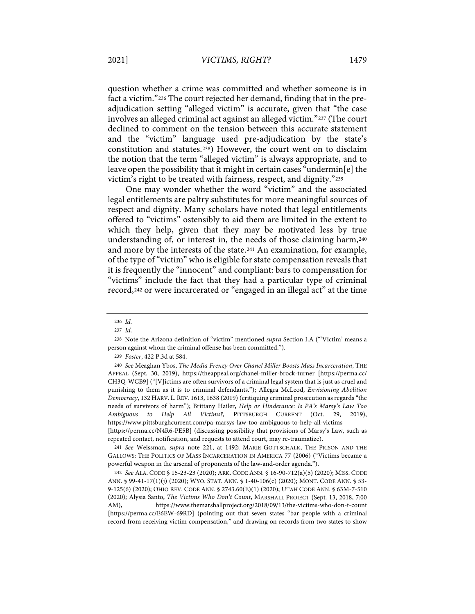question whether a crime was committed and whether someone is in fact a victim."236 The court rejected her demand, finding that in the preadjudication setting "alleged victim" is accurate, given that "the case involves an alleged criminal act against an alleged victim."237 (The court declined to comment on the tension between this accurate statement and the "victim" language used pre-adjudication by the state's constitution and statutes.238) However, the court went on to disclaim the notion that the term "alleged victim" is always appropriate, and to leave open the possibility that it might in certain cases "undermin[e] the victim's right to be treated with fairness, respect, and dignity."239

One may wonder whether the word "victim" and the associated legal entitlements are paltry substitutes for more meaningful sources of respect and dignity. Many scholars have noted that legal entitlements offered to "victims" ostensibly to aid them are limited in the extent to which they help, given that they may be motivated less by true understanding of, or interest in, the needs of those claiming harm,240 and more by the interests of the state.241 An examination, for example, of the type of "victim" who is eligible for state compensation reveals that it is frequently the "innocent" and compliant: bars to compensation for "victims" include the fact that they had a particular type of criminal record,242 or were incarcerated or "engaged in an illegal act" at the time

239 *Foster*, 422 P.3d at 584.

240 *See* Meaghan Ybos, *The Media Frenzy Over Chanel Miller Boosts Mass Incarceration*, THE APPEAL (Sept. 30, 2019), https://theappeal.org/chanel-miller-brock-turner [https://perma.cc/ CH3Q-WCB9] ("[V]ictims are often survivors of a criminal legal system that is just as cruel and punishing to them as it is to criminal defendants."); Allegra McLeod, *Envisioning Abolition Democracy*, 132 HARV. L. REV. 1613, 1638 (2019) (critiquing criminal prosecution as regards "the needs of survivors of harm"); Brittany Hailer, *Help or Hinderance: Is PA's Marsy's Law Too Ambiguous to Help All Victims?*, PITTSBURGH CURRENT (Oct. 29, 2019), https://www.pittsburghcurrent.com/pa-marsys-law-too-ambiguous-to-help-all-victims [https://perma.cc/N4R6-PE5B] (discussing possibility that provisions of Marsy's Law, such as

repeated contact, notification, and requests to attend court, may re-traumatize).

241 *See* Weissman, *supra* note 221, at 1492; MARIE GOTTSCHALK, THE PRISON AND THE GALLOWS: THE POLITICS OF MASS INCARCERATION IN AMERICA 77 (2006) ("Victims became a powerful weapon in the arsenal of proponents of the law-and-order agenda.").

242 *See* ALA. CODE § 15-23-23 (2020); ARK. CODE ANN. § 16-90-712(a)(5) (2020); MISS. CODE ANN. § 99-41-17(1)(j) (2020); WYO. STAT. ANN. § 1-40-106(c) (2020); MONT. CODE ANN. § 53- 9-125(6) (2020); OHIO REV. CODE ANN. § 2743.60(E)(1) (2020); UTAH CODE ANN. § 63M-7-510 (2020); Alysia Santo, *The Victims Who Don't Count*, MARSHALL PROJECT (Sept. 13, 2018, 7:00 AM), https://www.themarshallproject.org/2018/09/13/the-victims-who-don-t-count [https://perma.cc/E6EW-69RD] (pointing out that seven states "bar people with a criminal record from receiving victim compensation," and drawing on records from two states to show

<sup>236</sup> *Id.*

<sup>237</sup> *Id.*

<sup>238</sup> Note the Arizona definition of "victim" mentioned *supra* Section I.A ("'Victim' means a person against whom the criminal offense has been committed.").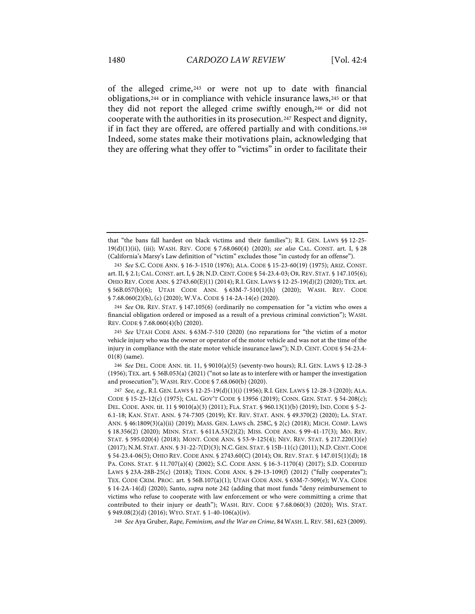of the alleged crime,243 or were not up to date with financial obligations,244 or in compliance with vehicle insurance laws,245 or that they did not report the alleged crime swiftly enough,246 or did not cooperate with the authorities in its prosecution.247 Respect and dignity, if in fact they are offered, are offered partially and with conditions.248 Indeed, some states make their motivations plain, acknowledging that they are offering what they offer to "victims" in order to facilitate their

246 *See* DEL. CODE ANN. tit. 11, § 9010(a)(5) (seventy-two hours); R.I. GEN. LAWS § 12-28-3 (1956); TEX. art. § 56B.053(a) (2021) ("not so late as to interfere with or hamper the investigation and prosecution"); WASH. REV. CODE § 7.68.060(b) (2020).

248 *See* Aya Gruber, *Rape, Feminism, and the War on Crime*, 84WASH. L. REV. 581, 623 (2009).

that "the bans fall hardest on black victims and their families"); R.I. GEN. LAWS §§ 12-25- 19(d)(1)(ii), (iii); WASH. REV. CODE § 7.68.060(4) (2020); *see also* CAL. CONST. art. I, § 28 (California's Marsy's Law definition of "victim" excludes those "in custody for an offense").

<sup>243</sup> *See* S.C. CODE ANN. § 16-3-1510 (1976); ALA. CODE § 15-23-60(19) (1975); ARIZ. CONST. art. II, § 2.1; CAL. CONST. art. I, § 28; N.D. CENT. CODE § 54-23.4-03; OR. REV. STAT. § 147.105(6); OHIO REV. CODE ANN. § 2743.60(E)(1) (2014); R.I. GEN. LAWS § 12-25-19(d)(2) (2020); TEX. art. § 56B.057(b)(6); UTAH CODE ANN. § 63M-7-510(1)(h) (2020); WASH. REV. CODE § 7.68.060(2)(b), (c) (2020); W.VA. CODE § 14-2A-14(e) (2020).

<sup>244</sup> *See* OR. REV. STAT. § 147.105(6) (ordinarily no compensation for "a victim who owes a financial obligation ordered or imposed as a result of a previous criminal conviction"); WASH. REV. CODE § 7.68.060(4)(b) (2020).

<sup>245</sup> *See* UTAH CODE ANN. § 63M-7-510 (2020) (no reparations for "the victim of a motor vehicle injury who was the owner or operator of the motor vehicle and was not at the time of the injury in compliance with the state motor vehicle insurance laws"); N.D. CENT. CODE § 54-23.4- 01(8) (same).

<sup>247</sup> *See, e.g.,* R.I. GEN. LAWS § 12-25-19(d)(1)(i) (1956); R.I. GEN. LAWS § 12-28-3 (2020); ALA. CODE § 15-23-12(c) (1975); CAL. GOV'T CODE § 13956 (2019); CONN. GEN. STAT. § 54-208(c); DEL. CODE. ANN. tit. 11 § 9010(a)(3) (2011); FLA. STAT. § 960.13(1)(b) (2019); IND. CODE § 5-2- 6.1-18; KAN. STAT. ANN. § 74-7305 (2019); KY. REV. STAT. ANN. § 49.370(2) (2020); LA. STAT. ANN. § 46:1809(3)(a)(ii) (2019); MASS. GEN. LAWS ch. 258C, § 2(c) (2018); MICH. COMP. LAWS § 18.356(2) (2020); MINN. STAT. § 611A.53(2)(2); MISS. CODE ANN. § 99-41-17(3); MO. REV. STAT. § 595.020(4) (2018); MONT. CODE ANN. § 53-9-125(4); NEV. REV. STAT. § 217.220(1)(e) (2017); N.M. STAT. ANN. § 31-22-7(D)(3); N.C. GEN. STAT. § 15B-11(c) (2011); N.D.CENT.CODE § 54-23.4-06(5); OHIO REV. CODE ANN. § 2743.60(C) (2014); OR. REV. STAT. § 147.015(1)(d); 18 PA. CONS. STAT. § 11.707(a)(4) (2002); S.C. CODE ANN. § 16-3-1170(4) (2017); S.D. CODIFIED LAWS § 23A-28B-25(c) (2018); TENN. CODE ANN. § 29-13-109(f) (2012) ("fully cooperates"); TEX. CODE CRIM. PROC. art. § 56B.107(a)(1); UTAH CODE ANN. § 63M-7-509(e); W.VA. CODE § 14-2A-14(d) (2020); Santo, *supra* note 242 (adding that most funds "deny reimbursement to victims who refuse to cooperate with law enforcement or who were committing a crime that contributed to their injury or death"); WASH. REV. CODE § 7.68.060(3) (2020); WIS. STAT. § 949.08(2)(d) (2016); WYO. STAT. § 1-40-106(a)(iv).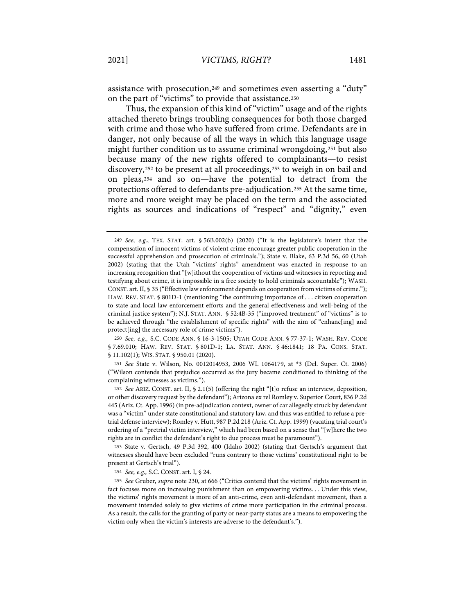assistance with prosecution,249 and sometimes even asserting a "duty" on the part of "victims" to provide that assistance.250

Thus, the expansion of this kind of "victim" usage and of the rights attached thereto brings troubling consequences for both those charged with crime and those who have suffered from crime. Defendants are in danger, not only because of all the ways in which this language usage might further condition us to assume criminal wrongdoing,251 but also because many of the new rights offered to complainants—to resist discovery,252 to be present at all proceedings,253 to weigh in on bail and on pleas,254 and so on—have the potential to detract from the protections offered to defendants pre-adjudication.255 At the same time, more and more weight may be placed on the term and the associated rights as sources and indications of "respect" and "dignity," even

251 *See* State v. Wilson, No. 0012014953, 2006 WL 1064179, at \*3 (Del. Super. Ct. 2006) ("Wilson contends that prejudice occurred as the jury became conditioned to thinking of the complaining witnesses as victims.").

252 *See* ARIZ. CONST. art. II, § 2.1(5) (offering the right "[t]o refuse an interview, deposition, or other discovery request by the defendant"); Arizona ex rel Romley v. Superior Court, 836 P.2d 445 (Ariz. Ct. App. 1996) (in pre-adjudication context, owner of car allegedly struck by defendant was a "victim" under state constitutional and statutory law, and thus was entitled to refuse a pretrial defense interview); Romley v. Hutt, 987 P.2d 218 (Ariz. Ct. App. 1999) (vacating trial court's ordering of a "pretrial victim interview," which had been based on a sense that "[w]here the two rights are in conflict the defendant's right to due process must be paramount").

253 State v. Gertsch, 49 P.3d 392, 400 (Idaho 2002) (stating that Gertsch's argument that witnesses should have been excluded "runs contrary to those victims' constitutional right to be present at Gertsch's trial").

254 *See, e.g.,* S.C. CONST. art. I, § 24.

<sup>249</sup> *See, e.g.*, TEX. STAT. art. § 56B.002(b) (2020) ("It is the legislature's intent that the compensation of innocent victims of violent crime encourage greater public cooperation in the successful apprehension and prosecution of criminals."); State v. Blake, 63 P.3d 56, 60 (Utah 2002) (stating that the Utah "victims' rights" amendment was enacted in response to an increasing recognition that "[w]ithout the cooperation of victims and witnesses in reporting and testifying about crime, it is impossible in a free society to hold criminals accountable"); WASH. CONST. art. II, § 35 ("Effective law enforcement depends on cooperation from victims of crime."); HAW. REV. STAT. § 801D-1 (mentioning "the continuing importance of . . . citizen cooperation to state and local law enforcement efforts and the general effectiveness and well-being of the criminal justice system"); N.J. STAT. ANN. § 52:4B-35 ("improved treatment" of "victims" is to be achieved through "the establishment of specific rights" with the aim of "enhanc[ing] and protect[ing] the necessary role of crime victims").

<sup>250</sup> *See, e.g.,* S.C. CODE ANN. § 16-3-1505; UTAH CODE ANN. § 77-37-1; WASH. REV. CODE § 7.69.010; HAW. REV. STAT. § 801D-1; LA. STAT. ANN. § 46:1841; 18 PA. CONS. STAT. § 11.102(1); WIS. STAT. § 950.01 (2020).

<sup>255</sup> *See* Gruber, *supra* note 230, at 666 ("Critics contend that the victims' rights movement in fact focuses more on increasing punishment than on empowering victims. . . Under this view, the victims' rights movement is more of an anti-crime, even anti-defendant movement, than a movement intended solely to give victims of crime more participation in the criminal process. As a result, the calls for the granting of party or near-party status are a means to empowering the victim only when the victim's interests are adverse to the defendant's.").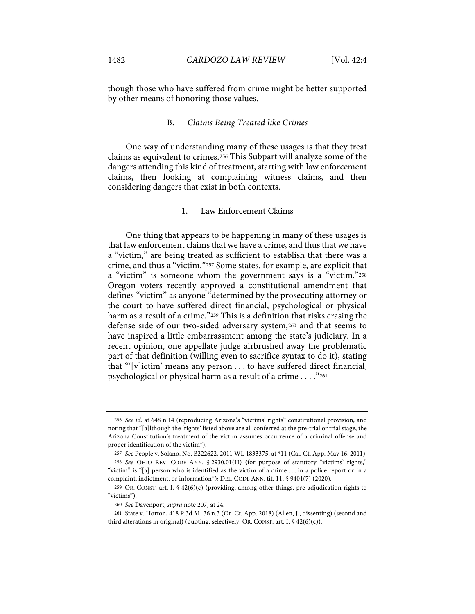though those who have suffered from crime might be better supported by other means of honoring those values.

#### B. *Claims Being Treated like Crimes*

One way of understanding many of these usages is that they treat claims as equivalent to crimes.256 This Subpart will analyze some of the dangers attending this kind of treatment, starting with law enforcement claims, then looking at complaining witness claims, and then considering dangers that exist in both contexts.

# 1. Law Enforcement Claims

One thing that appears to be happening in many of these usages is that law enforcement claims that we have a crime, and thus that we have a "victim," are being treated as sufficient to establish that there was a crime, and thus a "victim."257 Some states, for example, are explicit that a "victim" is someone whom the government says is a "victim."258 Oregon voters recently approved a constitutional amendment that defines "victim" as anyone "determined by the prosecuting attorney or the court to have suffered direct financial, psychological or physical harm as a result of a crime."<sup>259</sup> This is a definition that risks erasing the defense side of our two-sided adversary system,260 and that seems to have inspired a little embarrassment among the state's judiciary. In a recent opinion, one appellate judge airbrushed away the problematic part of that definition (willing even to sacrifice syntax to do it), stating that "'[v]ictim' means any person . . . to have suffered direct financial, psychological or physical harm as a result of a crime . . . ."261

<sup>256</sup> *See id.* at 648 n.14 (reproducing Arizona's "victims' rights" constitutional provision, and noting that "[a]lthough the 'rights' listed above are all conferred at the pre-trial or trial stage, the Arizona Constitution's treatment of the victim assumes occurrence of a criminal offense and proper identification of the victim").

<sup>257</sup> *See* People v. Solano, No. B222622, 2011 WL 1833375, at \*11 (Cal. Ct. App. May 16, 2011).

<sup>258</sup> *See* OHIO REV. CODE ANN. § 2930.01(H) (for purpose of statutory "victims' rights," "victim" is "[a] person who is identified as the victim of a crime . . . in a police report or in a complaint, indictment, or information"); DEL. CODE ANN. tit. 11, § 9401(7) (2020).

<sup>259</sup> OR. CONST. art. I,  $\frac{642}{60}$  (c) (providing, among other things, pre-adjudication rights to "victims").

<sup>260</sup> *See* Davenport, *supra* note 207, at 24.

<sup>261</sup> State v. Horton, 418 P.3d 31, 36 n.3 (Or. Ct. App. 2018) (Allen, J., dissenting) (second and third alterations in original) (quoting, selectively, OR. CONST. art. I,  $\frac{642(6)(c)}{2}$ .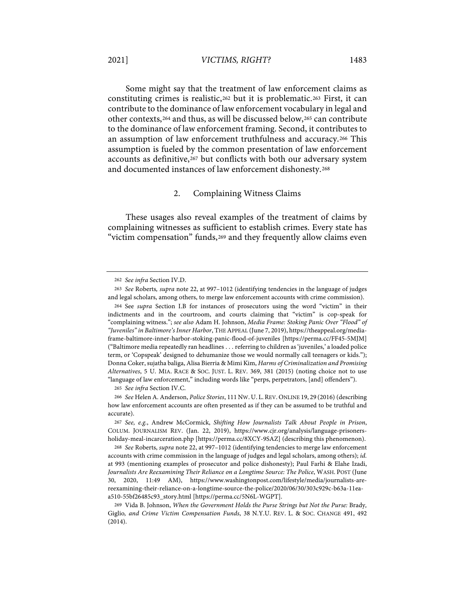Some might say that the treatment of law enforcement claims as constituting crimes is realistic,262 but it is problematic.263 First, it can contribute to the dominance of law enforcement vocabulary in legal and other contexts,264 and thus, as will be discussed below,265 can contribute to the dominance of law enforcement framing. Second, it contributes to an assumption of law enforcement truthfulness and accuracy.266 This assumption is fueled by the common presentation of law enforcement accounts as definitive,267 but conflicts with both our adversary system and documented instances of law enforcement dishonesty.268

#### 2. Complaining Witness Claims

These usages also reveal examples of the treatment of claims by complaining witnesses as sufficient to establish crimes. Every state has "victim compensation" funds,<sup>269</sup> and they frequently allow claims even

265 *See infra* Section IV.C.

<sup>262</sup> *See infra* Section IV.D.

<sup>263</sup> *See* Roberts*, supra* note 22, at 997–1012 (identifying tendencies in the language of judges and legal scholars, among others, to merge law enforcement accounts with crime commission).

<sup>264</sup> See *supra* Section I.B for instances of prosecutors using the word "victim" in their indictments and in the courtroom, and courts claiming that "victim" is cop-speak for "complaining witness."; *see also* Adam H. Johnson, *Media Frame: Stoking Panic Over "Flood" of "Juveniles" in Baltimore's Inner Harbor*, THE APPEAL (June 7, 2019), https://theappeal.org/mediaframe-baltimore-inner-harbor-stoking-panic-flood-of-juveniles [https://perma.cc/FF45-5MJM] ("Baltimore media repeatedly ran headlines . . . referring to children as 'juveniles,' a loaded police term, or 'Copspeak' designed to dehumanize those we would normally call teenagers or kids."); Donna Coker, sujatha baliga, Alisa Bierria & Mimi Kim, *Harms of Criminalization and Promising Alternatives*, 5 U. MIA. RACE & SOC. JUST. L. REV. 369, 381 (2015) (noting choice not to use "language of law enforcement," including words like "perps, perpetrators, [and] offenders").

<sup>266</sup> *See* Helen A. Anderson, *Police Stories*, 111 NW. U. L.REV. ONLINE 19, 29 (2016) (describing how law enforcement accounts are often presented as if they can be assumed to be truthful and accurate).

<sup>267</sup> *See, e.g.*, Andrew McCormick, *Shifting How Journalists Talk About People in Prison*, COLUM. JOURNALISM REV. (Jan. 22, 2019), https://www.cjr.org/analysis/language-prisonersholiday-meal-incarceration.php [https://perma.cc/8XCY-9SAZ] (describing this phenomenon).

<sup>268</sup> *See* Roberts, *supra* note 22, at 997–1012 (identifying tendencies to merge law enforcement accounts with crime commission in the language of judges and legal scholars, among others); *id.*  at 993 (mentioning examples of prosecutor and police dishonesty); Paul Farhi & Elahe Izadi, *Journalists Are Reexamining Their Reliance on a Longtime Source: The Police*, WASH. POST (June 30, 2020, 11:49 AM), https://www.washingtonpost.com/lifestyle/media/journalists-arereexamining-their-reliance-on-a-longtime-source-the-police/2020/06/30/303c929c-b63a-11eaa510-55bf26485c93\_story.html [https://perma.cc/5N6L-WGPT].

<sup>269</sup> Vida B. Johnson, *When the Government Holds the Purse Strings but Not the Purse:* Brady*,*  Giglio*, and Crime Victim Compensation Funds*, 38 N.Y.U. REV. L. & SOC. CHANGE 491, 492 (2014).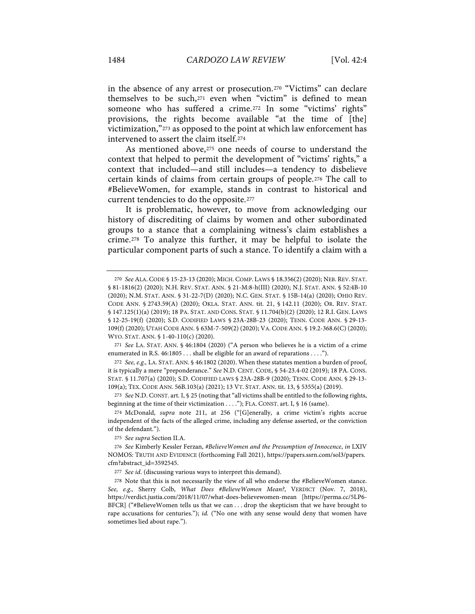in the absence of any arrest or prosecution.270 "Victims" can declare themselves to be such,271 even when "victim" is defined to mean someone who has suffered a crime.272 In some "victims' rights" provisions, the rights become available "at the time of [the] victimization,"273 as opposed to the point at which law enforcement has intervened to assert the claim itself.274

As mentioned above,275 one needs of course to understand the context that helped to permit the development of "victims' rights," a context that included—and still includes—a tendency to disbelieve certain kinds of claims from certain groups of people.276 The call to #BelieveWomen, for example, stands in contrast to historical and current tendencies to do the opposite.277

It is problematic, however, to move from acknowledging our history of discrediting of claims by women and other subordinated groups to a stance that a complaining witness's claim establishes a crime.278 To analyze this further, it may be helpful to isolate the particular component parts of such a stance. To identify a claim with a

272 *See, e.g.,* LA. STAT. ANN. § 46:1802 (2020). When these statutes mention a burden of proof, it is typically a mere "preponderance." *See* N.D. CENT. CODE, § 54-23.4-02 (2019); 18 PA. CONS. STAT. § 11.707(a) (2020); S.D. CODIFIED LAWS § 23A-28B-9 (2020); TENN. CODE ANN. § 29-13- 109(a); TEX. CODE ANN. 56B.103(a) (2021); 13 VT. STAT. ANN. tit. 13, § 5355(a) (2019).

273 *See* N.D. CONST. art. I, § 25 (noting that "all victims shall be entitled to the following rights, beginning at the time of their victimization . . . ."); FLA. CONST. art. I, § 16 (same).

274 McDonald, *supra* note 211, at 256 ("[G]enerally, a crime victim's rights accrue independent of the facts of the alleged crime, including any defense asserted, or the conviction of the defendant.").

275 *See supra* Section II.A.

277 *See id*. (discussing various ways to interpret this demand).

<sup>270</sup> *See* ALA.CODE § 15-23-13 (2020); MICH. COMP. LAWS § 18.356(2) (2020); NEB. REV. STAT. § 81-1816(2) (2020); N.H. REV. STAT. ANN. § 21-M:8-h(III) (2020); N.J. STAT. ANN. § 52:4B-10 (2020); N.M. STAT. ANN. § 31-22-7(D) (2020); N.C. GEN. STAT. § 15B-14(a) (2020); OHIO REV. CODE ANN. § 2743.59(A) (2020); OKLA. STAT. ANN. tit. 21, § 142.11 (2020); OR. REV. STAT. § 147.125(1)(a) (2019); 18 PA. STAT. AND CONS. STAT. § 11.704(b)(2) (2020); 12 R.I. GEN. LAWS § 12-25-19(f) (2020); S.D. CODIFIED LAWS § 23A-28B-23 (2020); TENN. CODE ANN. § 29-13-109(f) (2020); UTAH CODE ANN. § 63M-7-509(2) (2020); VA.CODE ANN. § 19.2-368.6(C) (2020); WYO. STAT. ANN. § 1-40-110(c) (2020).

<sup>271</sup> *See* LA. STAT. ANN. § 46:1804 (2020) ("A person who believes he is a victim of a crime enumerated in R.S. 46:1805 . . . shall be eligible for an award of reparations . . . .").

<sup>276</sup> *See* Kimberly Kessler Ferzan, *#BelieveWomen and the Presumption of Innocence*, *in* LXIV NOMOS: TRUTH AND EVIDENCE (forthcoming Fall 2021), https://papers.ssrn.com/sol3/papers. cfm?abstract\_id=3592545.

<sup>278</sup> Note that this is not necessarily the view of all who endorse the #BelieveWomen stance. *See, e.g.,* Sherry Colb, *What Does #BelieveWomen Mean?*, VERDICT (Nov. 7, 2018), https://verdict.justia.com/2018/11/07/what-does-believewomen-mean [https://perma.cc/5LP6- BFCR] ("#BelieveWomen tells us that we can . . . drop the skepticism that we have brought to rape accusations for centuries."); *id.* ("No one with any sense would deny that women have sometimes lied about rape.").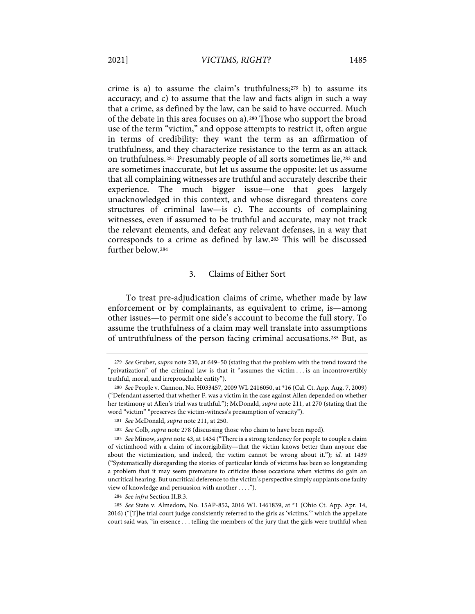crime is a) to assume the claim's truthfulness; $279$  b) to assume its accuracy; and c) to assume that the law and facts align in such a way that a crime, as defined by the law, can be said to have occurred. Much of the debate in this area focuses on a).280 Those who support the broad use of the term "victim," and oppose attempts to restrict it, often argue in terms of credibility: they want the term as an affirmation of truthfulness, and they characterize resistance to the term as an attack on truthfulness.281 Presumably people of all sorts sometimes lie,282 and are sometimes inaccurate, but let us assume the opposite: let us assume that all complaining witnesses are truthful and accurately describe their experience. The much bigger issue—one that goes largely unacknowledged in this context, and whose disregard threatens core structures of criminal law—is c). The accounts of complaining witnesses, even if assumed to be truthful and accurate, may not track the relevant elements, and defeat any relevant defenses, in a way that corresponds to a crime as defined by law.283 This will be discussed further below.284

#### 3. Claims of Either Sort

To treat pre-adjudication claims of crime, whether made by law enforcement or by complainants, as equivalent to crime, is—among other issues—to permit one side's account to become the full story. To assume the truthfulness of a claim may well translate into assumptions of untruthfulness of the person facing criminal accusations.285 But, as

<sup>279</sup> *See* Gruber, *supra* note 230, at 649–50 (stating that the problem with the trend toward the "privatization" of the criminal law is that it "assumes the victim . . . is an incontrovertibly truthful, moral, and irreproachable entity").

<sup>280</sup> *See* People v. Cannon, No. H033457, 2009 WL 2416050, at \*16 (Cal. Ct. App. Aug. 7, 2009) ("Defendant asserted that whether F. was a victim in the case against Allen depended on whether her testimony at Allen's trial was truthful."); McDonald, *supra* note 211, at 270 (stating that the word "victim" "preserves the victim-witness's presumption of veracity").

<sup>281</sup> *See* McDonald, *supra* note 211, at 250.

<sup>282</sup> *See* Colb, *supra* note 278 (discussing those who claim to have been raped).

<sup>283</sup> *See* Minow, *supra* note 43, at 1434 ("There is a strong tendency for people to couple a claim of victimhood with a claim of incorrigibility—that the victim knows better than anyone else about the victimization, and indeed, the victim cannot be wrong about it."); *id.* at 1439 ("Systematically disregarding the stories of particular kinds of victims has been so longstanding a problem that it may seem premature to criticize those occasions when victims do gain an uncritical hearing. But uncritical deference to the victim's perspective simply supplants one faulty view of knowledge and persuasion with another . . . .").

<sup>284</sup> *See infra* Section II.B.3.

<sup>285</sup> *See* State v. Almedom, No. 15AP-852, 2016 WL 1461839, at \*1 (Ohio Ct. App. Apr. 14, 2016) ("[T]he trial court judge consistently referred to the girls as 'victims,'" which the appellate court said was, "in essence . . . telling the members of the jury that the girls were truthful when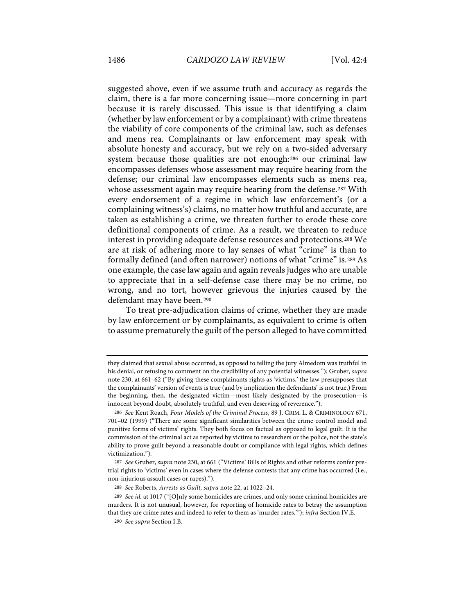suggested above, even if we assume truth and accuracy as regards the claim, there is a far more concerning issue—more concerning in part because it is rarely discussed. This issue is that identifying a claim (whether by law enforcement or by a complainant) with crime threatens the viability of core components of the criminal law, such as defenses and mens rea. Complainants or law enforcement may speak with absolute honesty and accuracy, but we rely on a two-sided adversary system because those qualities are not enough:286 our criminal law encompasses defenses whose assessment may require hearing from the defense; our criminal law encompasses elements such as mens rea, whose assessment again may require hearing from the defense.<sup>287</sup> With every endorsement of a regime in which law enforcement's (or a complaining witness's) claims, no matter how truthful and accurate, are taken as establishing a crime, we threaten further to erode these core definitional components of crime. As a result, we threaten to reduce interest in providing adequate defense resources and protections.288 We are at risk of adhering more to lay senses of what "crime" is than to formally defined (and often narrower) notions of what "crime" is.289 As one example, the case law again and again reveals judges who are unable to appreciate that in a self-defense case there may be no crime, no wrong, and no tort, however grievous the injuries caused by the defendant may have been.290

To treat pre-adjudication claims of crime, whether they are made by law enforcement or by complainants, as equivalent to crime is often to assume prematurely the guilt of the person alleged to have committed

they claimed that sexual abuse occurred, as opposed to telling the jury Almedom was truthful in his denial, or refusing to comment on the credibility of any potential witnesses."); Gruber, *supra*  note 230, at 661–62 ("By giving these complainants rights as 'victims,' the law presupposes that the complainants' version of events is true (and by implication the defendants' is not true.) From the beginning, then, the designated victim—most likely designated by the prosecution—is innocent beyond doubt, absolutely truthful, and even deserving of reverence.").

<sup>286</sup> *See* Kent Roach, *Four Models of the Criminal Process*, 89 J. CRIM. L. & CRIMINOLOGY 671, 701–02 (1999) ("There are some significant similarities between the crime control model and punitive forms of victims' rights. They both focus on factual as opposed to legal guilt. It is the commission of the criminal act as reported by victims to researchers or the police, not the state's ability to prove guilt beyond a reasonable doubt or compliance with legal rights, which defines victimization.").

<sup>287</sup> *See* Gruber, *supra* note 230, at 661 ("Victims' Bills of Rights and other reforms confer pretrial rights to 'victims' even in cases where the defense contests that any crime has occurred (i.e., non-injurious assault cases or rapes).").

<sup>288</sup> *See* Roberts, *Arrests as Guilt, supra* note 22, at 1022–24.

<sup>289</sup> *See id.* at 1017 ("[O]nly some homicides are crimes, and only some criminal homicides are murders. It is not unusual, however, for reporting of homicide rates to betray the assumption that they are crime rates and indeed to refer to them as 'murder rates.'"); *infra* Section IV.E.

<sup>290</sup> *See supra* Section I.B.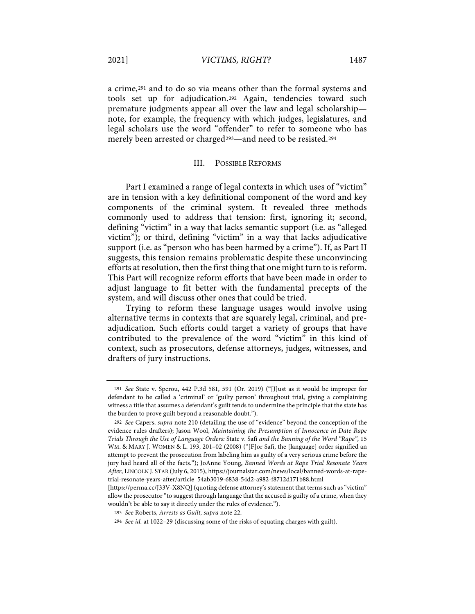a crime,291 and to do so via means other than the formal systems and tools set up for adjudication.292 Again, tendencies toward such premature judgments appear all over the law and legal scholarship note, for example, the frequency with which judges, legislatures, and legal scholars use the word "offender" to refer to someone who has merely been arrested or charged<sup>293</sup>—and need to be resisted.<sup>294</sup>

#### III. POSSIBLE REFORMS

Part I examined a range of legal contexts in which uses of "victim" are in tension with a key definitional component of the word and key components of the criminal system. It revealed three methods commonly used to address that tension: first, ignoring it; second, defining "victim" in a way that lacks semantic support (i.e. as "alleged victim"); or third, defining "victim" in a way that lacks adjudicative support (i.e. as "person who has been harmed by a crime"). If, as Part II suggests, this tension remains problematic despite these unconvincing efforts at resolution, then the first thing that one might turn to is reform. This Part will recognize reform efforts that have been made in order to adjust language to fit better with the fundamental precepts of the system, and will discuss other ones that could be tried.

Trying to reform these language usages would involve using alternative terms in contexts that are squarely legal, criminal, and preadjudication. Such efforts could target a variety of groups that have contributed to the prevalence of the word "victim" in this kind of context, such as prosecutors, defense attorneys, judges, witnesses, and drafters of jury instructions.

<sup>291</sup> *See* State v. Sperou, 442 P.3d 581, 591 (Or. 2019) ("[J]ust as it would be improper for defendant to be called a 'criminal' or 'guilty person' throughout trial, giving a complaining witness a title that assumes a defendant's guilt tends to undermine the principle that the state has the burden to prove guilt beyond a reasonable doubt.").

<sup>292</sup> *See* Capers, *supra* note 210 (detailing the use of "evidence" beyond the conception of the evidence rules drafters); Jason Wool, *Maintaining the Presumption of Innocence in Date Rape Trials Through the Use of Language Orders:* State v. Safi *and the Banning of the Word "Rape"*, 15 WM. & MARY J. WOMEN & L. 193, 201–02 (2008) ("[F]or Safi, the [language] order signified an attempt to prevent the prosecution from labeling him as guilty of a very serious crime before the jury had heard all of the facts."); JoAnne Young, *Banned Words at Rape Trial Resonate Years After*, LINCOLN J. STAR (July 6, 2015), https://journalstar.com/news/local/banned-words-at-rapetrial-resonate-years-after/article\_54ab3019-6838-54d2-a982-f8712d171b88.html

<sup>[</sup>https://perma.cc/J33V-X8NQ] (quoting defense attorney's statement that terms such as "victim" allow the prosecutor "to suggest through language that the accused is guilty of a crime, when they wouldn't be able to say it directly under the rules of evidence.").

<sup>293</sup> *See* Roberts, *Arrests as Guilt, supra* note 22.

<sup>294</sup> *See id.* at 1022–29 (discussing some of the risks of equating charges with guilt).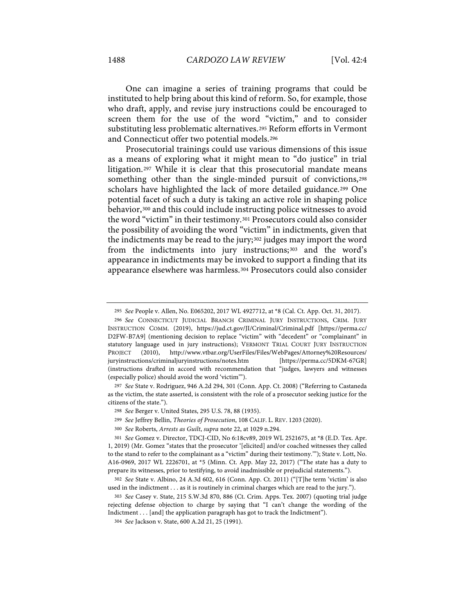One can imagine a series of training programs that could be instituted to help bring about this kind of reform. So, for example, those who draft, apply, and revise jury instructions could be encouraged to screen them for the use of the word "victim," and to consider substituting less problematic alternatives.295 Reform efforts in Vermont and Connecticut offer two potential models.296

Prosecutorial trainings could use various dimensions of this issue as a means of exploring what it might mean to "do justice" in trial litigation.297 While it is clear that this prosecutorial mandate means something other than the single-minded pursuit of convictions,<sup>298</sup> scholars have highlighted the lack of more detailed guidance.299 One potential facet of such a duty is taking an active role in shaping police behavior,300 and this could include instructing police witnesses to avoid the word "victim" in their testimony.301 Prosecutors could also consider the possibility of avoiding the word "victim" in indictments, given that the indictments may be read to the jury;302 judges may import the word from the indictments into jury instructions;303 and the word's appearance in indictments may be invoked to support a finding that its appearance elsewhere was harmless.304 Prosecutors could also consider

299 *See* Jeffrey Bellin, *Theories of Prosecution*, 108 CALIF. L. REV. 1203 (2020).

<sup>295</sup> *See* People v. Allen, No. E065202, 2017 WL 4927712, at \*8 (Cal. Ct. App. Oct. 31, 2017).

<sup>296</sup> *See* CONNECTICUT JUDICIAL BRANCH CRIMINAL JURY INSTRUCTIONS, CRIM. JURY INSTRUCTION COMM. (2019), https://jud.ct.gov/JI/Criminal/Criminal.pdf [https://perma.cc/ D2FW-B7A9] (mentioning decision to replace "victim" with "decedent" or "complainant" in statutory language used in jury instructions); VERMONT TRIAL COURT JURY INSTRUCTION PROJECT (2010), http://www.vtbar.org/UserFiles/Files/WebPages/Attorney%20Resources/ juryinstructions/criminaljuryinstructions/notes.htm [https://perma.cc/5DKM-67GR] (instructions drafted in accord with recommendation that "judges, lawyers and witnesses (especially police) should avoid the word 'victim'").

<sup>297</sup> *See* State v. Rodriguez, 946 A.2d 294, 301 (Conn. App. Ct. 2008) ("Referring to Castaneda as the victim, the state asserted, is consistent with the role of a prosecutor seeking justice for the citizens of the state.").

<sup>298</sup> *See* Berger v. United States, 295 U.S. 78, 88 (1935).

<sup>300</sup> *See* Roberts, *Arrests as Guilt*, *supra* note 22, at 1029 n.294.

<sup>301</sup> *See* Gomez v. Director, TDCJ-CID, No 6:18cv89, 2019 WL 2521675, at \*8 (E.D. Tex. Apr. 1, 2019) (Mr. Gomez "states that the prosecutor '[elicited] and/or coached witnesses they called to the stand to refer to the complainant as a "victim" during their testimony.'"); State v. Lott, No. A16-0969, 2017 WL 2226701, at \*5 (Minn. Ct. App. May 22, 2017) ("The state has a duty to prepare its witnesses, prior to testifying, to avoid inadmissible or prejudicial statements.").

<sup>302</sup> *See* State v. Albino, 24 A.3d 602, 616 (Conn. App. Ct. 2011) ("[T]he term 'victim' is also used in the indictment . . . as it is routinely in criminal charges which are read to the jury.").

<sup>303</sup> *See* Casey v. State, 215 S.W.3d 870, 886 (Ct. Crim. Apps. Tex. 2007) (quoting trial judge rejecting defense objection to charge by saying that "I can't change the wording of the Indictment . . . [and] the application paragraph has got to track the Indictment").

<sup>304</sup> *See* Jackson v. State, 600 A.2d 21, 25 (1991).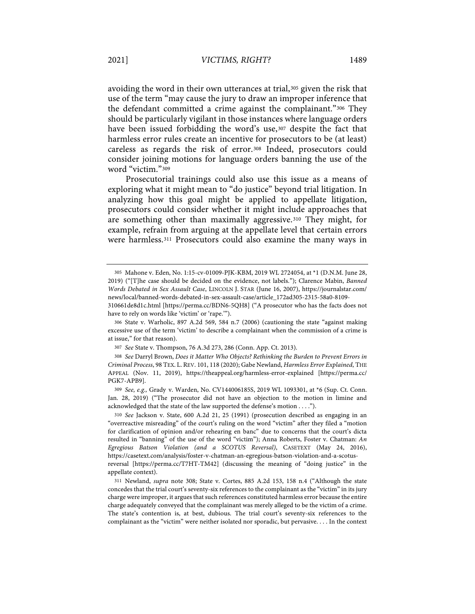avoiding the word in their own utterances at trial,<sup>305</sup> given the risk that use of the term "may cause the jury to draw an improper inference that the defendant committed a crime against the complainant."306 They should be particularly vigilant in those instances where language orders have been issued forbidding the word's use,<sup>307</sup> despite the fact that harmless error rules create an incentive for prosecutors to be (at least) careless as regards the risk of error.308 Indeed, prosecutors could consider joining motions for language orders banning the use of the word "victim."309

Prosecutorial trainings could also use this issue as a means of exploring what it might mean to "do justice" beyond trial litigation. In analyzing how this goal might be applied to appellate litigation, prosecutors could consider whether it might include approaches that are something other than maximally aggressive.310 They might, for example, refrain from arguing at the appellate level that certain errors were harmless.311 Prosecutors could also examine the many ways in

<sup>305</sup> Mahone v. Eden, No. 1:15-cv-01009-PJK-KBM, 2019 WL 2724054, at \*1 (D.N.M. June 28, 2019) ("[T]he case should be decided on the evidence, not labels."); Clarence Mabin, *Banned Words Debated in Sex Assault Case*, LINCOLN J. STAR (June 16, 2007), https://journalstar.com/ news/local/banned-words-debated-in-sex-assault-case/article\_172ad305-2315-58a0-8109-

<sup>310661</sup>de8d1c.html [https://perma.cc/BDN6-5QH8] ("A prosecutor who has the facts does not have to rely on words like 'victim' or 'rape.'").

<sup>306</sup> State v. Warholic, 897 A.2d 569, 584 n.7 (2006) (cautioning the state "against making excessive use of the term 'victim' to describe a complainant when the commission of a crime is at issue," for that reason).

<sup>307</sup> *See* State v. Thompson, 76 A.3d 273, 286 (Conn. App. Ct. 2013).

<sup>308</sup> *See* Darryl Brown, *Does it Matter Who Objects? Rethinking the Burden to Prevent Errors in Criminal Process*, 98 TEX. L. REV. 101, 118 (2020); Gabe Newland, *Harmless Error Explained*, THE APPEAL (Nov. 11, 2019), https://theappeal.org/harmless-error-explained [https://perma.cc/ PGK7-APB9].

<sup>309</sup> *See, e.g.,* Grady v. Warden, No. CV144006185S, 2019 WL 1093301, at \*6 (Sup. Ct. Conn. Jan. 28, 2019) ("The prosecutor did not have an objection to the motion in limine and acknowledged that the state of the law supported the defense's motion . . . .").

<sup>310</sup> *See* Jackson v. State, 600 A.2d 21, 25 (1991) (prosecution described as engaging in an "overreactive misreading" of the court's ruling on the word "victim" after they filed a "motion for clarification of opinion and/or rehearing en banc" due to concerns that the court's dicta resulted in "banning" of the use of the word "victim"); Anna Roberts, Foster v. Chatman: *An Egregious Batson Violation (and a SCOTUS Reversal)*, CASETEXT (May 24, 2016), https://casetext.com/analysis/foster-v-chatman-an-egregious-batson-violation-and-a-scotusreversal [https://perma.cc/T7HT-TM42] (discussing the meaning of "doing justice" in the appellate context).

<sup>311</sup> Newland, *supra* note 308; State v. Cortes, 885 A.2d 153, 158 n.4 ("Although the state concedes that the trial court's seventy-six references to the complainant as the "victim" in its jury charge were improper, it argues that such references constituted harmless error because the entire charge adequately conveyed that the complainant was merely alleged to be the victim of a crime. The state's contention is, at best, dubious. The trial court's seventy-six references to the complainant as the "victim" were neither isolated nor sporadic, but pervasive. . . . In the context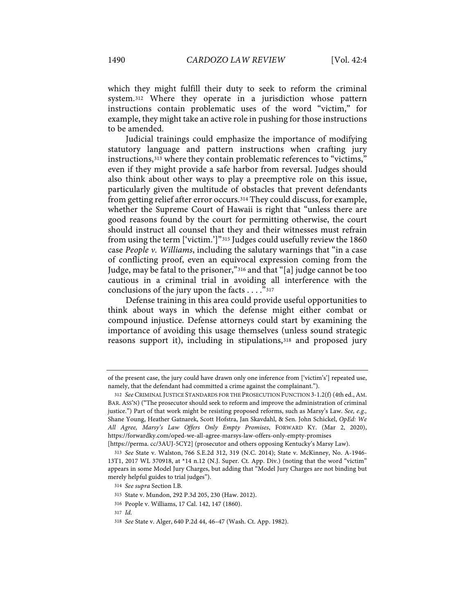which they might fulfill their duty to seek to reform the criminal system.312 Where they operate in a jurisdiction whose pattern instructions contain problematic uses of the word "victim," for example, they might take an active role in pushing for those instructions to be amended.

Judicial trainings could emphasize the importance of modifying statutory language and pattern instructions when crafting jury instructions,313 where they contain problematic references to "victims," even if they might provide a safe harbor from reversal. Judges should also think about other ways to play a preemptive role on this issue, particularly given the multitude of obstacles that prevent defendants from getting relief after error occurs.314 They could discuss, for example, whether the Supreme Court of Hawaii is right that "unless there are good reasons found by the court for permitting otherwise, the court should instruct all counsel that they and their witnesses must refrain from using the term ['victim.']"315 Judges could usefully review the 1860 case *People v. Williams*, including the salutary warnings that "in a case of conflicting proof, even an equivocal expression coming from the Judge, may be fatal to the prisoner,"316 and that "[a] judge cannot be too cautious in a criminal trial in avoiding all interference with the conclusions of the jury upon the facts . . . ."317

Defense training in this area could provide useful opportunities to think about ways in which the defense might either combat or compound injustice. Defense attorneys could start by examining the importance of avoiding this usage themselves (unless sound strategic reasons support it), including in stipulations,<sup>318</sup> and proposed jury

317 *Id.*

of the present case, the jury could have drawn only one inference from ['victim's'] repeated use, namely, that the defendant had committed a crime against the complainant.").

<sup>312</sup> *See* CRIMINAL JUSTICE STANDARDS FOR THE PROSECUTION FUNCTION 3-1.2(f) (4th ed., AM. BAR. ASS'N) ("The prosecutor should seek to reform and improve the administration of criminal justice.") Part of that work might be resisting proposed reforms, such as Marsy's Law. *See, e.g.,*  Shane Young, Heather Gatnarek, Scott Hofstra, Jan Skavdahl, & Sen. John Schickel, *OpEd: We All Agree, Marsy's Law Offers Only Empty Promises*, FORWARD KY. (Mar 2, 2020), https://forwardky.com/oped-we-all-agree-marsys-law-offers-only-empty-promises

<sup>[</sup>https://perma. cc/3AUJ-5CY2] (prosecutor and others opposing Kentucky's Marsy Law).

<sup>313</sup> *See* State v. Walston, 766 S.E.2d 312, 319 (N.C. 2014); State v. McKinney, No. A-1946- 13T1, 2017 WL 370918, at \*14 n.12 (N.J. Super. Ct. App. Div.) (noting that the word "victim" appears in some Model Jury Charges, but adding that "Model Jury Charges are not binding but merely helpful guides to trial judges").

<sup>314</sup> *See supra* Section I.B.

<sup>315</sup> State v. Mundon, 292 P.3d 205, 230 (Haw. 2012).

<sup>316</sup> People v. Williams, 17 Cal. 142, 147 (1860).

<sup>318</sup> *See* State v. Alger, 640 P.2d 44, 46–47 (Wash. Ct. App. 1982).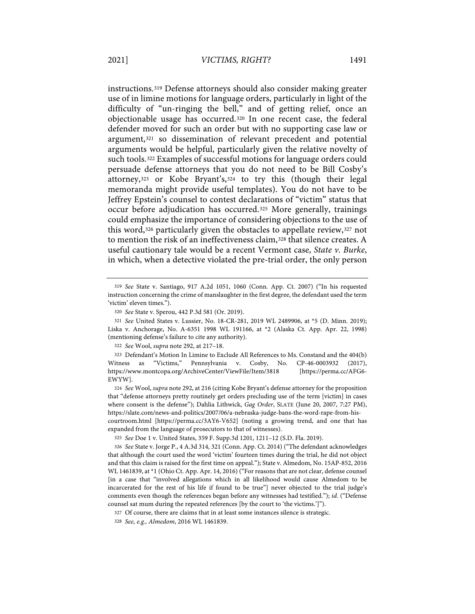instructions.319 Defense attorneys should also consider making greater use of in limine motions for language orders, particularly in light of the difficulty of "un-ringing the bell," and of getting relief, once an objectionable usage has occurred.320 In one recent case, the federal defender moved for such an order but with no supporting case law or argument,321 so dissemination of relevant precedent and potential arguments would be helpful, particularly given the relative novelty of such tools.322 Examples of successful motions for language orders could persuade defense attorneys that you do not need to be Bill Cosby's attorney,323 or Kobe Bryant's,324 to try this (though their legal memoranda might provide useful templates). You do not have to be Jeffrey Epstein's counsel to contest declarations of "victim" status that occur before adjudication has occurred.325 More generally, trainings could emphasize the importance of considering objections to the use of this word,326 particularly given the obstacles to appellate review,327 not to mention the risk of an ineffectiveness claim,<sup>328</sup> that silence creates. A useful cautionary tale would be a recent Vermont case, *State v. Burke*, in which, when a detective violated the pre-trial order, the only person

322 *See* Wool, *supra* note 292, at 217–18.

324 *See* Wool, *supra* note 292, at 216 (citing Kobe Bryant's defense attorney for the proposition that "defense attorneys pretty routinely get orders precluding use of the term [victim] in cases where consent is the defense"); Dahlia Lithwick, *Gag Order*, SLATE (June 20, 2007, 7:27 PM), https://slate.com/news-and-politics/2007/06/a-nebraska-judge-bans-the-word-rape-from-hiscourtroom.html [https://perma.cc/3AY6-V652] (noting a growing trend, and one that has expanded from the language of prosecutors to that of witnesses).

325 *See* Doe 1 v. United States, 359 F. Supp.3d 1201, 1211–12 (S.D. Fla. 2019).

326 *See* State v. Jorge P., 4 A.3d 314, 321 (Conn. App. Ct. 2014) ("The defendant acknowledges that although the court used the word 'victim' fourteen times during the trial, he did not object and that this claim is raised for the first time on appeal."); State v. Almedom, No. 15AP-852, 2016 WL 1461839, at \*1 (Ohio Ct. App. Apr. 14, 2016) ("For reasons that are not clear, defense counsel [in a case that "involved allegations which in all likelihood would cause Almedom to be incarcerated for the rest of his life if found to be true"] never objected to the trial judge's comments even though the references began before any witnesses had testified."); *id.* ("Defense counsel sat mum during the repeated references [by the court to 'the victims.']").

327 Of course, there are claims that in at least some instances silence is strategic.

328 *See, e.g., Almedom*, 2016 WL 1461839.

<sup>319</sup> *See* State v. Santiago, 917 A.2d 1051, 1060 (Conn. App. Ct. 2007) ("In his requested instruction concerning the crime of manslaughter in the first degree, the defendant used the term 'victim' eleven times.").

<sup>320</sup> *See* State v. Sperou, 442 P.3d 581 (Or. 2019) .

<sup>321</sup> *See* United States v. Lussier, No. 18-CR-281, 2019 WL 2489906, at \*5 (D. Minn. 2019); Liska v. Anchorage, No. A-6351 1998 WL 191166, at \*2 (Alaska Ct. App. Apr. 22, 1998) (mentioning defense's failure to cite any authority).

<sup>323</sup> Defendant's Motion In Limine to Exclude All References to Ms. Constand and the 404(b) Witness as "Victims," Pennsylvania v. Cosby, No. CP-46-0003932 (2017), https://www.montcopa.org/ArchiveCenter/ViewFile/Item/3818 [https://perma.cc/AFG6- EWYW].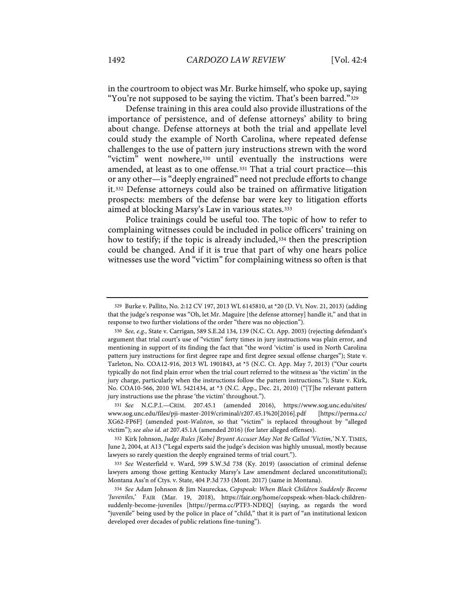in the courtroom to object was Mr. Burke himself, who spoke up, saying "You're not supposed to be saying the victim. That's been barred."329

Defense training in this area could also provide illustrations of the importance of persistence, and of defense attorneys' ability to bring about change. Defense attorneys at both the trial and appellate level could study the example of North Carolina, where repeated defense challenges to the use of pattern jury instructions strewn with the word "victim" went nowhere, 330 until eventually the instructions were amended, at least as to one offense.331 That a trial court practice—this or any other—is "deeply engrained" need not preclude efforts to change it.332 Defense attorneys could also be trained on affirmative litigation prospects: members of the defense bar were key to litigation efforts aimed at blocking Marsy's Law in various states.333

Police trainings could be useful too. The topic of how to refer to complaining witnesses could be included in police officers' training on how to testify; if the topic is already included, 334 then the prescription could be changed. And if it is true that part of why one hears police witnesses use the word "victim" for complaining witness so often is that

<sup>329</sup> Burke v. Pallito, No. 2:12 CV 197, 2013 WL 6145810, at \*20 (D. Vt. Nov. 21, 2013) (adding that the judge's response was "Oh, let Mr. Maguire [the defense attorney] handle it," and that in response to two further violations of the order "there was no objection").

<sup>330</sup> *See, e.g.,* State v. Carrigan, 589 S.E.2d 134, 139 (N.C. Ct. App. 2003) (rejecting defendant's argument that trial court's use of "victim" forty times in jury instructions was plain error, and mentioning in support of its finding the fact that "the word 'victim' is used in North Carolina pattern jury instructions for first degree rape and first degree sexual offense charges"); State v. Tarleton, No. COA12-916, 2013 WL 1901843, at \*5 (N.C. Ct. App. May 7, 2013) ("Our courts typically do not find plain error when the trial court referred to the witness as 'the victim' in the jury charge, particularly when the instructions follow the pattern instructions."); State v. Kirk, No. COA10-566, 2010 WL 5421434, at \*3 (N.C. App., Dec. 21, 2010) ("[T]he relevant pattern jury instructions use the phrase 'the victim' throughout.").

<sup>331</sup> *See* N.C.P.I.—CRIM. 207.45.1 (amended 2016), https://www.sog.unc.edu/sites/ www.sog.unc.edu/files/pji-master-2019/criminal/r207.45.1%20[2016].pdf [https://perma.cc/ XG62-FP6F] (amended post-*Walston*, so that "victim" is replaced throughout by "alleged victim"); *see also id. at* 207.45.1A (amended 2016) (for later alleged offenses).

<sup>332</sup> Kirk Johnson, *Judge Rules [Kobe] Bryant Accuser May Not Be Called 'Victim*,*'* N.Y. TIMES, June 2, 2004, at A13 ("Legal experts said the judge's decision was highly unusual, mostly because lawyers so rarely question the deeply engrained terms of trial court.").

<sup>333</sup> *See* Westerfield v. Ward, 599 S.W.3d 738 (Ky. 2019) (association of criminal defense lawyers among those getting Kentucky Marsy's Law amendment declared unconstitutional); Montana Ass'n of Ctys. v. State, 404 P.3d 733 (Mont. 2017) (same in Montana).

<sup>334</sup> *See* Adam Johnson & Jim Naureckas, *Copspeak: When Black Children Suddenly Become 'Juveniles*,' FAIR (Mar. 19, 2018), https://fair.org/home/copspeak-when-black-childrensuddenly-become-juveniles [https://perma.cc/PTF3-NDEQ] (saying, as regards the word "juvenile" being used by the police in place of "child," that it is part of "an institutional lexicon developed over decades of public relations fine-tuning").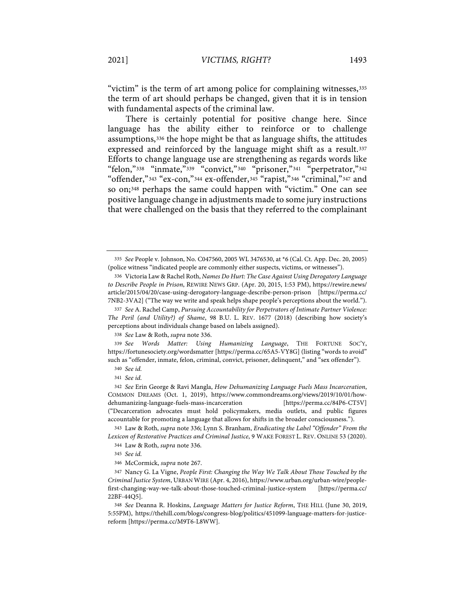"victim" is the term of art among police for complaining witnesses,335 the term of art should perhaps be changed, given that it is in tension with fundamental aspects of the criminal law.

There is certainly potential for positive change here. Since language has the ability either to reinforce or to challenge assumptions,336 the hope might be that as language shifts, the attitudes expressed and reinforced by the language might shift as a result.<sup>337</sup> Efforts to change language use are strengthening as regards words like "felon,"338 "inmate,"339 "convict,"340 "prisoner,"341 "perpetrator,"342 "offender," 343 "ex-con," 344 ex-offender, 345 "rapist," 346 "criminal," 347 and so on;348 perhaps the same could happen with "victim." One can see positive language change in adjustments made to some jury instructions that were challenged on the basis that they referred to the complainant

338 *See* Law & Roth, *supra* note 336.

339 *See Words Matter: Using Humanizing Language*, THE FORTUNE SOC'Y, https://fortunesociety.org/wordsmatter [https://perma.cc/65A5-VY8G] (listing "words to avoid" such as "offender, inmate, felon, criminal, convict, prisoner, delinquent," and "sex offender").

343 Law & Roth, *supra* note 336; Lynn S. Branham, *Eradicating the Label "Offender" From the Lexicon of Restorative Practices and Criminal Justice*, 9 WAKE FOREST L. REV. ONLINE 53 (2020).

345 *See id.*

346 McCormick, *supra* note 267.

347 Nancy G. La Vigne, *People First: Changing the Way We Talk About Those Touched by the Criminal Justice System*, URBAN WIRE (Apr. 4, 2016), https://www.urban.org/urban-wire/peoplefirst-changing-way-we-talk-about-those-touched-criminal-justice-system [https://perma.cc/ 22BF-44Q5].

348 *See* Deanna R. Hoskins, *Language Matters for Justice Reform*, THE HILL (June 30, 2019, 5:55PM), https://thehill.com/blogs/congress-blog/politics/451099-language-matters-for-justicereform [https://perma.cc/M9T6-L8WW].

<sup>335</sup> *See* People v. Johnson, No. C047560, 2005 WL 3476530, at \*6 (Cal. Ct. App. Dec. 20, 2005) (police witness "indicated people are commonly either suspects, victims, or witnesses").

<sup>336</sup> Victoria Law & Rachel Roth, *Names Do Hurt: The Case Against Using Derogatory Language to Describe People in Prison*, REWIRE NEWS GRP. (Apr. 20, 2015, 1:53 PM), https://rewire.news/ article/2015/04/20/case-using-derogatory-language-describe-person-prison [https://perma.cc/ 7NB2-3VA2] ("The way we write and speak helps shape people's perceptions about the world.").

<sup>337</sup> *See* A. Rachel Camp, *Pursuing Accountability for Perpetrators of Intimate Partner Violence: The Peril (and Utility?) of Shame*, 98 B.U. L. REV. 1677 (2018) (describing how society's perceptions about individuals change based on labels assigned).

<sup>340</sup> *See id.*

<sup>341</sup> *See id.*

<sup>342</sup> *See* Erin George & Ravi Mangla, *How Dehumanizing Language Fuels Mass Incarceration*, COMMON DREAMS (Oct. 1, 2019), https://www.commondreams.org/views/2019/10/01/howdehumanizing-language-fuels-mass-incarceration [https://perma.cc/84P6-CT5V] ("Decarceration advocates must hold policymakers, media outlets, and public figures accountable for promoting a language that allows for shifts in the broader consciousness.").

<sup>344</sup> Law & Roth, *supra* note 336.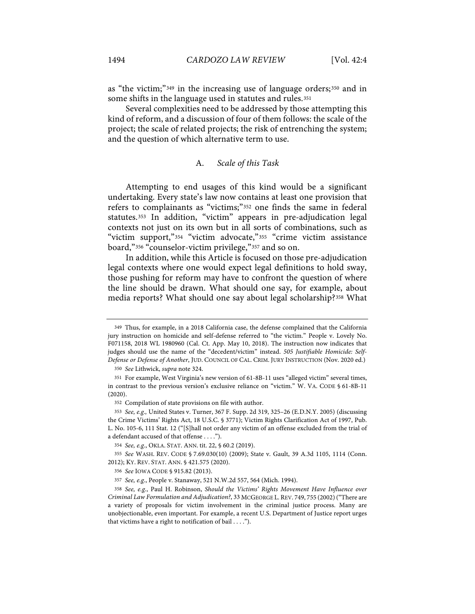as "the victim;"349 in the increasing use of language orders;350 and in some shifts in the language used in statutes and rules.<sup>351</sup>

Several complexities need to be addressed by those attempting this kind of reform, and a discussion of four of them follows: the scale of the project; the scale of related projects; the risk of entrenching the system; and the question of which alternative term to use.

# A. *Scale of this Task*

Attempting to end usages of this kind would be a significant undertaking. Every state's law now contains at least one provision that refers to complainants as "victims;"352 one finds the same in federal statutes.353 In addition, "victim" appears in pre-adjudication legal contexts not just on its own but in all sorts of combinations, such as "victim support,"354 "victim advocate,"355 "crime victim assistance board,"356 "counselor-victim privilege,"357 and so on.

In addition, while this Article is focused on those pre-adjudication legal contexts where one would expect legal definitions to hold sway, those pushing for reform may have to confront the question of where the line should be drawn. What should one say, for example, about media reports? What should one say about legal scholarship?358 What

350 *See* Lithwick, *supra* note 324.

352 Compilation of state provisions on file with author.

<sup>349</sup> Thus, for example, in a 2018 California case, the defense complained that the California jury instruction on homicide and self-defense referred to "the victim." People v. Lovely No. F071158, 2018 WL 1980960 (Cal. Ct. App. May 10, 2018). The instruction now indicates that judges should use the name of the "decedent/victim" instead. *505 Justifiable Homicide: Self-Defense or Defense of Another*, JUD. COUNCIL OF CAL. CRIM. JURY INSTRUCTION (Nov. 2020 ed.)

<sup>351</sup> For example, West Virginia's new version of 61-8B-11 uses "alleged victim" several times, in contrast to the previous version's exclusive reliance on "victim." W. VA. CODE § 61-8B-11 (2020).

<sup>353</sup> *See, e.g.,* United States v. Turner, 367 F. Supp. 2d 319, 325–26 (E.D.N.Y. 2005) (discussing the Crime Victims' Rights Act, 18 U.S.C. § 3771); Victim Rights Clarification Act of 1997, Pub. L. No. 105-6, 111 Stat. 12 ("[S]hall not order any victim of an offense excluded from the trial of a defendant accused of that offense . . . .").

<sup>354</sup> *See, e.g.*, OKLA. STAT. ANN. tit. 22, § 60.2 (2019).

<sup>355</sup> *See* WASH. REV. CODE § 7.69.030(10) (2009); State v. Gault, 39 A.3d 1105, 1114 (Conn. 2012); KY. REV. STAT. ANN. § 421.575 (2020).

<sup>356</sup> *See* IOWA CODE § 915.82 (2013).

<sup>357</sup> *See, e.g.*, People v. Stanaway, 521 N.W.2d 557, 564 (Mich. 1994).

<sup>358</sup> *See, e.g.*, Paul H. Robinson, *Should the Victims' Rights Movement Have Influence over Criminal Law Formulation and Adjudication?*, 33 MCGEORGE L. REV. 749, 755 (2002)("There are a variety of proposals for victim involvement in the criminal justice process. Many are unobjectionable, even important. For example, a recent U.S. Department of Justice report urges that victims have a right to notification of bail . . . .").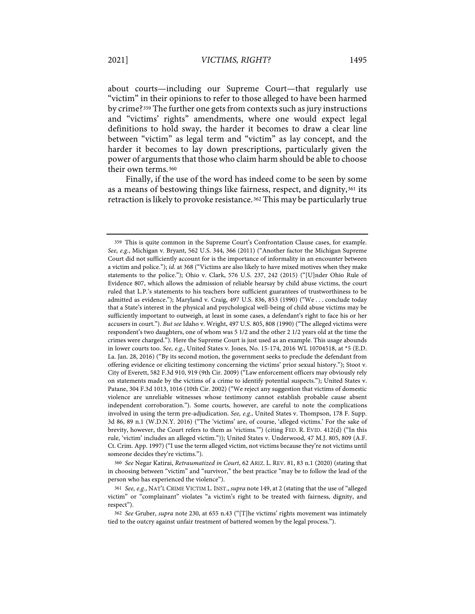about courts—including our Supreme Court—that regularly use "victim" in their opinions to refer to those alleged to have been harmed by crime?359 The further one gets from contexts such as jury instructions and "victims' rights" amendments, where one would expect legal definitions to hold sway, the harder it becomes to draw a clear line between "victim" as legal term and "victim" as lay concept, and the harder it becomes to lay down prescriptions, particularly given the power of arguments that those who claim harm should be able to choose their own terms.360

Finally, if the use of the word has indeed come to be seen by some as a means of bestowing things like fairness, respect, and dignity,361 its retraction is likely to provoke resistance.<sup>362</sup> This may be particularly true

360 *See* Negar Katirai, *Retraumatized in Court*, 62 ARIZ. L. REV. 81, 83 n.1 (2020) (stating that in choosing between "victim" and "survivor," the best practice "may be to follow the lead of the person who has experienced the violence").

361 *See, e.g.*, NAT'L CRIME VICTIM L. INST., *supra* note 149, at 2 (stating that the use of "alleged victim" or "complainant" violates "a victim's right to be treated with fairness, dignity, and respect").

<sup>359</sup> This is quite common in the Supreme Court's Confrontation Clause cases, for example. *See, e.g.*, Michigan v. Bryant, 562 U.S. 344, 366 (2011) ("Another factor the Michigan Supreme Court did not sufficiently account for is the importance of informality in an encounter between a victim and police."); *id.* at 368 ("Victims are also likely to have mixed motives when they make statements to the police."); Ohio v. Clark, 576 U.S. 237, 242 (2015) ("[U]nder Ohio Rule of Evidence 807, which allows the admission of reliable hearsay by child abuse victims, the court ruled that L.P.'s statements to his teachers bore sufficient guarantees of trustworthiness to be admitted as evidence."); Maryland v. Craig, 497 U.S. 836, 853 (1990) ("We . . . conclude today that a State's interest in the physical and psychological well-being of child abuse victims may be sufficiently important to outweigh, at least in some cases, a defendant's right to face his or her accusers in court."). *But see* Idaho v. Wright, 497 U.S. 805, 808 (1990) ("The alleged victims were respondent's two daughters, one of whom was 5 1/2 and the other 2 1/2 years old at the time the crimes were charged."). Here the Supreme Court is just used as an example. This usage abounds in lower courts too. *See, e.g.*, United States v. Jones, No. 15-174, 2016 WL 10704518, at \*5 (E.D. La. Jan. 28, 2016) ("By its second motion, the government seeks to preclude the defendant from offering evidence or eliciting testimony concerning the victims' prior sexual history."); Stoot v. City of Everett, 582 F.3d 910, 919 (9th Cir. 2009) ("Law enforcement officers may obviously rely on statements made by the victims of a crime to identify potential suspects."); United States v. Patane, 304 F.3d 1013, 1016 (10th Cir. 2002) ("We reject any suggestion that victims of domestic violence are unreliable witnesses whose testimony cannot establish probable cause absent independent corroboration."). Some courts, however, are careful to note the complications involved in using the term pre-adjudication. *See, e.g.*, United States v. Thompson, 178 F. Supp. 3d 86, 89 n.1 (W.D.N.Y. 2016) ("The 'victims' are, of course, 'alleged victims.' For the sake of brevity, however, the Court refers to them as 'victims.'") (citing FED. R. EVID. 412(d) ("In this rule, 'victim' includes an alleged victim.")); United States v. Underwood, 47 M.J. 805, 809 (A.F. Ct. Crim. App. 1997) ("I use the term alleged victim, not victims because they're not victims until someone decides they're victims.").

<sup>362</sup> *See* Gruber, *supra* note 230, at 655 n.43 ("[T]he victims' rights movement was intimately tied to the outcry against unfair treatment of battered women by the legal process.").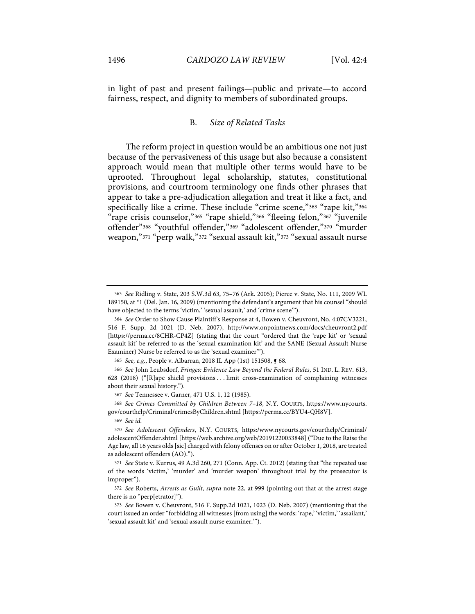in light of past and present failings—public and private—to accord fairness, respect, and dignity to members of subordinated groups.

## B. *Size of Related Tasks*

The reform project in question would be an ambitious one not just because of the pervasiveness of this usage but also because a consistent approach would mean that multiple other terms would have to be uprooted. Throughout legal scholarship, statutes, constitutional provisions, and courtroom terminology one finds other phrases that appear to take a pre-adjudication allegation and treat it like a fact, and specifically like a crime. These include "crime scene," 363 "rape kit," 364 "rape crisis counselor,"365 "rape shield,"366 "fleeing felon,"367 "juvenile offender"368 "youthful offender,"369 "adolescent offender,"370 "murder weapon,"371 "perp walk,"372 "sexual assault kit,"373 "sexual assault nurse

<sup>363</sup> *See* Ridling v. State, 203 S.W.3d 63, 75–76 (Ark. 2005); Pierce v. State, No. 111, 2009 WL 189150, at \*1 (Del. Jan. 16, 2009) (mentioning the defendant's argument that his counsel "should have objected to the terms 'victim,' 'sexual assault,' and 'crime scene'").

<sup>364</sup> *See* Order to Show Cause Plaintiff's Response at 4, Bowen v. Cheuvront, No. 4:07CV3221, 516 F. Supp. 2d 1021 (D. Neb. 2007), http://www.onpointnews.com/docs/cheuvront2.pdf [https://perma.cc/8CHR-CP4Z] (stating that the court "ordered that the 'rape kit' or 'sexual assault kit' be referred to as the 'sexual examination kit' and the SANE (Sexual Assault Nurse Examiner) Nurse be referred to as the 'sexual examiner'").

<sup>365</sup> *See, e.g.*, People v. Albarran, 2018 IL App (1st) 151508, ¶ 68.

<sup>366</sup> *See* John Leubsdorf, *Fringes: Evidence Law Beyond the Federal Rules*, 51 IND. L. REV. 613, 628 (2018) ("[R]ape shield provisions . . . limit cross-examination of complaining witnesses about their sexual history.").

<sup>367</sup> *See* Tennessee v. Garner, 471 U.S. 1, 12 (1985).

<sup>368</sup> *See Crimes Committed by Children Between 7–18*, N.Y. COURTS, https://www.nycourts. gov/courthelp/Criminal/crimesByChildren.shtml [https://perma.cc/BYU4-QH8V].

<sup>369</sup> *See id.*

<sup>370</sup> *See Adolescent Offenders*, N.Y. COURTS, https:/www.nycourts.gov/courthelp/Criminal/ adolescentOffender.shtml [https://web.archive.org/web/20191220053848] ("Due to the Raise the Age law, all 16 years olds [sic] charged with felony offenses on or after October 1, 2018, are treated as adolescent offenders (AO).").

<sup>371</sup> *See* State v. Kurrus, 49 A.3d 260, 271 (Conn. App. Ct. 2012) (stating that "the repeated use of the words 'victim,' 'murder' and 'murder weapon' throughout trial by the prosecutor is improper").

<sup>372</sup> *See* Roberts, *Arrests as Guilt, supra* note 22, at 999 (pointing out that at the arrest stage there is no "perp[etrator]").

<sup>373</sup> *See* Bowen v. Cheuvront, 516 F. Supp.2d 1021, 1023 (D. Neb. 2007) (mentioning that the court issued an order "forbidding all witnesses [from using] the words: 'rape,' 'victim,' 'assailant,' 'sexual assault kit' and 'sexual assault nurse examiner.'").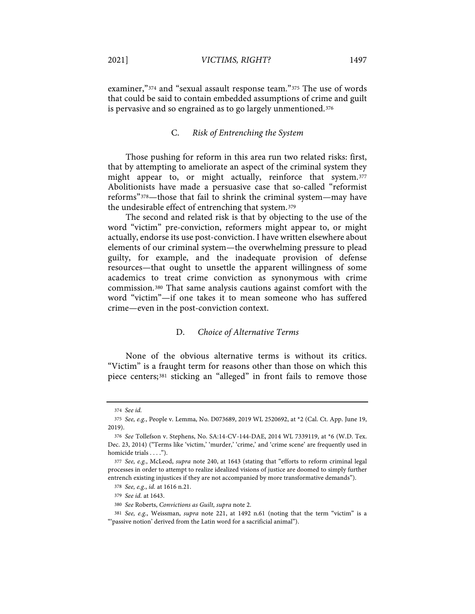examiner,"<sup>374</sup> and "sexual assault response team."<sup>375</sup> The use of words that could be said to contain embedded assumptions of crime and guilt is pervasive and so engrained as to go largely unmentioned.<sup>376</sup>

# C. *Risk of Entrenching the System*

Those pushing for reform in this area run two related risks: first, that by attempting to ameliorate an aspect of the criminal system they might appear to, or might actually, reinforce that system.377 Abolitionists have made a persuasive case that so-called "reformist reforms"378—those that fail to shrink the criminal system—may have the undesirable effect of entrenching that system.379

The second and related risk is that by objecting to the use of the word "victim" pre-conviction, reformers might appear to, or might actually, endorse its use post-conviction. I have written elsewhere about elements of our criminal system—the overwhelming pressure to plead guilty, for example, and the inadequate provision of defense resources—that ought to unsettle the apparent willingness of some academics to treat crime conviction as synonymous with crime commission.380 That same analysis cautions against comfort with the word "victim"—if one takes it to mean someone who has suffered crime—even in the post-conviction context.

# D. *Choice of Alternative Terms*

None of the obvious alternative terms is without its critics. "Victim" is a fraught term for reasons other than those on which this piece centers;381 sticking an "alleged" in front fails to remove those

<sup>374</sup> *See id.*

<sup>375</sup> *See, e.g.*, People v. Lemma, No. D073689, 2019 WL 2520692, at \*2 (Cal. Ct. App. June 19, 2019).

<sup>376</sup> *See* Tollefson v. Stephens, No. SA:14-CV-144-DAE, 2014 WL 7339119, at \*6 (W.D. Tex. Dec. 23, 2014) ("Terms like 'victim,' 'murder,' 'crime,' and 'crime scene' are frequently used in homicide trials . . . .").

<sup>377</sup> *See, e.g.*, McLeod, *supra* note 240, at 1643 (stating that "efforts to reform criminal legal processes in order to attempt to realize idealized visions of justice are doomed to simply further entrench existing injustices if they are not accompanied by more transformative demands").

<sup>378</sup> *See, e.g.*, *id.* at 1616 n.21.

<sup>379</sup> *See id.* at 1643.

<sup>380</sup> *See* Roberts, *Convictions as Guilt, supra* note 2.

<sup>381</sup> *See, e.g.*, Weissman, *supra* note 221, at 1492 n.61 (noting that the term "victim" is a "'passive notion' derived from the Latin word for a sacrificial animal").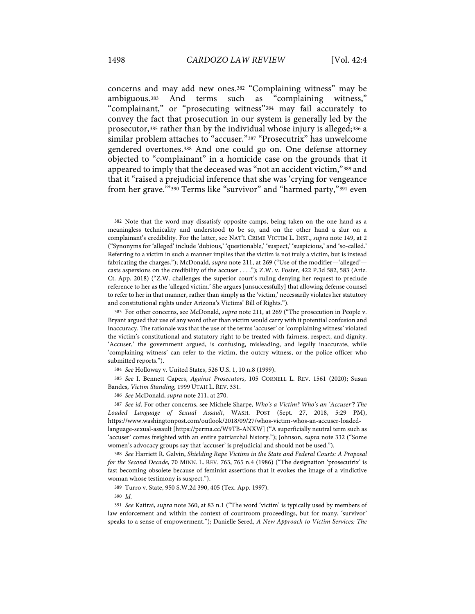concerns and may add new ones.382 "Complaining witness" may be ambiguous.383 And terms such as "complaining witness," "complainant," or "prosecuting witness"384 may fail accurately to convey the fact that prosecution in our system is generally led by the prosecutor,385 rather than by the individual whose injury is alleged;386 a similar problem attaches to "accuser."387 "Prosecutrix" has unwelcome gendered overtones.388 And one could go on. One defense attorney objected to "complainant" in a homicide case on the grounds that it appeared to imply that the deceased was "not an accident victim,"389 and that it "raised a prejudicial inference that she was 'crying for vengeance from her grave.'"390 Terms like "survivor" and "harmed party,"391 even

386 *See* McDonald, *supra* note 211, at 270.

<sup>382</sup> Note that the word may dissatisfy opposite camps, being taken on the one hand as a meaningless technicality and understood to be so, and on the other hand a slur on a complainant's credibility. For the latter, see NAT'L CRIME VICTIM L. INST., *supra* note 149, at 2 ("Synonyms for 'alleged' include 'dubious,' 'questionable,' 'suspect,' 'suspicious,' and 'so-called.' Referring to a victim in such a manner implies that the victim is not truly a victim, but is instead fabricating the charges."); McDonald, *supra* note 211, at 269 ("Use of the modifier—'alleged' casts aspersions on the credibility of the accuser . . . ."); Z.W. v. Foster, 422 P.3d 582, 583 (Ariz. Ct. App. 2018) ("Z.W. challenges the superior court's ruling denying her request to preclude reference to her as the 'alleged victim.' She argues [unsuccessfully] that allowing defense counsel to refer to her in that manner, rather than simply as the 'victim,' necessarily violates her statutory and constitutional rights under Arizona's Victims' Bill of Rights.").

<sup>383</sup> For other concerns, see McDonald, *supra* note 211, at 269 ("The prosecution in People v. Bryant argued that use of any word other than victim would carry with it potential confusion and inaccuracy. The rationale was that the use of the terms 'accuser' or 'complaining witness' violated the victim's constitutional and statutory right to be treated with fairness, respect, and dignity. 'Accuser,' the government argued, is confusing, misleading, and legally inaccurate, while 'complaining witness' can refer to the victim, the outcry witness, or the police officer who submitted reports.").

<sup>384</sup> *See* Holloway v. United States, 526 U.S. 1, 10 n.8 (1999).

<sup>385</sup> *See* I. Bennett Capers, *Against Prosecutors*, 105 CORNELL L. REV. 1561 (2020); Susan Bandes, *Victim Standing*, 1999 UTAH L. REV. 331.

<sup>387</sup> *See id*. For other concerns, see Michele Sharpe, *Who's a Victim? Who's an 'Accuser'? The Loaded Language of Sexual Assault*, WASH. POST (Sept. 27, 2018, 5:29 PM), https://www.washingtonpost.com/outlook/2018/09/27/whos-victim-whos-an-accuser-loadedlanguage-sexual-assault [https://perma.cc/W9TB-ANXW] ("A superficially neutral term such as 'accuser' comes freighted with an entire patriarchal history."); Johnson, *supra* note 332 ("Some women's advocacy groups say that 'accuser' is prejudicial and should not be used.").

<sup>388</sup> *See* Harriett R. Galvin, *Shielding Rape Victims in the State and Federal Courts: A Proposal for the Second Decade*, 70 MINN. L. REV. 763, 765 n.4 (1986) ("The designation 'prosecutrix' is fast becoming obsolete because of feminist assertions that it evokes the image of a vindictive woman whose testimony is suspect.").

<sup>389</sup> Turro v. State, 950 S.W.2d 390, 405 (Tex. App. 1997).

<sup>390</sup> *Id.*

<sup>391</sup> *See* Katirai, *supra* note 360, at 83 n.1 ("The word 'victim' is typically used by members of law enforcement and within the context of courtroom proceedings, but for many, 'survivor' speaks to a sense of empowerment."); Danielle Sered, *A New Approach to Victim Services: The*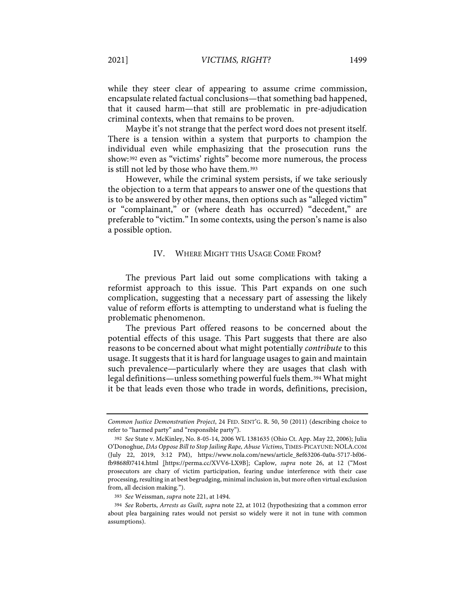while they steer clear of appearing to assume crime commission, encapsulate related factual conclusions—that something bad happened, that it caused harm—that still are problematic in pre-adjudication criminal contexts, when that remains to be proven.

Maybe it's not strange that the perfect word does not present itself. There is a tension within a system that purports to champion the individual even while emphasizing that the prosecution runs the show:392 even as "victims' rights" become more numerous, the process is still not led by those who have them.393

However, while the criminal system persists, if we take seriously the objection to a term that appears to answer one of the questions that is to be answered by other means, then options such as "alleged victim" or "complainant," or (where death has occurred) "decedent," are preferable to "victim." In some contexts, using the person's name is also a possible option.

#### IV. WHERE MIGHT THIS USAGE COME FROM?

The previous Part laid out some complications with taking a reformist approach to this issue. This Part expands on one such complication, suggesting that a necessary part of assessing the likely value of reform efforts is attempting to understand what is fueling the problematic phenomenon.

The previous Part offered reasons to be concerned about the potential effects of this usage. This Part suggests that there are also reasons to be concerned about what might potentially *contribute* to this usage. It suggests that it is hard for language usages to gain and maintain such prevalence—particularly where they are usages that clash with legal definitions—unless something powerful fuels them.394 What might it be that leads even those who trade in words, definitions, precision,

393 *See* Weissman, *supra* note 221, at 1494.

*Common Justice Demonstration Project*, 24 FED. SENT'G. R. 50, 50 (2011) (describing choice to refer to "harmed party" and "responsible party").

<sup>392</sup> *See* State v. McKinley, No. 8-05-14, 2006 WL 1381635 (Ohio Ct. App. May 22, 2006); Julia O'Donoghue, *DAs Oppose Bill to Stop Jailing Rape, Abuse Victims*, TIMES-PICAYUNE: NOLA.COM (July 22, 2019, 3:12 PM), https://www.nola.com/news/article\_8ef63206-0a0a-5717-bf06 fb9868f07414.html [https://perma.cc/XVV6-LX9B]; Caplow, *supra* note 26, at 12 ("Most prosecutors are chary of victim participation, fearing undue interference with their case processing, resulting in at best begrudging, minimal inclusion in, but more often virtual exclusion from, all decision making.").

<sup>394</sup> *See* Roberts, *Arrests as Guilt, supra* note 22, at 1012 (hypothesizing that a common error about plea bargaining rates would not persist so widely were it not in tune with common assumptions).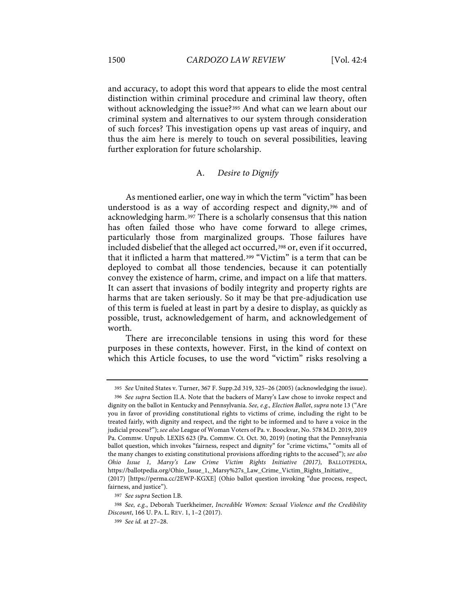and accuracy, to adopt this word that appears to elide the most central distinction within criminal procedure and criminal law theory, often without acknowledging the issue?395 And what can we learn about our criminal system and alternatives to our system through consideration of such forces? This investigation opens up vast areas of inquiry, and thus the aim here is merely to touch on several possibilities, leaving further exploration for future scholarship.

#### A. *Desire to Dignify*

As mentioned earlier, one way in which the term "victim" has been understood is as a way of according respect and dignity,396 and of acknowledging harm.397 There is a scholarly consensus that this nation has often failed those who have come forward to allege crimes, particularly those from marginalized groups. Those failures have included disbelief that the alleged act occurred,<sup>398</sup> or, even if it occurred, that it inflicted a harm that mattered.399 "Victim" is a term that can be deployed to combat all those tendencies, because it can potentially convey the existence of harm, crime, and impact on a life that matters. It can assert that invasions of bodily integrity and property rights are harms that are taken seriously. So it may be that pre-adjudication use of this term is fueled at least in part by a desire to display, as quickly as possible, trust, acknowledgement of harm, and acknowledgement of worth.

There are irreconcilable tensions in using this word for these purposes in these contexts, however. First, in the kind of context on which this Article focuses, to use the word "victim" risks resolving a

<sup>395</sup> *See* United States v. Turner, 367 F. Supp.2d 319, 325–26 (2005) (acknowledging the issue).

<sup>396</sup> *See supra* Section II.A. Note that the backers of Marsy's Law chose to invoke respect and dignity on the ballot in Kentucky and Pennsylvania. *See, e.g., Election Ballot*, *supra* note 13 ("Are you in favor of providing constitutional rights to victims of crime, including the right to be treated fairly, with dignity and respect, and the right to be informed and to have a voice in the judicial process?"); *see also* League of Woman Voters of Pa. v. Boockvar, No. 578 M.D. 2019, 2019 Pa. Commw. Unpub. LEXIS 623 (Pa. Commw. Ct. Oct. 30, 2019) (noting that the Pennsylvania ballot question, which invokes "fairness, respect and dignity" for "crime victims," "omits all of the many changes to existing constitutional provisions affording rights to the accused"); *see also Ohio Issue 1, Marsy's Law Crime Victim Rights Initiative (2017)*, BALLOTPEDIA, https://ballotpedia.org/Ohio\_Issue\_1,\_Marsy%27s\_Law\_Crime\_Victim\_Rights\_Initiative\_

<sup>(2017)</sup> [https://perma.cc/2EWP-KGXE] (Ohio ballot question invoking "due process, respect, fairness, and justice").

<sup>397</sup> *See supra* Section I.B.

<sup>398</sup> *See, e.g.*, Deborah Tuerkheimer, *Incredible Women: Sexual Violence and the Credibility Discount*, 166 U. PA. L. REV. 1, 1–2 (2017).

<sup>399</sup> *See id.* at 27–28.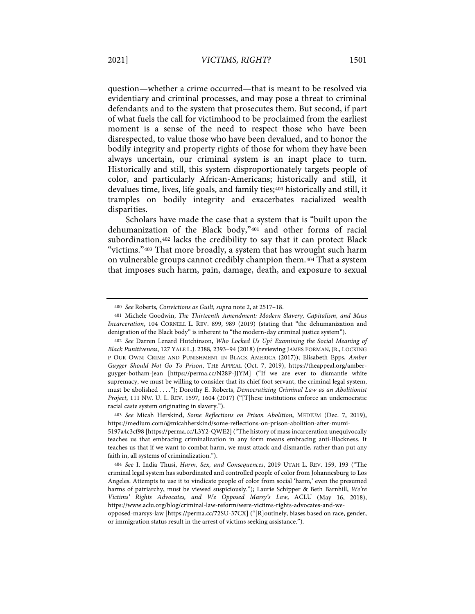question—whether a crime occurred—that is meant to be resolved via evidentiary and criminal processes, and may pose a threat to criminal defendants and to the system that prosecutes them. But second, if part of what fuels the call for victimhood to be proclaimed from the earliest moment is a sense of the need to respect those who have been disrespected, to value those who have been devalued, and to honor the bodily integrity and property rights of those for whom they have been always uncertain, our criminal system is an inapt place to turn. Historically and still, this system disproportionately targets people of color, and particularly African-Americans; historically and still, it devalues time, lives, life goals, and family ties;400 historically and still, it tramples on bodily integrity and exacerbates racialized wealth disparities.

Scholars have made the case that a system that is "built upon the dehumanization of the Black body,"401 and other forms of racial subordination,402 lacks the credibility to say that it can protect Black "victims."403 That more broadly, a system that has wrought such harm on vulnerable groups cannot credibly champion them.404 That a system that imposes such harm, pain, damage, death, and exposure to sexual

<sup>400</sup> *See* Roberts, *Convictions as Guilt, supra* note 2, at 2517–18.

<sup>401</sup> Michele Goodwin, *The Thirteenth Amendment: Modern Slavery, Capitalism, and Mass Incarceration*, 104 CORNELL L. REV. 899, 989 (2019) (stating that "the dehumanization and denigration of the Black body" is inherent to "the modern-day criminal justice system").

<sup>402</sup> *See* Darren Lenard Hutchinson, *Who Locked Us Up? Examining the Social Meaning of Black Punitiveness*, 127 YALE L.J. 2388, 2393–94 (2018) (reviewing JAMES FORMAN, JR., LOCKING P OUR OWN: CRIME AND PUNISHMENT IN BLACK AMERICA (2017)); Elisabeth Epps, *Amber Guyger Should Not Go To Prison*, THE APPEAL (Oct. 7, 2019), https://theappeal.org/amberguyger-botham-jean [https://perma.cc/N28P-JJYM] ("If we are ever to dismantle white supremacy, we must be willing to consider that its chief foot servant, the criminal legal system, must be abolished . . . ."); Dorothy E. Roberts, *Democratizing Criminal Law as an Abolitionist Project*, 111 NW. U. L. REV. 1597, 1604 (2017) ("[T]hese institutions enforce an undemocratic racial caste system originating in slavery.").

<sup>403</sup> *See* Micah Herskind, *Some Reflections on Prison Abolition*, MEDIUM (Dec. 7, 2019), https://medium.com/@micahherskind/some-reflections-on-prison-abolition-after-mumi-

<sup>5197</sup>a4c3cf98 [https://perma.cc/L3Y2-QWE2] ("The history of mass incarceration unequivocally teaches us that embracing criminalization in any form means embracing anti-Blackness. It teaches us that if we want to combat harm, we must attack and dismantle, rather than put any faith in, all systems of criminalization.").

<sup>404</sup> *See* I. India Thusi, *Harm, Sex, and Consequences*, 2019 UTAH L. REV. 159, 193 ("The criminal legal system has subordinated and controlled people of color from Johannesburg to Los Angeles. Attempts to use it to vindicate people of color from social 'harm,' even the presumed harms of patriarchy, must be viewed suspiciously."); Laurie Schipper & Beth Barnhill, *We're Victims' Rights Advocates, and We Opposed Marsy's Law*, ACLU (May 16, 2018), https://www.aclu.org/blog/criminal-law-reform/were-victims-rights-advocates-and-we-

opposed-marsys-law [https://perma.cc/72SU-37CX] ("[R]outinely, biases based on race, gender, or immigration status result in the arrest of victims seeking assistance.").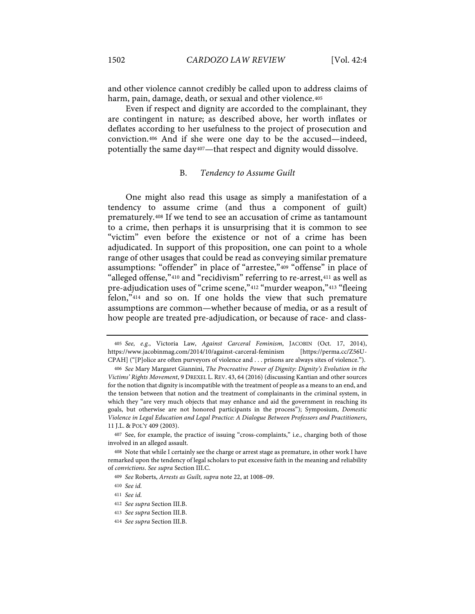and other violence cannot credibly be called upon to address claims of harm, pain, damage, death, or sexual and other violence.<sup>405</sup>

Even if respect and dignity are accorded to the complainant, they are contingent in nature; as described above, her worth inflates or deflates according to her usefulness to the project of prosecution and conviction.406 And if she were one day to be the accused—indeed, potentially the same day407—that respect and dignity would dissolve.

#### B. *Tendency to Assume Guilt*

One might also read this usage as simply a manifestation of a tendency to assume crime (and thus a component of guilt) prematurely.408 If we tend to see an accusation of crime as tantamount to a crime, then perhaps it is unsurprising that it is common to see "victim" even before the existence or not of a crime has been adjudicated. In support of this proposition, one can point to a whole range of other usages that could be read as conveying similar premature assumptions: "offender" in place of "arrestee,"409 "offense" in place of "alleged offense,"410 and "recidivism" referring to re-arrest,411 as well as pre-adjudication uses of "crime scene,"412 "murder weapon,"413 "fleeing felon,"414 and so on. If one holds the view that such premature assumptions are common—whether because of media, or as a result of how people are treated pre-adjudication, or because of race- and class-

<sup>405</sup> *See, e.g.*, Victoria Law, *Against Carceral Feminism*, JACOBIN (Oct. 17, 2014), https://www.jacobinmag.com/2014/10/against-carceral-feminism [https://perma.cc/Z56U-CPAH] ("[P]olice are often purveyors of violence and . . . prisons are always sites of violence.").

<sup>406</sup> *See* Mary Margaret Giannini, *The Procreative Power of Dignity: Dignity's Evolution in the Victims' Rights Movement*, 9 DREXEL L. REV. 43, 64 (2016) (discussing Kantian and other sources for the notion that dignity is incompatible with the treatment of people as a means to an end, and the tension between that notion and the treatment of complainants in the criminal system, in which they "are very much objects that may enhance and aid the government in reaching its goals, but otherwise are not honored participants in the process"); Symposium, *Domestic Violence in Legal Education and Legal Practice: A Dialogue Between Professors and Practitioners*, 11 J.L. & POL'Y 409 (2003).

<sup>407</sup> See, for example, the practice of issuing "cross-complaints," i.e., charging both of those involved in an alleged assault.

<sup>408</sup> Note that while I certainly see the charge or arrest stage as premature, in other work I have remarked upon the tendency of legal scholars to put excessive faith in the meaning and reliability of *convictions*. *See supra* Section III.C.

<sup>409</sup> *See* Roberts, *Arrests as Guilt, supra* note 22, at 1008–09.

<sup>410</sup> *See id.*

<sup>411</sup> *See id.*

<sup>412</sup> *See supra* Section III.B.

<sup>413</sup> *See supra* Section III.B.

<sup>414</sup> *See supra* Section III.B.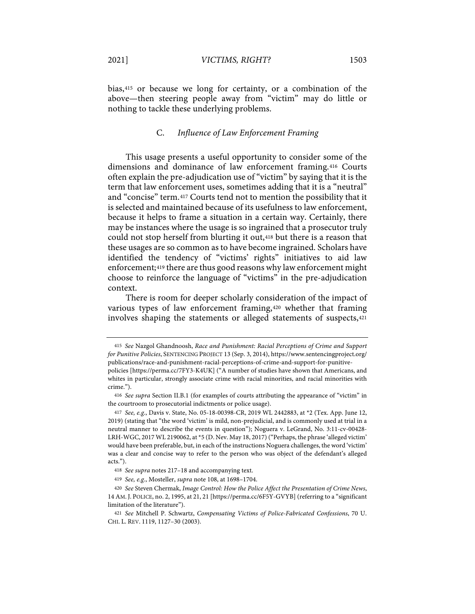bias,415 or because we long for certainty, or a combination of the above—then steering people away from "victim" may do little or nothing to tackle these underlying problems.

# C. *Influence of Law Enforcement Framing*

This usage presents a useful opportunity to consider some of the dimensions and dominance of law enforcement framing.416 Courts often explain the pre-adjudication use of "victim" by saying that it is the term that law enforcement uses, sometimes adding that it is a "neutral" and "concise" term.417 Courts tend not to mention the possibility that it is selected and maintained because of its usefulness to law enforcement, because it helps to frame a situation in a certain way. Certainly, there may be instances where the usage is so ingrained that a prosecutor truly could not stop herself from blurting it out,<sup>418</sup> but there is a reason that these usages are so common as to have become ingrained. Scholars have identified the tendency of "victims' rights" initiatives to aid law enforcement;419 there are thus good reasons why law enforcement might choose to reinforce the language of "victims" in the pre-adjudication context.

There is room for deeper scholarly consideration of the impact of various types of law enforcement framing,420 whether that framing involves shaping the statements or alleged statements of suspects,421

<sup>415</sup> *See* Nazgol Ghandnoosh, *Race and Punishment: Racial Perceptions of Crime and Support for Punitive Policies*, SENTENCING PROJECT 13 (Sep. 3, 2014), https://www.sentencingproject.org/ publications/race-and-punishment-racial-perceptions-of-crime-and-support-for-punitive-

policies [https://perma.cc/7FY3-K4UK] ("A number of studies have shown that Americans, and whites in particular, strongly associate crime with racial minorities, and racial minorities with crime.").

<sup>416</sup> *See supra* Section II.B.1 (for examples of courts attributing the appearance of "victim" in the courtroom to prosecutorial indictments or police usage).

<sup>417</sup> *See, e.g.*, Davis v. State, No. 05-18-00398-CR, 2019 WL 2442883, at \*2 (Tex. App. June 12, 2019) (stating that "the word 'victim' is mild, non-prejudicial, and is commonly used at trial in a neutral manner to describe the events in question"); Noguera v. LeGrand, No. 3:11-cv-00428- LRH-WGC, 2017 WL 2190062, at \*5 (D. Nev. May 18, 2017) ("Perhaps, the phrase 'alleged victim' would have been preferable, but, in each of the instructions Noguera challenges, the word 'victim' was a clear and concise way to refer to the person who was object of the defendant's alleged acts.").

<sup>418</sup> *See supra* notes 217–18 and accompanying text.

<sup>419</sup> *See, e.g.*, Mosteller, *supra* note 108, at 1698–1704.

<sup>420</sup> *See* Steven Chermak, *Image Control: How the Police Affect the Presentation of Crime News*, 14 AM.J. POLICE, no. 2, 1995, at 21, 21 [https://perma.cc/6F5Y-GVYB] (referring to a "significant limitation of the literature").

<sup>421</sup> *See* Mitchell P. Schwartz, *Compensating Victims of Police-Fabricated Confessions*, 70 U. CHI. L. REV. 1119, 1127–30 (2003).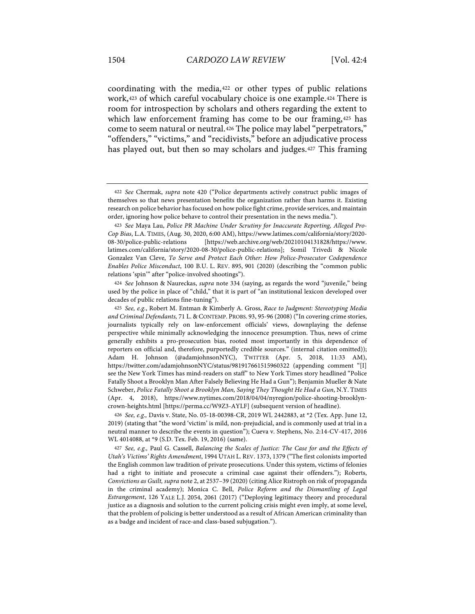coordinating with the media,422 or other types of public relations work,423 of which careful vocabulary choice is one example.424 There is room for introspection by scholars and others regarding the extent to which law enforcement framing has come to be our framing, 425 has come to seem natural or neutral.426 The police may label "perpetrators," "offenders," "victims," and "recidivists," before an adjudicative process has played out, but then so may scholars and judges.427 This framing

424 *See* Johnson & Naureckas, *supra* note 334 (saying, as regards the word "juvenile," being used by the police in place of "child," that it is part of "an institutional lexicon developed over decades of public relations fine-tuning").

426 *See, e.g.,* Davis v. State, No. 05-18-00398-CR, 2019 WL 2442883, at \*2 (Tex. App. June 12, 2019) (stating that "the word 'victim' is mild, non-prejudicial, and is commonly used at trial in a neutral manner to describe the events in question"); Cueva v. Stephens, No. 2:14-CV-417, 2016 WL 4014088, at \*9 (S.D. Tex. Feb. 19, 2016) (same).

427 *See, e.g.,* Paul G. Cassell, *Balancing the Scales of Justice: The Case for and the Effects of Utah's Victims' Rights Amendment*, 1994 UTAH L. REV. 1373, 1379 ("The first colonists imported the English common law tradition of private prosecutions. Under this system, victims of felonies had a right to initiate and prosecute a criminal case against their offenders."); Roberts, *Convictions as Guilt, supra* note 2, at 2537–39 (2020) (citing Alice Ristroph on risk of propaganda in the criminal academy); Monica C. Bell, *Police Reform and the Dismantling of Legal Estrangement*, 126 YALE L.J. 2054, 2061 (2017) ("Deploying legitimacy theory and procedural justice as a diagnosis and solution to the current policing crisis might even imply, at some level, that the problem of policing is better understood as a result of African American criminality than as a badge and incident of race-and class-based subjugation.").

<sup>422</sup> *See* Chermak, *supra* note 420 ("Police departments actively construct public images of themselves so that news presentation benefits the organization rather than harms it. Existing research on police behavior has focused on how police fight crime, provide services, and maintain order, ignoring how police behave to control their presentation in the news media.").

<sup>423</sup> *See* Maya Lau, *Police PR Machine Under Scrutiny for Inaccurate Reporting, Alleged Pro-Cop Bias*, L.A. TIMES, (Aug. 30, 2020, 6:00 AM), https://www.latimes.com/california/story/2020- 08-30/police-public-relations [https://web.archive.org/web/20210104131828/https://www. latimes.com/california/story/2020-08-30/police-public-relations]; Somil Trivedi & Nicole Gonzalez Van Cleve, *To Serve and Protect Each Other: How Police-Prosecutor Codependence Enables Police Misconduct*, 100 B.U. L. REV. 895, 901 (2020) (describing the "common public relations 'spin'" after "police-involved shootings").

<sup>425</sup> *See, e.g.*, Robert M. Entman & Kimberly A. Gross, *Race to Judgment: Stereotyping Media and Criminal Defendants,* 71 L. & CONTEMP. PROBS. 93, 95-96 (2008) ("In covering crime stories, journalists typically rely on law-enforcement officials' views, downplaying the defense perspective while minimally acknowledging the innocence presumption. Thus, news of crime generally exhibits a pro-prosecution bias, rooted most importantly in this dependence of reporters on official and, therefore, purportedly credible sources." (internal citation omitted)); Adam H. Johnson (@adamjohnsonNYC), TWITTER (Apr. 5, 2018, 11:33 AM), https://twitter.com/adamjohnsonNYC/status/981917661515960322 (appending comment "[I] see the New York Times has mind-readers on staff" to New York Times story headlined "Police Fatally Shoot a Brooklyn Man After Falsely Believing He Had a Gun"); Benjamin Mueller & Nate Schweber, *Police Fatally Shoot a Brooklyn Man, Saying They Thought He Had a Gun*, N.Y. TIMES (Apr. 4, 2018), https://www.nytimes.com/2018/04/04/nyregion/police-shooting-brooklyncrown-heights.html [https://perma.cc/W9Z3-AYLF] (subsequent version of headline).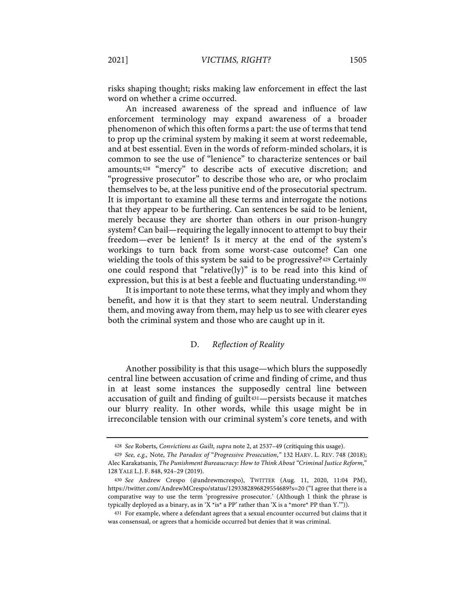risks shaping thought; risks making law enforcement in effect the last word on whether a crime occurred.

An increased awareness of the spread and influence of law enforcement terminology may expand awareness of a broader phenomenon of which this often forms a part: the use of terms that tend to prop up the criminal system by making it seem at worst redeemable, and at best essential. Even in the words of reform-minded scholars, it is common to see the use of "lenience" to characterize sentences or bail amounts;428 "mercy" to describe acts of executive discretion; and "progressive prosecutor" to describe those who are, or who proclaim themselves to be, at the less punitive end of the prosecutorial spectrum. It is important to examine all these terms and interrogate the notions that they appear to be furthering. Can sentences be said to be lenient, merely because they are shorter than others in our prison-hungry system? Can bail—requiring the legally innocent to attempt to buy their freedom—ever be lenient? Is it mercy at the end of the system's workings to turn back from some worst-case outcome? Can one wielding the tools of this system be said to be progressive?429 Certainly one could respond that "relative(ly)" is to be read into this kind of expression, but this is at best a feeble and fluctuating understanding.430

It is important to note these terms, what they imply and whom they benefit, and how it is that they start to seem neutral. Understanding them, and moving away from them, may help us to see with clearer eyes both the criminal system and those who are caught up in it.

# D. *Reflection of Reality*

Another possibility is that this usage—which blurs the supposedly central line between accusation of crime and finding of crime, and thus in at least some instances the supposedly central line between accusation of guilt and finding of guilt<sup>431</sup>—persists because it matches our blurry reality. In other words, while this usage might be in irreconcilable tension with our criminal system's core tenets, and with

<sup>428</sup> *See* Roberts, *Convictions as Guilt, supra* note 2, at 2537–49 (critiquing this usage).

<sup>429</sup> *See, e.g.,* Note, *The Paradox of* "*Progressive Prosecution*,*"* 132 HARV. L. REV. 748 (2018); Alec Karakatsanis, *The Punishment Bureaucracy: How to Think About "Criminal Justice Reform*," 128 YALE L.J. F. 848, 924–29 (2019).

<sup>430</sup> *See* Andrew Crespo (@andrewmcrespo), TWITTER (Aug. 11, 2020, 11:04 PM), https://twitter.com/AndrewMCrespo/status/1293382896829554689?s=20 ("I agree that there is a comparative way to use the term 'progressive prosecutor.' (Although I think the phrase is typically deployed as a binary, as in 'X \*is\* a PP' rather than 'X is a \*more\* PP than Y.'")).

<sup>431</sup> For example, where a defendant agrees that a sexual encounter occurred but claims that it was consensual, or agrees that a homicide occurred but denies that it was criminal.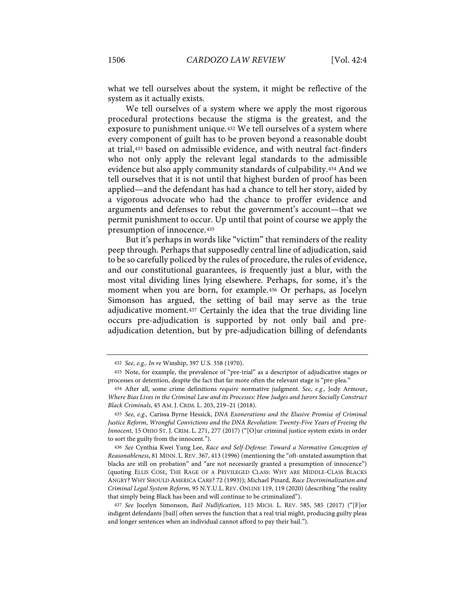what we tell ourselves about the system, it might be reflective of the system as it actually exists.

We tell ourselves of a system where we apply the most rigorous procedural protections because the stigma is the greatest, and the exposure to punishment unique.432 We tell ourselves of a system where every component of guilt has to be proven beyond a reasonable doubt at trial,433 based on admissible evidence, and with neutral fact-finders who not only apply the relevant legal standards to the admissible evidence but also apply community standards of culpability.434 And we tell ourselves that it is not until that highest burden of proof has been applied—and the defendant has had a chance to tell her story, aided by a vigorous advocate who had the chance to proffer evidence and arguments and defenses to rebut the government's account—that we permit punishment to occur. Up until that point of course we apply the presumption of innocence.435

But it's perhaps in words like "victim" that reminders of the reality peep through. Perhaps that supposedly central line of adjudication, said to be so carefully policed by the rules of procedure, the rules of evidence, and our constitutional guarantees, is frequently just a blur, with the most vital dividing lines lying elsewhere. Perhaps, for some, it's the moment when you are born, for example.436 Or perhaps, as Jocelyn Simonson has argued, the setting of bail may serve as the true adjudicative moment.437 Certainly the idea that the true dividing line occurs pre-adjudication is supported by not only bail and preadjudication detention, but by pre-adjudication billing of defendants

<sup>432</sup> *See, e.g., In re* Winship, 397 U.S. 358 (1970).

<sup>433</sup> Note, for example, the prevalence of "pre-trial" as a descriptor of adjudicative stages or processes or detention, despite the fact that far more often the relevant stage is "pre-plea."

<sup>434</sup> After all, some crime definitions *require* normative judgment. *See, e.g.,* Jody Armour, *Where Bias Lives in the Criminal Law and its Processes: How Judges and Jurors Socially Construct Black Criminals*, 45 AM. J. CRIM. L. 203, 219–21 (2018).

<sup>435</sup> *See, e.g.,* Carissa Byrne Hessick, *DNA Exonerations and the Elusive Promise of Criminal Justice Reform*, *Wrongful Convictions and the DNA Revolution: Twenty-Five Years of Freeing the Innocent*, 15 OHIO ST. J. CRIM. L. 271, 277 (2017) ("[O]ur criminal justice system exists in order to sort the guilty from the innocent.").

<sup>436</sup> *See* Cynthia Kwei Yung Lee, *Race and Self-Defense: Toward a Normative Conception of Reasonableness*, 81 MINN. L. REV. 367, 413 (1996) (mentioning the "oft-unstated assumption that blacks are still on probation" and "are not necessarily granted a presumption of innocence") (quoting ELLIS COSE, THE RAGE OF A PRIVILEGED CLASS: WHY ARE MIDDLE-CLASS BLACKS ANGRY? WHY SHOULD AMERICA CARE? 72 (1993)); Michael Pinard, *Race Decriminalization and Criminal Legal System Reform*, 95 N.Y.U.L. REV. ONLINE 119, 119 (2020) (describing "the reality that simply being Black has been and will continue to be criminalized").

<sup>437</sup> *See* Jocelyn Simonson, *Bail Nullification*, 115 MICH. L. REV. 585, 585 (2017) ("[F]or indigent defendants [bail] often serves the function that a real trial might, producing guilty pleas and longer sentences when an individual cannot afford to pay their bail.").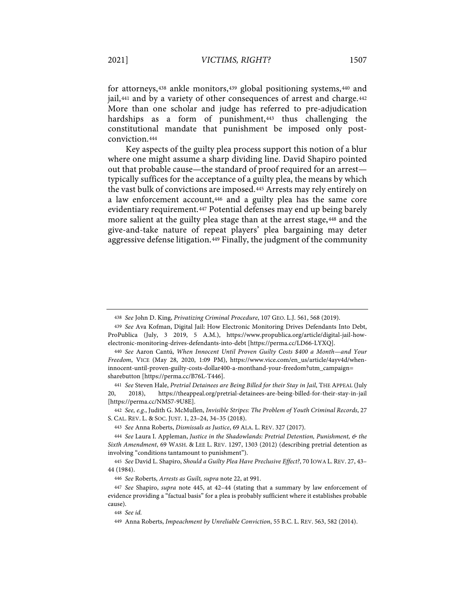for attorneys,438 ankle monitors,439 global positioning systems,440 and jail,<sup>441</sup> and by a variety of other consequences of arrest and charge.<sup>442</sup> More than one scholar and judge has referred to pre-adjudication hardships as a form of punishment,<sup>443</sup> thus challenging the constitutional mandate that punishment be imposed only postconviction.444

Key aspects of the guilty plea process support this notion of a blur where one might assume a sharp dividing line. David Shapiro pointed out that probable cause—the standard of proof required for an arrest typically suffices for the acceptance of a guilty plea, the means by which the vast bulk of convictions are imposed.445 Arrests may rely entirely on a law enforcement account,446 and a guilty plea has the same core evidentiary requirement.447 Potential defenses may end up being barely more salient at the guilty plea stage than at the arrest stage,448 and the give-and-take nature of repeat players' plea bargaining may deter aggressive defense litigation.449 Finally, the judgment of the community

442 *See, e.g.*, Judith G. McMullen, *Invisible Stripes: The Problem of Youth Criminal Records*, 27 S. CAL. REV. L. & SOC. JUST. 1, 23–24, 34–35 (2018).

<sup>438</sup> *See* John D. King, *Privatizing Criminal Procedure*, 107 GEO. L.J. 561, 568 (2019).

<sup>439</sup> *See* Ava Kofman, Digital Jail: How Electronic Monitoring Drives Defendants Into Debt, ProPublica (July, 3 2019, 5 A.M.), https://www.propublica.org/article/digital-jail-howelectronic-monitoring-drives-defendants-into-debt [https://perma.cc/LD66-LYXQ].

<sup>440</sup> *See* Aaron Cantú, *When Innocent Until Proven Guilty Costs \$400 a Month—and Your Freedom*, VICE (May 28, 2020, 1:09 PM), https://www.vice.com/en\_us/article/4ayv4d/wheninnocent-until-proven-guilty-costs-dollar400-a-monthand-your-freedom?utm\_campaign= sharebutton [https://perma.cc/B76L-T446].

<sup>441</sup> *See* Steven Hale, *Pretrial Detainees are Being Billed for their Stay in Jail*, THE APPEAL (July 20, 2018), https://theappeal.org/pretrial-detainees-are-being-billed-for-their-stay-in-jail [https://perma.cc/NMS7-9U8E].

<sup>443</sup> *See* Anna Roberts, *Dismissals as Justice*, 69 ALA. L. REV. 327 (2017).

<sup>444</sup> *See* Laura I. Appleman, *Justice in the Shadowlands: Pretrial Detention, Punishment, & the Sixth Amendment*, 69 WASH. & LEE L. REV. 1297, 1303 (2012) (describing pretrial detention as involving "conditions tantamount to punishment").

<sup>445</sup> *See* David L. Shapiro, *Should a Guilty Plea Have Preclusive Effect?*, 70 IOWA L. REV. 27, 43– 44 (1984).

<sup>446</sup> *See* Roberts, *Arrests as Guilt, supra* note 22, at 991.

<sup>447</sup> *See* Shapiro, *supra* note 445, at 42–44 (stating that a summary by law enforcement of evidence providing a "factual basis" for a plea is probably sufficient where it establishes probable cause).

<sup>448</sup> *See id.*

<sup>449</sup> Anna Roberts, *Impeachment by Unreliable Conviction*, 55 B.C. L. REV. 563, 582 (2014).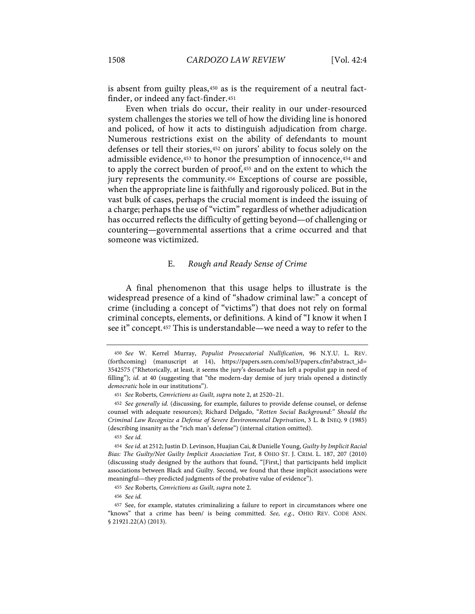is absent from guilty pleas,450 as is the requirement of a neutral factfinder, or indeed any fact-finder.451

Even when trials do occur, their reality in our under-resourced system challenges the stories we tell of how the dividing line is honored and policed, of how it acts to distinguish adjudication from charge. Numerous restrictions exist on the ability of defendants to mount defenses or tell their stories,452 on jurors' ability to focus solely on the admissible evidence,453 to honor the presumption of innocence,454 and to apply the correct burden of proof,455 and on the extent to which the jury represents the community.456 Exceptions of course are possible, when the appropriate line is faithfully and rigorously policed. But in the vast bulk of cases, perhaps the crucial moment is indeed the issuing of a charge; perhaps the use of "victim" regardless of whether adjudication has occurred reflects the difficulty of getting beyond—of challenging or countering—governmental assertions that a crime occurred and that someone was victimized.

# E. *Rough and Ready Sense of Crime*

A final phenomenon that this usage helps to illustrate is the widespread presence of a kind of "shadow criminal law:" a concept of crime (including a concept of "victims") that does not rely on formal criminal concepts, elements, or definitions. A kind of "I know it when I see it" concept.457 This is understandable—we need a way to refer to the

453 *See id.*

455 *See* Roberts, *Convictions as Guilt, supra* note 2.

456 *See id.*

<sup>450</sup> *See* W. Kerrel Murray, *Populist Prosecutorial Nullification*, 96 N.Y.U. L. REV. (forthcoming) (manuscript at 14), https://papers.ssrn.com/sol3/papers.cfm?abstract\_id= 3542575 ("Rhetorically, at least, it seems the jury's desuetude has left a populist gap in need of filling"); *id.* at 40 (suggesting that "the modern-day demise of jury trials opened a distinctly *democratic* hole in our institutions").

<sup>451</sup> *See* Roberts, *Convictions as Guilt, supra* note 2, at 2520–21.

<sup>452</sup> *See generally id.* (discussing, for example, failures to provide defense counsel, or defense counsel with adequate resources); Richard Delgado, "*Rotten Social Background:" Should the Criminal Law Recognize a Defense of Severe Environmental Deprivation*, 3 L. & INEQ. 9 (1985) (describing insanity as the "rich man's defense") (internal citation omitted).

<sup>454</sup> *See id.* at 2512; Justin D. Levinson, Huajian Cai, & Danielle Young, *Guilty by Implicit Racial Bias: The Guilty/Not Guilty Implicit Association Test*, 8 OHIO ST. J. CRIM. L. 187, 207 (2010) (discussing study designed by the authors that found, "[First,] that participants held implicit associations between Black and Guilty. Second, we found that these implicit associations were meaningful—they predicted judgments of the probative value of evidence").

<sup>457</sup> See, for example, statutes criminalizing a failure to report in circumstances where one "knows" that a crime has been/ is being committed. *See, e.g.*, OHIO REV. CODE ANN. § 21921.22(A) (2013).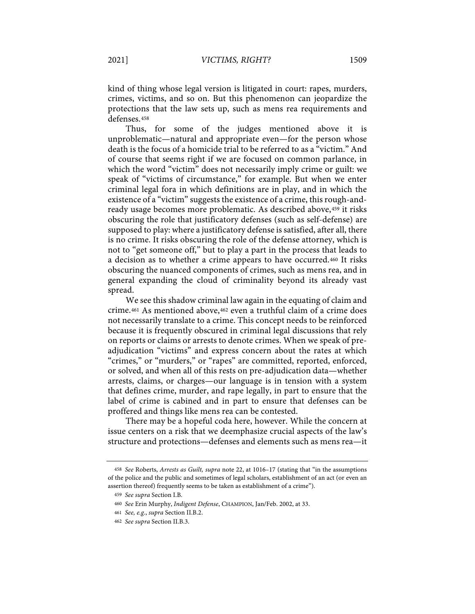kind of thing whose legal version is litigated in court: rapes, murders, crimes, victims, and so on. But this phenomenon can jeopardize the protections that the law sets up, such as mens rea requirements and defenses.458

Thus, for some of the judges mentioned above it is unproblematic—natural and appropriate even—for the person whose death is the focus of a homicide trial to be referred to as a "victim." And of course that seems right if we are focused on common parlance, in which the word "victim" does not necessarily imply crime or guilt: we speak of "victims of circumstance," for example. But when we enter criminal legal fora in which definitions are in play, and in which the existence of a "victim" suggests the existence of a crime, this rough-andready usage becomes more problematic. As described above, 459 it risks obscuring the role that justificatory defenses (such as self-defense) are supposed to play: where a justificatory defense is satisfied, after all, there is no crime. It risks obscuring the role of the defense attorney, which is not to "get someone off," but to play a part in the process that leads to a decision as to whether a crime appears to have occurred.460 It risks obscuring the nuanced components of crimes, such as mens rea, and in general expanding the cloud of criminality beyond its already vast spread.

We see this shadow criminal law again in the equating of claim and crime.461 As mentioned above,462 even a truthful claim of a crime does not necessarily translate to a crime. This concept needs to be reinforced because it is frequently obscured in criminal legal discussions that rely on reports or claims or arrests to denote crimes. When we speak of preadjudication "victims" and express concern about the rates at which "crimes," or "murders," or "rapes" are committed, reported, enforced, or solved, and when all of this rests on pre-adjudication data—whether arrests, claims, or charges—our language is in tension with a system that defines crime, murder, and rape legally, in part to ensure that the label of crime is cabined and in part to ensure that defenses can be proffered and things like mens rea can be contested.

There may be a hopeful coda here, however. While the concern at issue centers on a risk that we deemphasize crucial aspects of the law's structure and protections—defenses and elements such as mens rea—it

<sup>458</sup> *See* Roberts, *Arrests as Guilt, supra* note 22, at 1016–17 (stating that "in the assumptions of the police and the public and sometimes of legal scholars, establishment of an act (or even an assertion thereof) frequently seems to be taken as establishment of a crime").

<sup>459</sup> *See supra* Section I.B.

<sup>460</sup> *See* Erin Murphy, *Indigent Defense*, CHAMPION, Jan/Feb. 2002, at 33.

<sup>461</sup> *See, e.g.*, *supra* Section II.B.2.

<sup>462</sup> *See supra* Section II.B.3.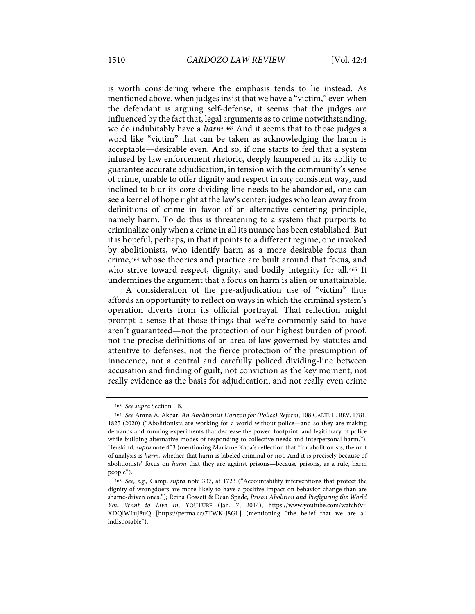is worth considering where the emphasis tends to lie instead. As mentioned above, when judges insist that we have a "victim," even when the defendant is arguing self-defense, it seems that the judges are influenced by the fact that, legal arguments as to crime notwithstanding, we do indubitably have a *harm*.463 And it seems that to those judges a word like "victim" that can be taken as acknowledging the harm is acceptable—desirable even. And so, if one starts to feel that a system infused by law enforcement rhetoric, deeply hampered in its ability to guarantee accurate adjudication, in tension with the community's sense of crime, unable to offer dignity and respect in any consistent way, and inclined to blur its core dividing line needs to be abandoned, one can see a kernel of hope right at the law's center: judges who lean away from definitions of crime in favor of an alternative centering principle, namely harm. To do this is threatening to a system that purports to criminalize only when a crime in all its nuance has been established. But it is hopeful, perhaps, in that it points to a different regime, one invoked by abolitionists, who identify harm as a more desirable focus than crime,464 whose theories and practice are built around that focus, and who strive toward respect, dignity, and bodily integrity for all.<sup>465</sup> It undermines the argument that a focus on harm is alien or unattainable.

A consideration of the pre-adjudication use of "victim" thus affords an opportunity to reflect on ways in which the criminal system's operation diverts from its official portrayal. That reflection might prompt a sense that those things that we're commonly said to have aren't guaranteed—not the protection of our highest burden of proof, not the precise definitions of an area of law governed by statutes and attentive to defenses, not the fierce protection of the presumption of innocence, not a central and carefully policed dividing-line between accusation and finding of guilt, not conviction as the key moment, not really evidence as the basis for adjudication, and not really even crime

<sup>463</sup> *See supra* Section I.B.

<sup>464</sup> *See* Amna A. Akbar, *An Abolitionist Horizon for (Police) Reform*, 108 CALIF. L. REV. 1781, 1825 (2020) ("Abolitionists are working for a world without police—and so they are making demands and running experiments that decrease the power, footprint, and legitimacy of police while building alternative modes of responding to collective needs and interpersonal harm."); Herskind, *supra* note 403 (mentioning Mariame Kaba's reflection that "for abolitionists, the unit of analysis is *harm*, whether that harm is labeled criminal or not. And it is precisely because of abolitionists' focus on *harm* that they are against prisons—because prisons, as a rule, harm people").

<sup>465</sup> *See, e.g.,* Camp, *supra* note 337, at 1723 ("Accountability interventions that protect the dignity of wrongdoers are more likely to have a positive impact on behavior change than are shame-driven ones."); Reina Gossett & Dean Spade, *Prison Abolition and Prefiguring the World You Want to Live In*, YOUTUBE (Jan. 7, 2014), https://www.youtube.com/watch?v= XDQlW1uJ8uQ [https://perma.cc/7TWK-J8GL] (mentioning "the belief that we are all indisposable").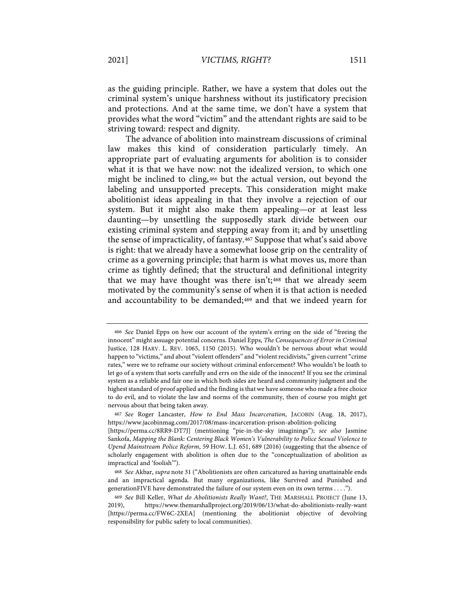as the guiding principle. Rather, we have a system that doles out the criminal system's unique harshness without its justificatory precision and protections. And at the same time, we don't have a system that provides what the word "victim" and the attendant rights are said to be striving toward: respect and dignity.

The advance of abolition into mainstream discussions of criminal law makes this kind of consideration particularly timely. An appropriate part of evaluating arguments for abolition is to consider what it is that we have now: not the idealized version, to which one might be inclined to cling,466 but the actual version, out beyond the labeling and unsupported precepts. This consideration might make abolitionist ideas appealing in that they involve a rejection of our system. But it might also make them appealing—or at least less daunting—by unsettling the supposedly stark divide between our existing criminal system and stepping away from it; and by unsettling the sense of impracticality, of fantasy.467 Suppose that what's said above is right: that we already have a somewhat loose grip on the centrality of crime as a governing principle; that harm is what moves us, more than crime as tightly defined; that the structural and definitional integrity that we may have thought was there isn't;<sup>468</sup> that we already seem motivated by the community's sense of when it is that action is needed and accountability to be demanded;<sup>469</sup> and that we indeed yearn for

<sup>466</sup> *See* Daniel Epps on how our account of the system's erring on the side of "freeing the innocent" might assuage potential concerns. Daniel Epps, *The Consequences of Error in Criminal*  Justice, 128 HARV. L. REV. 1065, 1150 (2015). Who wouldn't be nervous about what would happen to "victims," and about "violent offenders" and "violent recidivists," given current "crime rates," were we to reframe our society without criminal enforcement? Who wouldn't be loath to let go of a system that sorts carefully and errs on the side of the innocent? If you see the criminal system as a reliable and fair one in which both sides are heard and community judgment and the highest standard of proof applied and the finding is that we have someone who made a free choice to do evil, and to violate the law and norms of the community, then of course you might get nervous about that being taken away.

<sup>467</sup> *See* Roger Lancaster, *How to End Mass Incarceration*, JACOBIN (Aug. 18, 2017), https://www.jacobinmag.com/2017/08/mass-incarceration-prison-abolition-policing

<sup>[</sup>https://perma.cc/8RR9-DT7J] (mentioning "pie-in-the-sky imaginings"); *see also* Jasmine Sankofa, *Mapping the Blank: Centering Black Women's Vulnerability to Police Sexual Violence to Upend Mainstream Police Reform*, 59 HOW. L.J. 651, 689 (2016) (suggesting that the absence of scholarly engagement with abolition is often due to the "conceptualization of abolition as impractical and 'foolish'").

<sup>468</sup> *See* Akbar, *supra* note 31 ("Abolitionists are often caricatured as having unattainable ends and an impractical agenda. But many organizations, like Survived and Punished and generationFIVE have demonstrated the failure of our system even on its own terms . . . .").

<sup>469</sup> *See* Bill Keller, *What do Abolitionists Really Want?*, THE MARSHALL PROJECT (June 13, 2019), https://www.themarshallproject.org/2019/06/13/what-do-abolitionists-really-want [https://perma.cc/FW6C-2XEA] (mentioning the abolitionist objective of devolving responsibility for public safety to local communities).